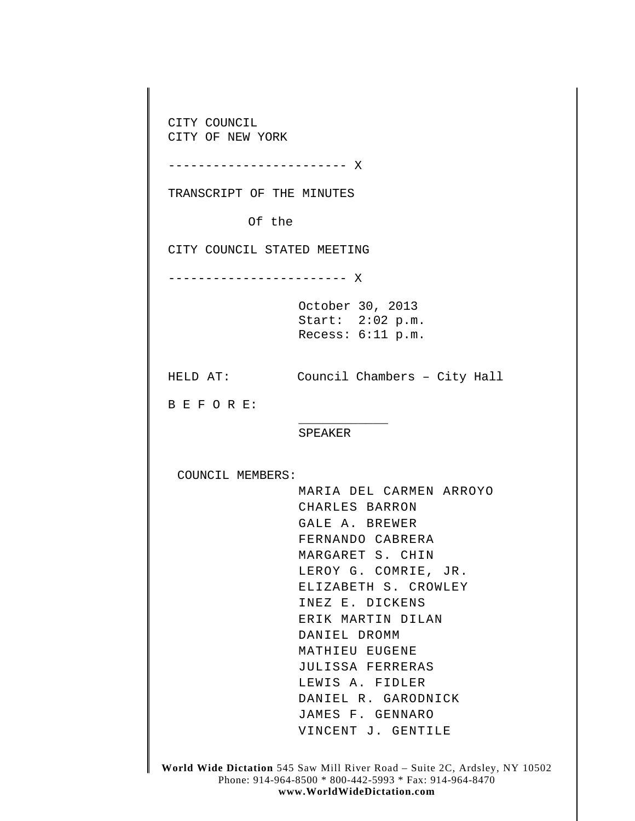**World Wide Dictation** 545 Saw Mill River Road – Suite 2C, Ardsley, NY 10502 CITY COUNCIL CITY OF NEW YORK ------------------------ X TRANSCRIPT OF THE MINUTES Of the CITY COUNCIL STATED MEETING ------------------------ X October 30, 2013 Start: 2:02 p.m. Recess: 6:11 p.m. HELD AT: Council Chambers – City Hall B E F O R E:  $\overline{\phantom{a}}$  , where  $\overline{\phantom{a}}$ SPEAKER COUNCIL MEMBERS: MARIA DEL CARMEN ARROYO CHARLES BARRON GALE A. BREWER FERNANDO CABRERA MARGARET S. CHIN LEROY G. COMRIE, JR. ELIZABETH S. CROWLEY INEZ E. DICKENS ERIK MARTIN DILAN DANIEL DROMM MATHIEU EUGENE JULISSA FERRERAS LEWIS A. FIDLER DANIEL R. GARODNICK JAMES F. GENNARO VINCENT J. GENTILE

Phone: 914-964-8500 \* 800-442-5993 \* Fax: 914-964-8470 **www.WorldWideDictation.com**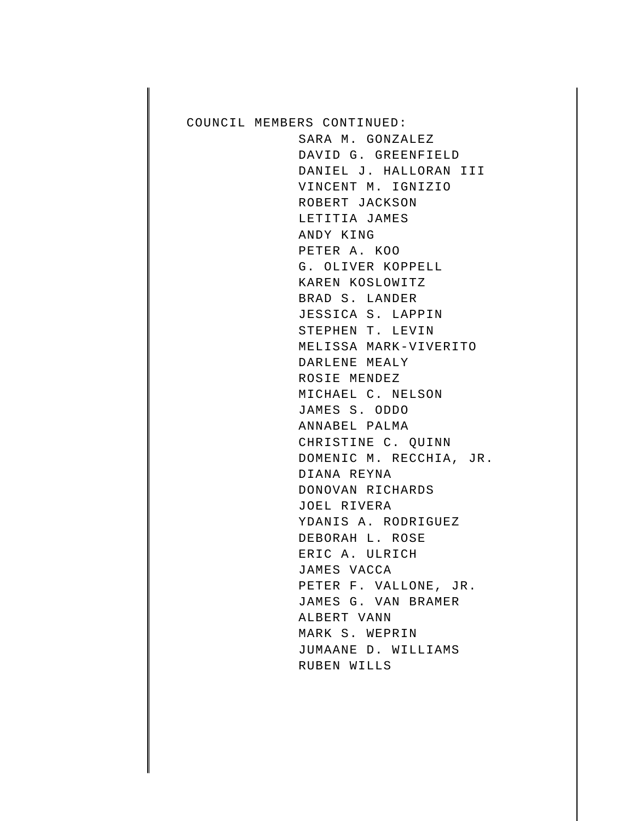COUNCIL MEMBERS CONTINUED: SARA M. GONZALEZ DAVID G. GREENFIELD DANIEL J. HALLORAN III VINCENT M. IGNIZIO ROBERT JACKSON LETITIA JAMES ANDY KING PETER A. KOO G. OLIVER KOPPELL KAREN KOSLOWITZ BRAD S. LANDER JESSICA S. LAPPIN STEPHEN T. LEVIN MELISSA MARK-VIVERITO DARLENE MEALY ROSIE MENDEZ MICHAEL C. NELSON JAMES S. ODDO ANNABEL PALMA CHRISTINE C. QUINN DOMENIC M. RECCHIA, JR. DIANA REYNA DONOVAN RICHARDS JOEL RIVERA YDANIS A. RODRIGUEZ DEBORAH L. ROSE ERIC A. ULRICH JAMES VACCA PETER F. VALLONE, JR. JAMES G. VAN BRAMER ALBERT VANN MARK S. WEPRIN JUMAANE D. WILLIAMS RUBEN WILLS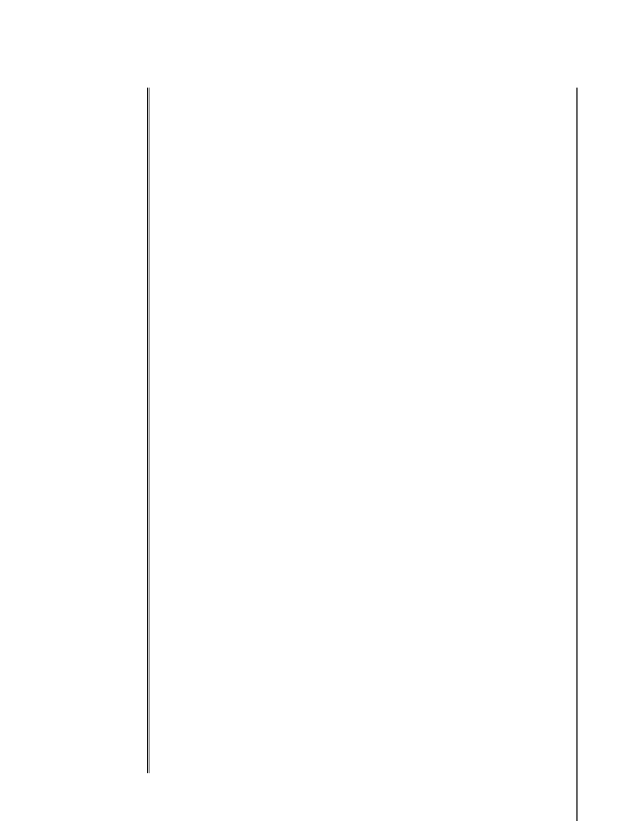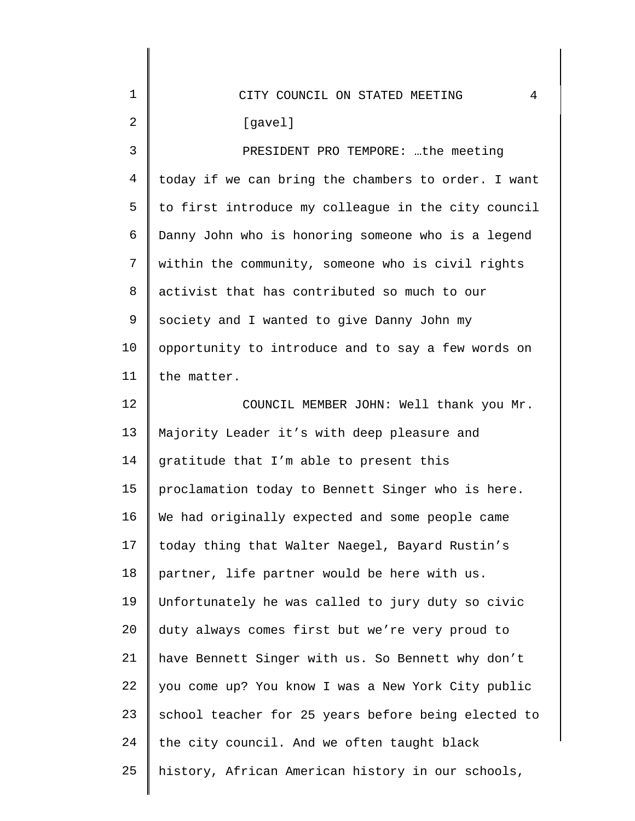| $\mathbf 1$ | 4<br>CITY COUNCIL ON STATED MEETING                 |
|-------------|-----------------------------------------------------|
| 2           | [gavel]                                             |
| 3           | PRESIDENT PRO TEMPORE: the meeting                  |
| 4           | today if we can bring the chambers to order. I want |
| 5           | to first introduce my colleague in the city council |
| 6           | Danny John who is honoring someone who is a legend  |
| 7           | within the community, someone who is civil rights   |
| 8           | activist that has contributed so much to our        |
| 9           | society and I wanted to give Danny John my          |
| 10          | opportunity to introduce and to say a few words on  |
| 11          | the matter.                                         |
| 12          | COUNCIL MEMBER JOHN: Well thank you Mr.             |
| 13          | Majority Leader it's with deep pleasure and         |
| 14          | gratitude that I'm able to present this             |
| 15          | proclamation today to Bennett Singer who is here.   |
| 16          | We had originally expected and some people came     |
| 17          | today thing that Walter Naegel, Bayard Rustin's     |
| 18          | partner, life partner would be here with us.        |
| 19          | Unfortunately he was called to jury duty so civic   |
| 20          | duty always comes first but we're very proud to     |
| 21          | have Bennett Singer with us. So Bennett why don't   |
| 22          | you come up? You know I was a New York City public  |
| 23          | school teacher for 25 years before being elected to |
| 24          | the city council. And we often taught black         |
| 25          | history, African American history in our schools,   |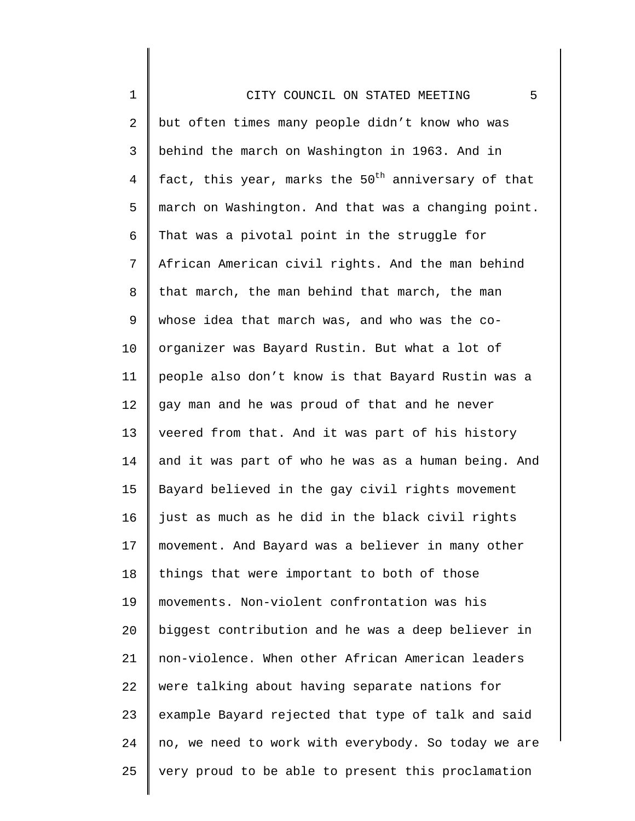| $\mathbf 1$ | 5<br>CITY COUNCIL ON STATED MEETING                             |
|-------------|-----------------------------------------------------------------|
| 2           | but often times many people didn't know who was                 |
| 3           | behind the march on Washington in 1963. And in                  |
| 4           | fact, this year, marks the 50 <sup>th</sup> anniversary of that |
| 5           | march on Washington. And that was a changing point.             |
| 6           | That was a pivotal point in the struggle for                    |
| 7           | African American civil rights. And the man behind               |
| 8           | that march, the man behind that march, the man                  |
| 9           | whose idea that march was, and who was the co-                  |
| 10          | organizer was Bayard Rustin. But what a lot of                  |
| 11          | people also don't know is that Bayard Rustin was a              |
| 12          | gay man and he was proud of that and he never                   |
| 13          | veered from that. And it was part of his history                |
| 14          | and it was part of who he was as a human being. And             |
| 15          | Bayard believed in the gay civil rights movement                |
| 16          | just as much as he did in the black civil rights                |
| 17          | movement. And Bayard was a believer in many other               |
| 18          | things that were important to both of those                     |
| 19          | movements. Non-violent confrontation was his                    |
| 20          | biggest contribution and he was a deep believer in              |
| 21          | non-violence. When other African American leaders               |
| 22          | were talking about having separate nations for                  |
| 23          | example Bayard rejected that type of talk and said              |
| 24          | no, we need to work with everybody. So today we are             |
| 25          | very proud to be able to present this proclamation              |
|             |                                                                 |

∥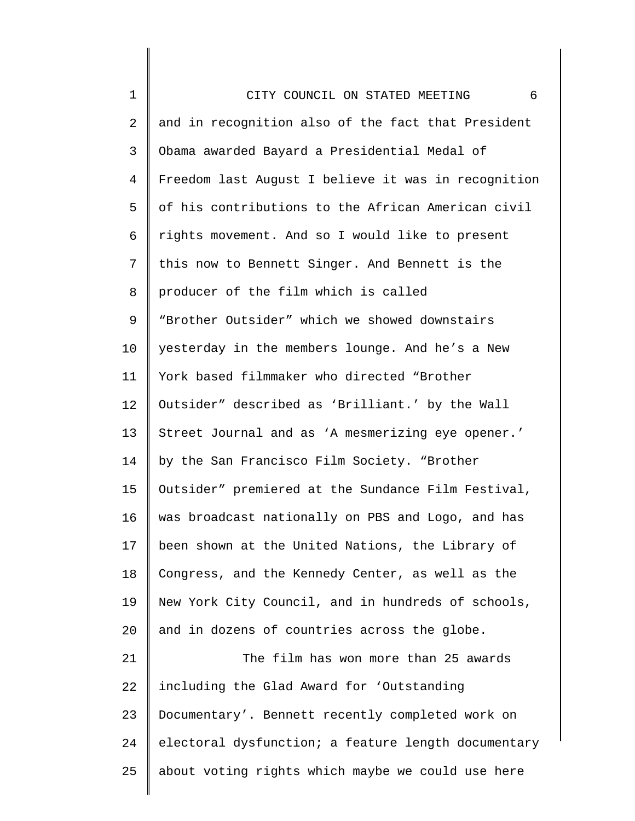| $\mathbf 1$ | 6<br>CITY COUNCIL ON STATED MEETING                 |
|-------------|-----------------------------------------------------|
| 2           | and in recognition also of the fact that President  |
| 3           | Obama awarded Bayard a Presidential Medal of        |
| 4           | Freedom last August I believe it was in recognition |
| 5           | of his contributions to the African American civil  |
| 6           | rights movement. And so I would like to present     |
| 7           | this now to Bennett Singer. And Bennett is the      |
| 8           | producer of the film which is called                |
| 9           | "Brother Outsider" which we showed downstairs       |
| 10          | yesterday in the members lounge. And he's a New     |
| 11          | York based filmmaker who directed "Brother          |
| 12          | Outsider" described as 'Brilliant.' by the Wall     |
| 13          | Street Journal and as 'A mesmerizing eye opener.'   |
| 14          | by the San Francisco Film Society. "Brother         |
| 15          | Outsider" premiered at the Sundance Film Festival,  |
| 16          | was broadcast nationally on PBS and Logo, and has   |
| 17          | been shown at the United Nations, the Library of    |
| 18          | Congress, and the Kennedy Center, as well as the    |
| 19          | New York City Council, and in hundreds of schools,  |
| 20          | and in dozens of countries across the globe.        |
| 21          | The film has won more than 25 awards                |
| 22          | including the Glad Award for 'Outstanding           |
| 23          | Documentary'. Bennett recently completed work on    |
| 24          | electoral dysfunction; a feature length documentary |
| 25          | about voting rights which maybe we could use here   |
|             |                                                     |

∥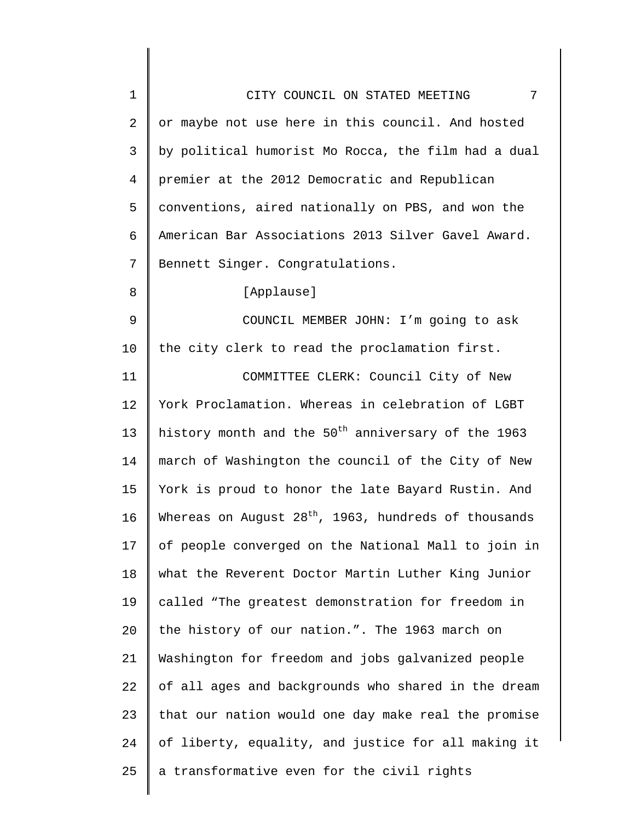| 1  | CITY COUNCIL ON STATED MEETING<br>7                              |
|----|------------------------------------------------------------------|
| 2  | or maybe not use here in this council. And hosted                |
| 3  | by political humorist Mo Rocca, the film had a dual              |
| 4  | premier at the 2012 Democratic and Republican                    |
| 5  | conventions, aired nationally on PBS, and won the                |
| 6  | American Bar Associations 2013 Silver Gavel Award.               |
| 7  | Bennett Singer. Congratulations.                                 |
| 8  | [Applause]                                                       |
| 9  | COUNCIL MEMBER JOHN: I'm going to ask                            |
| 10 | the city clerk to read the proclamation first.                   |
| 11 | COMMITTEE CLERK: Council City of New                             |
| 12 | York Proclamation. Whereas in celebration of LGBT                |
| 13 | history month and the 50 <sup>th</sup> anniversary of the 1963   |
| 14 | march of Washington the council of the City of New               |
| 15 | York is proud to honor the late Bayard Rustin. And               |
| 16 | Whereas on August 28 <sup>th</sup> , 1963, hundreds of thousands |
| 17 | of people converged on the National Mall to join in              |
| 18 | what the Reverent Doctor Martin Luther King Junior               |
| 19 | called "The greatest demonstration for freedom in                |
| 20 | the history of our nation.". The 1963 march on                   |
| 21 | Washington for freedom and jobs galvanized people                |
| 22 | of all ages and backgrounds who shared in the dream              |
| 23 | that our nation would one day make real the promise              |
| 24 | of liberty, equality, and justice for all making it              |
| 25 | a transformative even for the civil rights                       |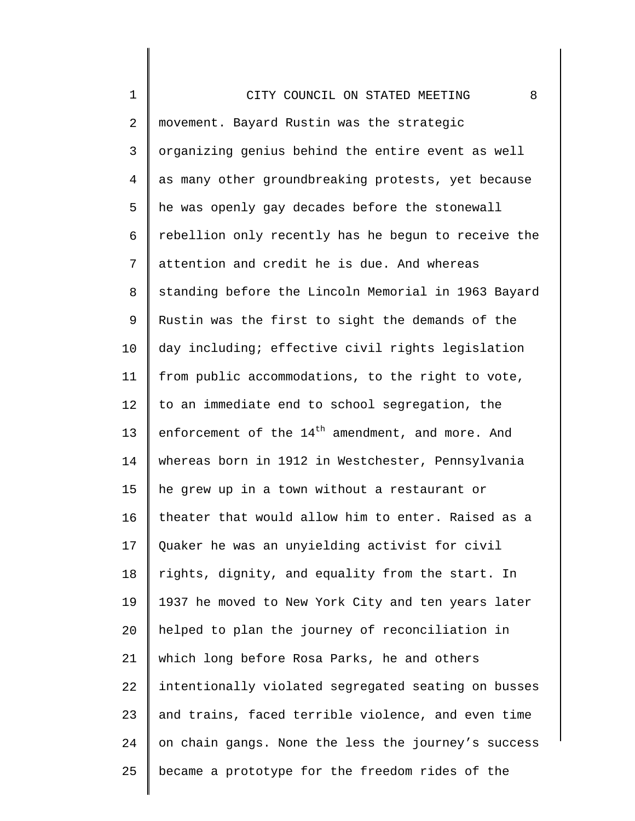1 2 3 4 5 6 7 8 9 10 11 12 13 14 15 16 17 18 19 20 21 22 23 24 25 CITY COUNCIL ON STATED MEETING 8 movement. Bayard Rustin was the strategic organizing genius behind the entire event as well as many other groundbreaking protests, yet because he was openly gay decades before the stonewall rebellion only recently has he begun to receive the attention and credit he is due. And whereas standing before the Lincoln Memorial in 1963 Bayard Rustin was the first to sight the demands of the day including; effective civil rights legislation from public accommodations, to the right to vote, to an immediate end to school segregation, the enforcement of the  $14<sup>th</sup>$  amendment, and more. And whereas born in 1912 in Westchester, Pennsylvania he grew up in a town without a restaurant or theater that would allow him to enter. Raised as a Quaker he was an unyielding activist for civil rights, dignity, and equality from the start. In 1937 he moved to New York City and ten years later helped to plan the journey of reconciliation in which long before Rosa Parks, he and others intentionally violated segregated seating on busses and trains, faced terrible violence, and even time on chain gangs. None the less the journey's success became a prototype for the freedom rides of the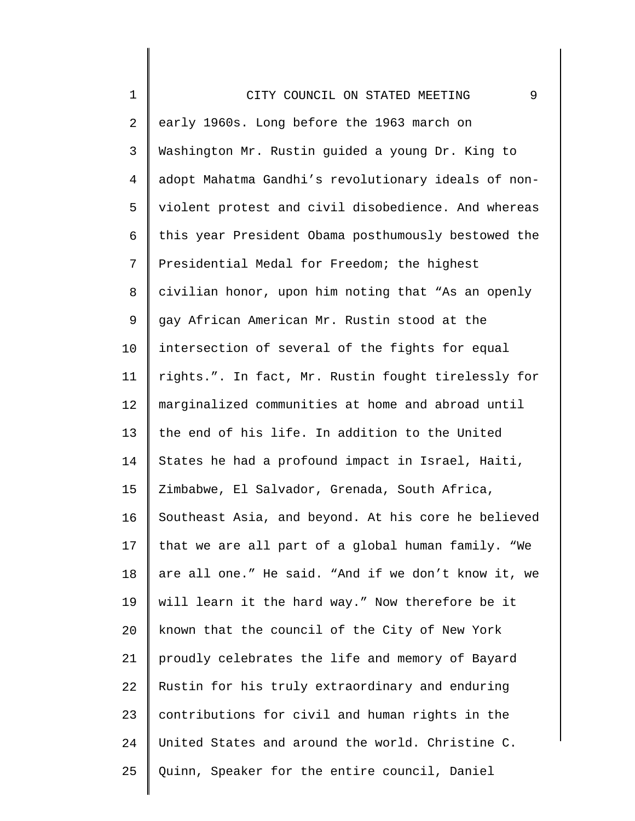| $\mathbf 1$ | 9<br>CITY COUNCIL ON STATED MEETING                 |
|-------------|-----------------------------------------------------|
| 2           | early 1960s. Long before the 1963 march on          |
| 3           | Washington Mr. Rustin guided a young Dr. King to    |
| 4           | adopt Mahatma Gandhi's revolutionary ideals of non- |
| 5           | violent protest and civil disobedience. And whereas |
| 6           | this year President Obama posthumously bestowed the |
| 7           | Presidential Medal for Freedom; the highest         |
| 8           | civilian honor, upon him noting that "As an openly  |
| 9           | gay African American Mr. Rustin stood at the        |
| 10          | intersection of several of the fights for equal     |
| 11          | rights.". In fact, Mr. Rustin fought tirelessly for |
| 12          | marginalized communities at home and abroad until   |
| 13          | the end of his life. In addition to the United      |
| 14          | States he had a profound impact in Israel, Haiti,   |
| 15          | Zimbabwe, El Salvador, Grenada, South Africa,       |
| 16          | Southeast Asia, and beyond. At his core he believed |
| 17          | that we are all part of a global human family. "We  |
| 18          | are all one." He said. "And if we don't know it, we |
| 19          | will learn it the hard way." Now therefore be it    |
| 20          | known that the council of the City of New York      |
| 21          | proudly celebrates the life and memory of Bayard    |
| 22          | Rustin for his truly extraordinary and enduring     |
| 23          | contributions for civil and human rights in the     |
| 24          | United States and around the world. Christine C.    |
| 25          | Quinn, Speaker for the entire council, Daniel       |
|             |                                                     |

∥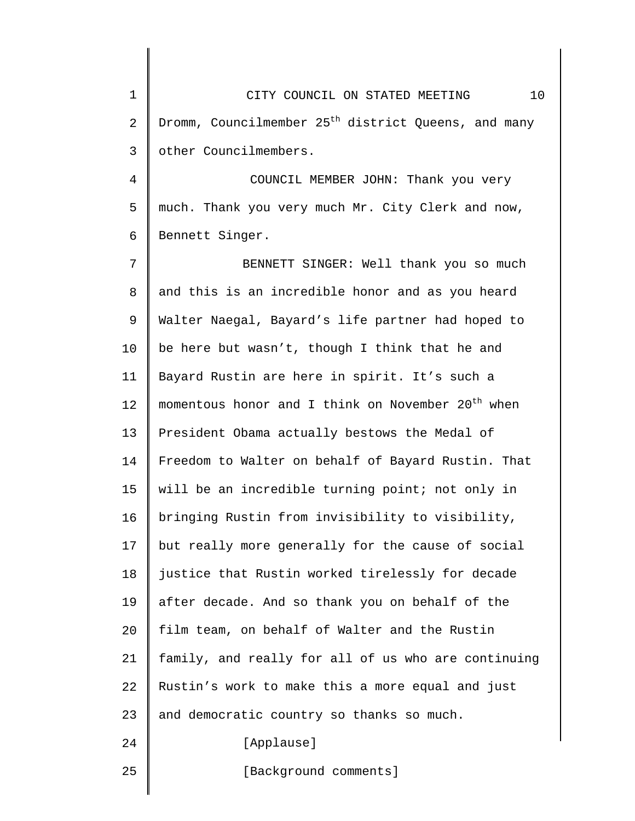1 2 3 CITY COUNCIL ON STATED MEETING 10 Dromm, Councilmember  $25<sup>th</sup>$  district Queens, and many other Councilmembers.

4 5 6 COUNCIL MEMBER JOHN: Thank you very much. Thank you very much Mr. City Clerk and now, Bennett Singer.

7 8 9 10 11 12 13 14 15 16 17 18 19 20 21 22 23 24 BENNETT SINGER: Well thank you so much and this is an incredible honor and as you heard Walter Naegal, Bayard's life partner had hoped to be here but wasn't, though I think that he and Bayard Rustin are here in spirit. It's such a momentous honor and I think on November  $20<sup>th</sup>$  when President Obama actually bestows the Medal of Freedom to Walter on behalf of Bayard Rustin. That will be an incredible turning point; not only in bringing Rustin from invisibility to visibility, but really more generally for the cause of social justice that Rustin worked tirelessly for decade after decade. And so thank you on behalf of the film team, on behalf of Walter and the Rustin family, and really for all of us who are continuing Rustin's work to make this a more equal and just and democratic country so thanks so much. [Applause]

25

[Background comments]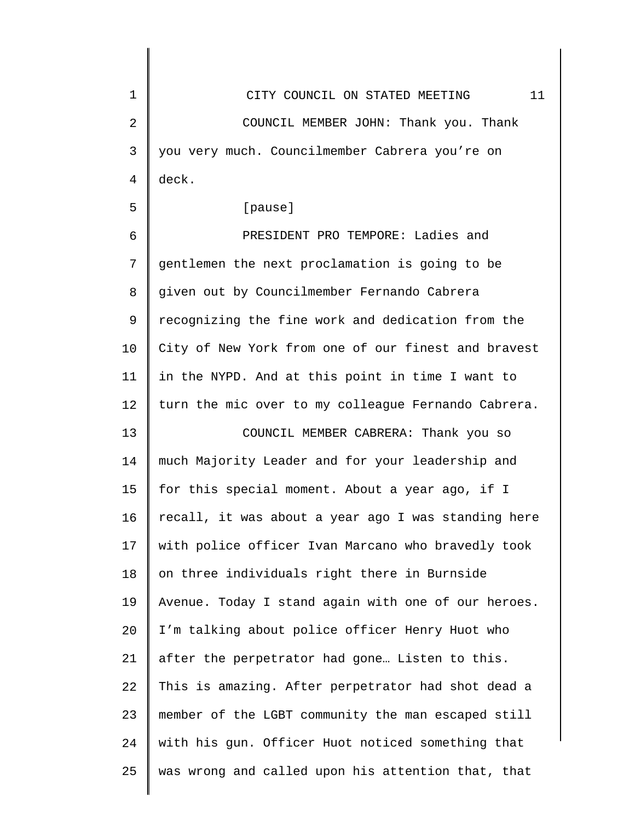| $\mathbf 1$ | 11<br>CITY COUNCIL ON STATED MEETING                |
|-------------|-----------------------------------------------------|
| 2           | COUNCIL MEMBER JOHN: Thank you. Thank               |
| 3           | you very much. Councilmember Cabrera you're on      |
| 4           | deck.                                               |
| 5           | [pause]                                             |
| 6           | PRESIDENT PRO TEMPORE: Ladies and                   |
| 7           | gentlemen the next proclamation is going to be      |
| 8           | given out by Councilmember Fernando Cabrera         |
| 9           | recognizing the fine work and dedication from the   |
| 10          | City of New York from one of our finest and bravest |
| 11          | in the NYPD. And at this point in time I want to    |
| 12          | turn the mic over to my colleague Fernando Cabrera. |
| 13          | COUNCIL MEMBER CABRERA: Thank you so                |
| 14          | much Majority Leader and for your leadership and    |
| 15          | for this special moment. About a year ago, if I     |
| 16          | recall, it was about a year ago I was standing here |
| 17          | with police officer Ivan Marcano who bravedly took  |
| 18          | on three individuals right there in Burnside        |
| 19          | Avenue. Today I stand again with one of our heroes. |
| 20          | I'm talking about police officer Henry Huot who     |
| 21          | after the perpetrator had gone Listen to this.      |
| 22          | This is amazing. After perpetrator had shot dead a  |
| 23          | member of the LGBT community the man escaped still  |
| 24          | with his gun. Officer Huot noticed something that   |
| 25          | was wrong and called upon his attention that, that  |
|             |                                                     |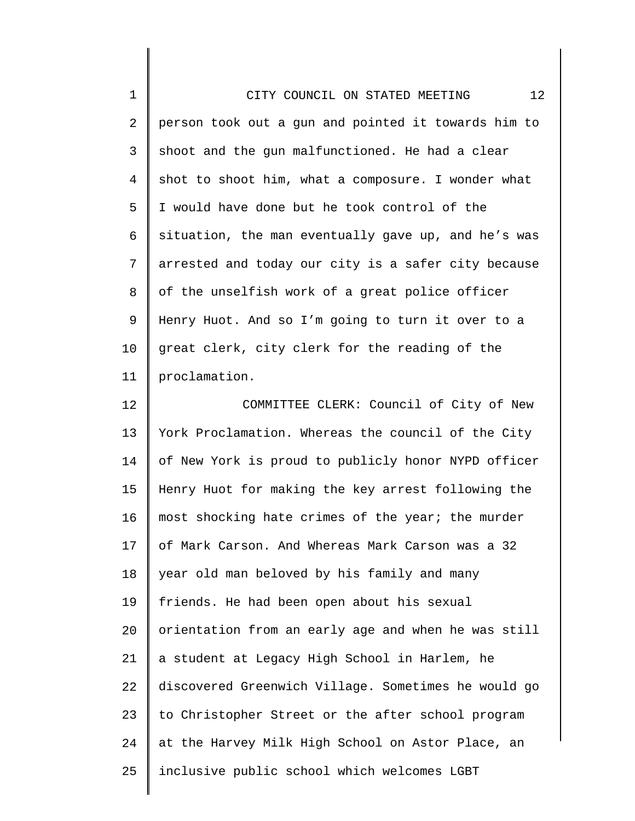1 2 3 4 5 6 7 8 9 10 11 12 13 14 15 16 17 18 19 20 21 22 CITY COUNCIL ON STATED MEETING 12 person took out a gun and pointed it towards him to shoot and the gun malfunctioned. He had a clear shot to shoot him, what a composure. I wonder what I would have done but he took control of the situation, the man eventually gave up, and he's was arrested and today our city is a safer city because of the unselfish work of a great police officer Henry Huot. And so I'm going to turn it over to a great clerk, city clerk for the reading of the proclamation. COMMITTEE CLERK: Council of City of New York Proclamation. Whereas the council of the City of New York is proud to publicly honor NYPD officer Henry Huot for making the key arrest following the most shocking hate crimes of the year; the murder of Mark Carson. And Whereas Mark Carson was a 32 year old man beloved by his family and many friends. He had been open about his sexual orientation from an early age and when he was still a student at Legacy High School in Harlem, he discovered Greenwich Village. Sometimes he would go

23 24 25 to Christopher Street or the after school program at the Harvey Milk High School on Astor Place, an inclusive public school which welcomes LGBT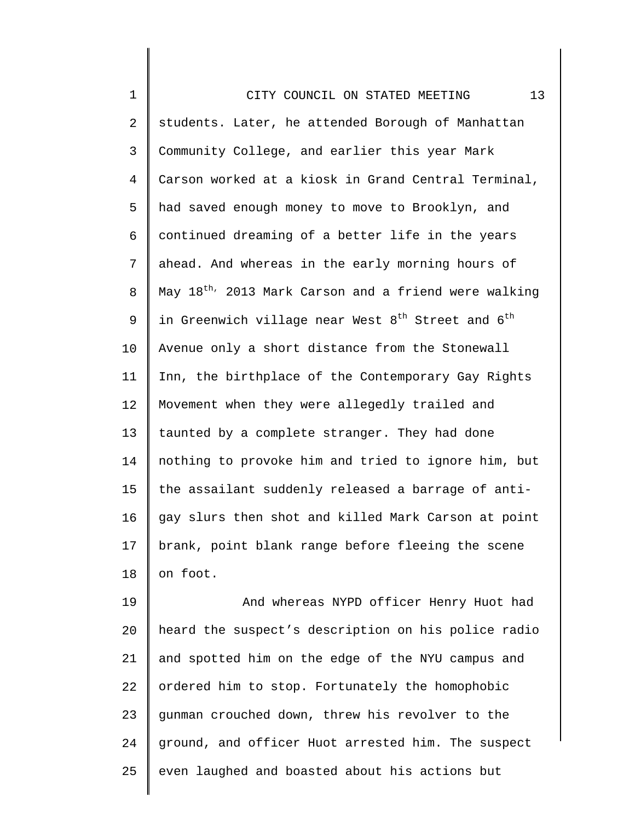1 2 3 4 5 6 7 8 9 10 11 12 13 14 15 16 17 18 19 CITY COUNCIL ON STATED MEETING 13 students. Later, he attended Borough of Manhattan Community College, and earlier this year Mark Carson worked at a kiosk in Grand Central Terminal, had saved enough money to move to Brooklyn, and continued dreaming of a better life in the years ahead. And whereas in the early morning hours of May 18<sup>th,</sup> 2013 Mark Carson and a friend were walking in Greenwich village near West  $8<sup>th</sup>$  Street and  $6<sup>th</sup>$ Avenue only a short distance from the Stonewall Inn, the birthplace of the Contemporary Gay Rights Movement when they were allegedly trailed and taunted by a complete stranger. They had done nothing to provoke him and tried to ignore him, but the assailant suddenly released a barrage of antigay slurs then shot and killed Mark Carson at point brank, point blank range before fleeing the scene on foot. And whereas NYPD officer Henry Huot had

20 21 22 23 24 25 heard the suspect's description on his police radio and spotted him on the edge of the NYU campus and ordered him to stop. Fortunately the homophobic gunman crouched down, threw his revolver to the ground, and officer Huot arrested him. The suspect even laughed and boasted about his actions but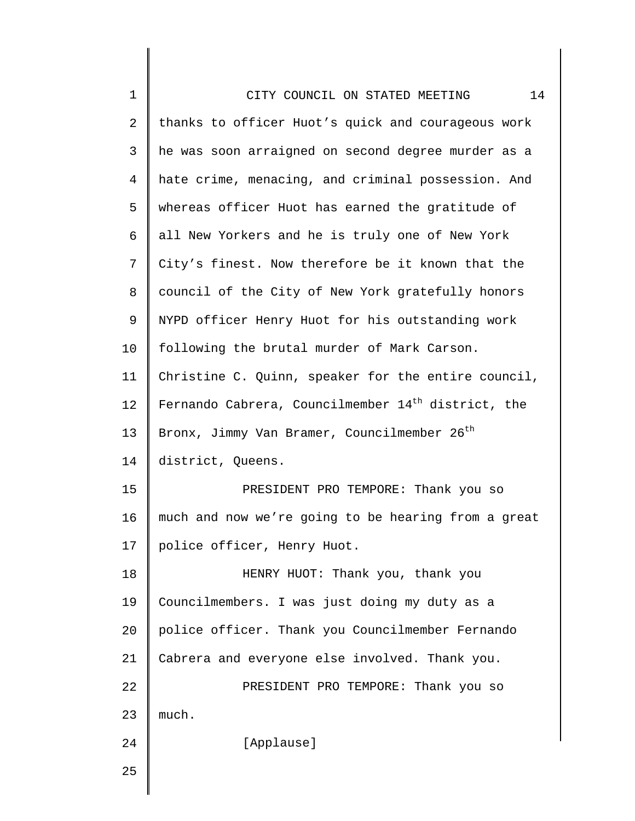| $\mathbf 1$ | 14<br>CITY COUNCIL ON STATED MEETING                           |
|-------------|----------------------------------------------------------------|
| 2           | thanks to officer Huot's quick and courageous work             |
| 3           | he was soon arraigned on second degree murder as a             |
| 4           | hate crime, menacing, and criminal possession. And             |
| 5           | whereas officer Huot has earned the gratitude of               |
| 6           | all New Yorkers and he is truly one of New York                |
| 7           | City's finest. Now therefore be it known that the              |
| 8           | council of the City of New York gratefully honors              |
| 9           | NYPD officer Henry Huot for his outstanding work               |
| 10          | following the brutal murder of Mark Carson.                    |
| 11          | Christine C. Quinn, speaker for the entire council,            |
| 12          | Fernando Cabrera, Councilmember 14 <sup>th</sup> district, the |
| 13          | Bronx, Jimmy Van Bramer, Councilmember 26 <sup>th</sup>        |
| 14          | district, Queens.                                              |
| 15          | PRESIDENT PRO TEMPORE: Thank you so                            |
| 16          | much and now we're going to be hearing from a great            |
| 17          | police officer, Henry Huot.                                    |
| 18          | HENRY HUOT: Thank you, thank you                               |
| 19          | Councilmembers. I was just doing my duty as a                  |
| 20          | police officer. Thank you Councilmember Fernando               |
| 21          | Cabrera and everyone else involved. Thank you.                 |
| 22          | PRESIDENT PRO TEMPORE: Thank you so                            |
| 23          | much.                                                          |
| 24          | [Applause]                                                     |
| 25          |                                                                |
|             |                                                                |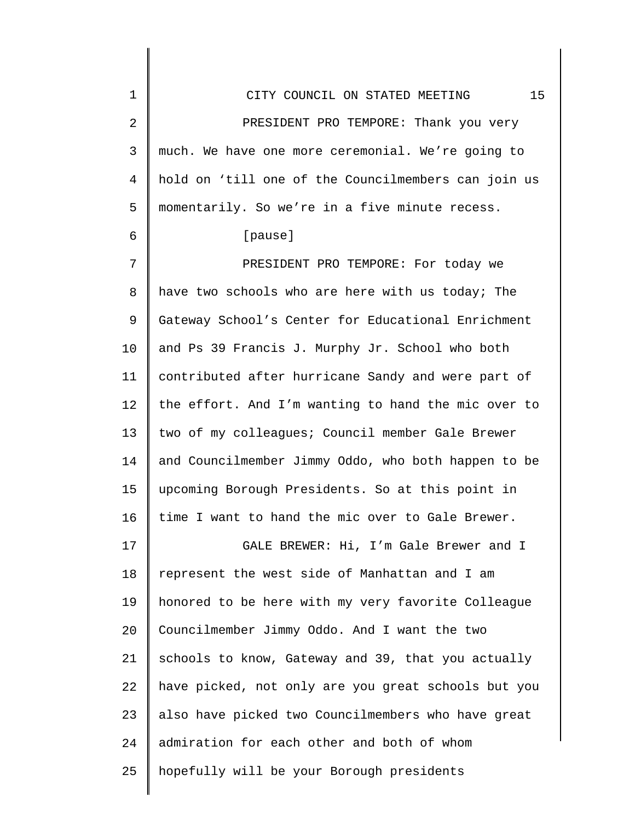| $\mathbf 1$    | 15<br>CITY COUNCIL ON STATED MEETING                |
|----------------|-----------------------------------------------------|
| $\overline{2}$ | PRESIDENT PRO TEMPORE: Thank you very               |
| 3              | much. We have one more ceremonial. We're going to   |
| 4              | hold on 'till one of the Councilmembers can join us |
| 5              | momentarily. So we're in a five minute recess.      |
| 6              | [pause]                                             |
| 7              | PRESIDENT PRO TEMPORE: For today we                 |
| 8              | have two schools who are here with us today; The    |
| 9              | Gateway School's Center for Educational Enrichment  |
| 10             | and Ps 39 Francis J. Murphy Jr. School who both     |
| 11             | contributed after hurricane Sandy and were part of  |
| 12             | the effort. And I'm wanting to hand the mic over to |
| 13             | two of my colleagues; Council member Gale Brewer    |
| 14             | and Councilmember Jimmy Oddo, who both happen to be |
| 15             | upcoming Borough Presidents. So at this point in    |
| 16             | time I want to hand the mic over to Gale Brewer.    |
| $17\,$         | GALE BREWER: Hi, I'm Gale Brewer and I              |
| 18             | represent the west side of Manhattan and I am       |
| 19             | honored to be here with my very favorite Colleague  |
| 20             | Councilmember Jimmy Oddo. And I want the two        |
| 21             | schools to know, Gateway and 39, that you actually  |
| 22             | have picked, not only are you great schools but you |
| 23             | also have picked two Councilmembers who have great  |
| 24             | admiration for each other and both of whom          |
| 25             | hopefully will be your Borough presidents           |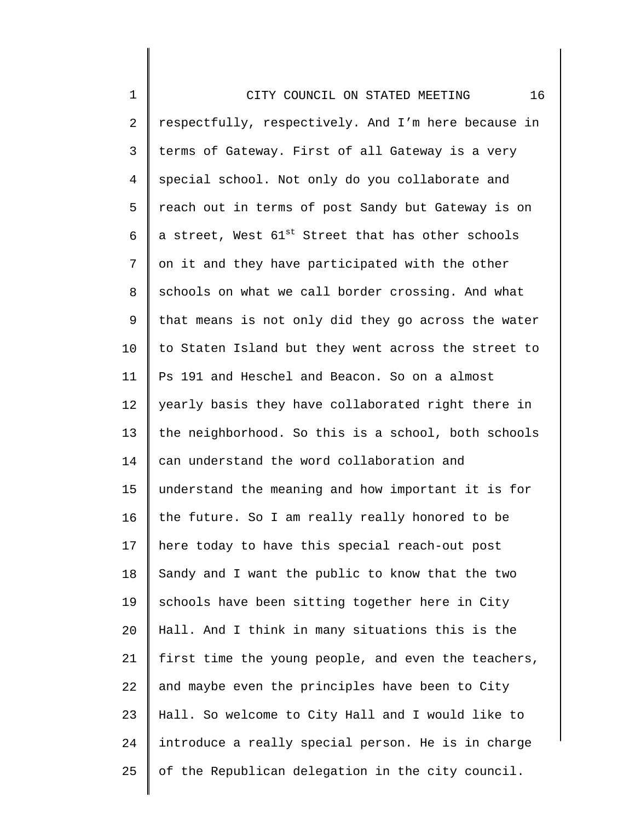| $\mathbf 1$    | 16<br>CITY COUNCIL ON STATED MEETING                   |
|----------------|--------------------------------------------------------|
| 2              | respectfully, respectively. And I'm here because in    |
| 3              | terms of Gateway. First of all Gateway is a very       |
| $\overline{4}$ | special school. Not only do you collaborate and        |
| 5              | reach out in terms of post Sandy but Gateway is on     |
| 6              | a street, West $61^{st}$ Street that has other schools |
| 7              | on it and they have participated with the other        |
| 8              | schools on what we call border crossing. And what      |
| 9              | that means is not only did they go across the water    |
| 10             | to Staten Island but they went across the street to    |
| 11             | Ps 191 and Heschel and Beacon. So on a almost          |
| 12             | yearly basis they have collaborated right there in     |
| 13             | the neighborhood. So this is a school, both schools    |
| 14             | can understand the word collaboration and              |
| 15             | understand the meaning and how important it is for     |
| 16             | the future. So I am really really honored to be        |
| 17             | here today to have this special reach-out post         |
| 18             | Sandy and I want the public to know that the two       |
| 19             | schools have been sitting together here in City        |
| 20             | Hall. And I think in many situations this is the       |
| 21             | first time the young people, and even the teachers,    |
| 22             | and maybe even the principles have been to City        |
| 23             | Hall. So welcome to City Hall and I would like to      |
| 24             | introduce a really special person. He is in charge     |
| 25             | of the Republican delegation in the city council.      |
|                |                                                        |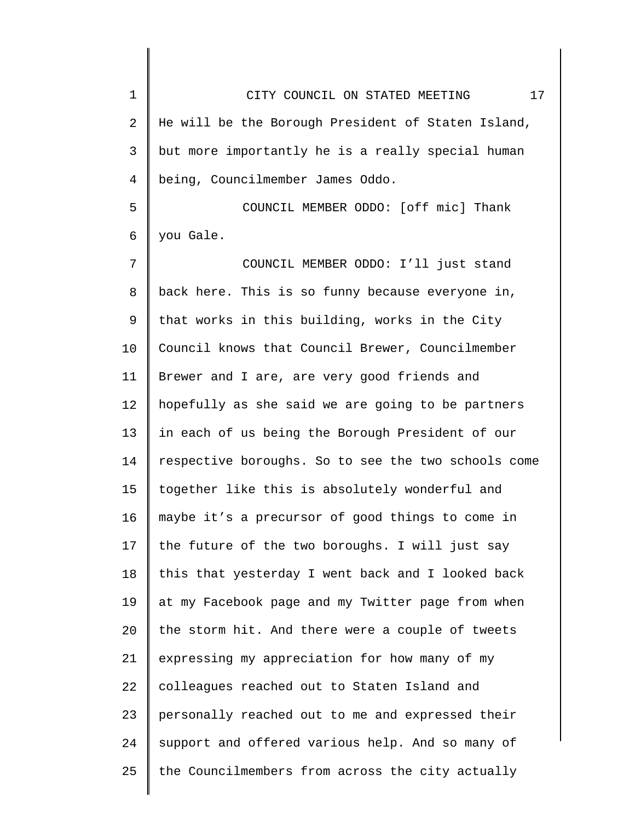1 2 3 4 CITY COUNCIL ON STATED MEETING 17 He will be the Borough President of Staten Island, but more importantly he is a really special human being, Councilmember James Oddo.

5 6 COUNCIL MEMBER ODDO: [off mic] Thank you Gale.

7 8 9 10 11 12 13 14 15 16 17 18 19 20 21 22 23 24 25 COUNCIL MEMBER ODDO: I'll just stand back here. This is so funny because everyone in, that works in this building, works in the City Council knows that Council Brewer, Councilmember Brewer and I are, are very good friends and hopefully as she said we are going to be partners in each of us being the Borough President of our respective boroughs. So to see the two schools come together like this is absolutely wonderful and maybe it's a precursor of good things to come in the future of the two boroughs. I will just say this that yesterday I went back and I looked back at my Facebook page and my Twitter page from when the storm hit. And there were a couple of tweets expressing my appreciation for how many of my colleagues reached out to Staten Island and personally reached out to me and expressed their support and offered various help. And so many of the Councilmembers from across the city actually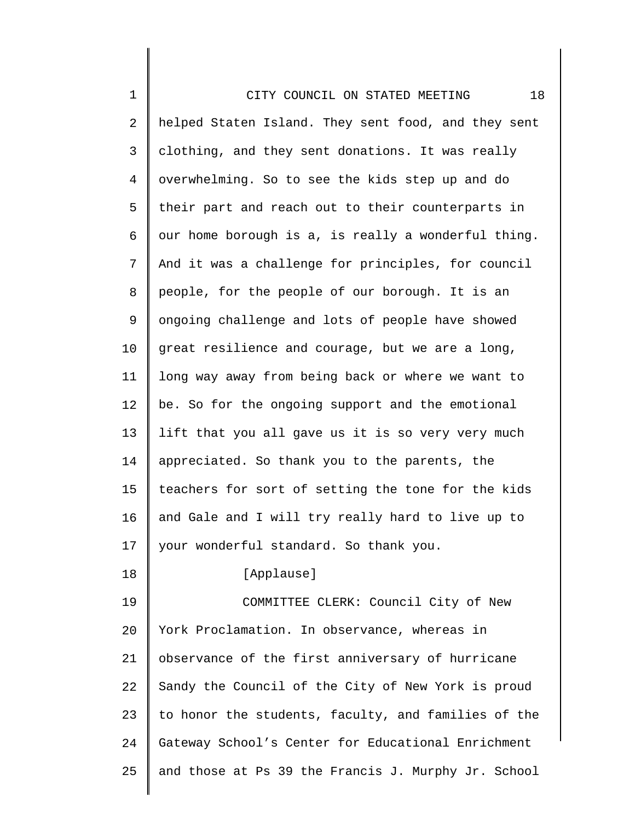1 2 3 4 5 6 7 8 9 10 11 12 13 14 15 16 17 18 19 20 21 22 23 24 25 CITY COUNCIL ON STATED MEETING 18 helped Staten Island. They sent food, and they sent clothing, and they sent donations. It was really overwhelming. So to see the kids step up and do their part and reach out to their counterparts in our home borough is a, is really a wonderful thing. And it was a challenge for principles, for council people, for the people of our borough. It is an ongoing challenge and lots of people have showed great resilience and courage, but we are a long, long way away from being back or where we want to be. So for the ongoing support and the emotional lift that you all gave us it is so very very much appreciated. So thank you to the parents, the teachers for sort of setting the tone for the kids and Gale and I will try really hard to live up to your wonderful standard. So thank you. [Applause] COMMITTEE CLERK: Council City of New York Proclamation. In observance, whereas in observance of the first anniversary of hurricane Sandy the Council of the City of New York is proud to honor the students, faculty, and families of the Gateway School's Center for Educational Enrichment and those at Ps 39 the Francis J. Murphy Jr. School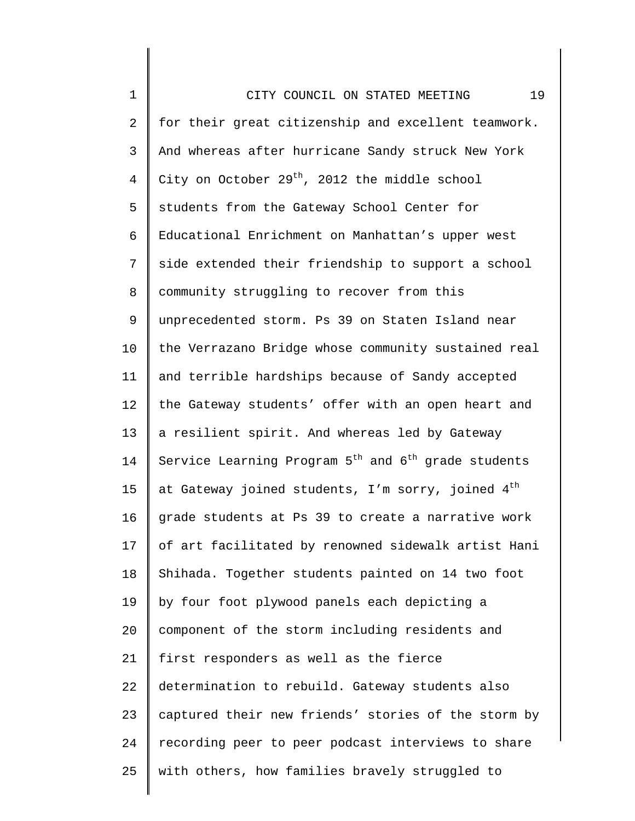1 2 3 4 5 6 7 8 9 10 11 12 13 14 15 16 17 18 19 20 21 22 23 24 25 CITY COUNCIL ON STATED MEETING 19 for their great citizenship and excellent teamwork. And whereas after hurricane Sandy struck New York City on October  $29<sup>th</sup>$ , 2012 the middle school students from the Gateway School Center for Educational Enrichment on Manhattan's upper west side extended their friendship to support a school community struggling to recover from this unprecedented storm. Ps 39 on Staten Island near the Verrazano Bridge whose community sustained real and terrible hardships because of Sandy accepted the Gateway students' offer with an open heart and a resilient spirit. And whereas led by Gateway Service Learning Program  $5<sup>th</sup>$  and  $6<sup>th</sup>$  grade students at Gateway joined students,  $I'm$  sorry, joined  $4<sup>th</sup>$ grade students at Ps 39 to create a narrative work of art facilitated by renowned sidewalk artist Hani Shihada. Together students painted on 14 two foot by four foot plywood panels each depicting a component of the storm including residents and first responders as well as the fierce determination to rebuild. Gateway students also captured their new friends' stories of the storm by recording peer to peer podcast interviews to share with others, how families bravely struggled to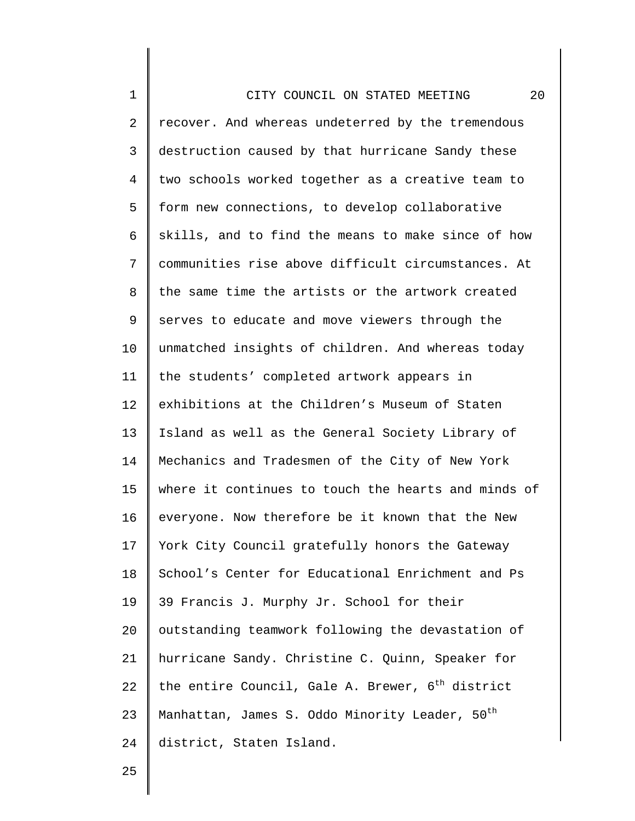1 2 3 4 5 6 7 8 9 10 11 12 13 14 15 16 17 18 19 20 21 22 23 24 CITY COUNCIL ON STATED MEETING 20 recover. And whereas undeterred by the tremendous destruction caused by that hurricane Sandy these two schools worked together as a creative team to form new connections, to develop collaborative skills, and to find the means to make since of how communities rise above difficult circumstances. At the same time the artists or the artwork created serves to educate and move viewers through the unmatched insights of children. And whereas today the students' completed artwork appears in exhibitions at the Children's Museum of Staten Island as well as the General Society Library of Mechanics and Tradesmen of the City of New York where it continues to touch the hearts and minds of everyone. Now therefore be it known that the New York City Council gratefully honors the Gateway School's Center for Educational Enrichment and Ps 39 Francis J. Murphy Jr. School for their outstanding teamwork following the devastation of hurricane Sandy. Christine C. Quinn, Speaker for the entire Council, Gale A. Brewer,  $6^{th}$  district Manhattan, James S. Oddo Minority Leader, 50<sup>th</sup> district, Staten Island.

25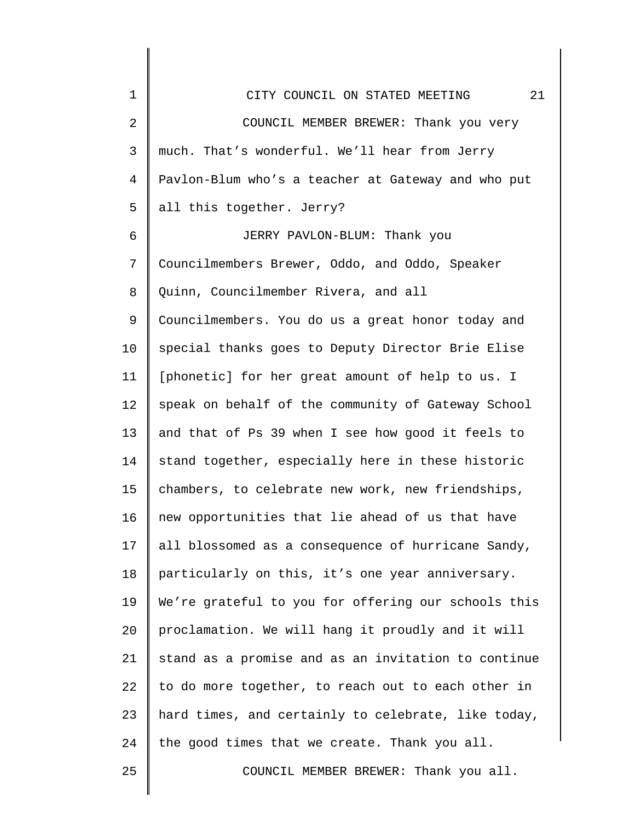| 1              | 21<br>CITY COUNCIL ON STATED MEETING                |
|----------------|-----------------------------------------------------|
| $\overline{2}$ | COUNCIL MEMBER BREWER: Thank you very               |
| 3              | much. That's wonderful. We'll hear from Jerry       |
| 4              | Pavlon-Blum who's a teacher at Gateway and who put  |
| 5              | all this together. Jerry?                           |
| 6              | JERRY PAVLON-BLUM: Thank you                        |
| 7              | Councilmembers Brewer, Oddo, and Oddo, Speaker      |
| 8              | Quinn, Councilmember Rivera, and all                |
| 9              | Councilmembers. You do us a great honor today and   |
| 10             | special thanks goes to Deputy Director Brie Elise   |
| 11             | [phonetic] for her great amount of help to us. I    |
| 12             | speak on behalf of the community of Gateway School  |
| 13             | and that of Ps 39 when I see how good it feels to   |
| 14             | stand together, especially here in these historic   |
| 15             | chambers, to celebrate new work, new friendships,   |
| 16             | new opportunities that lie ahead of us that have    |
| 17             | all blossomed as a consequence of hurricane Sandy,  |
| 18             | particularly on this, it's one year anniversary.    |
| 19             | We're grateful to you for offering our schools this |
| 20             | proclamation. We will hang it proudly and it will   |
| 21             | stand as a promise and as an invitation to continue |
| 22             | to do more together, to reach out to each other in  |
| 23             | hard times, and certainly to celebrate, like today, |
| 24             | the good times that we create. Thank you all.       |
| 25             | COUNCIL MEMBER BREWER: Thank you all.               |
|                |                                                     |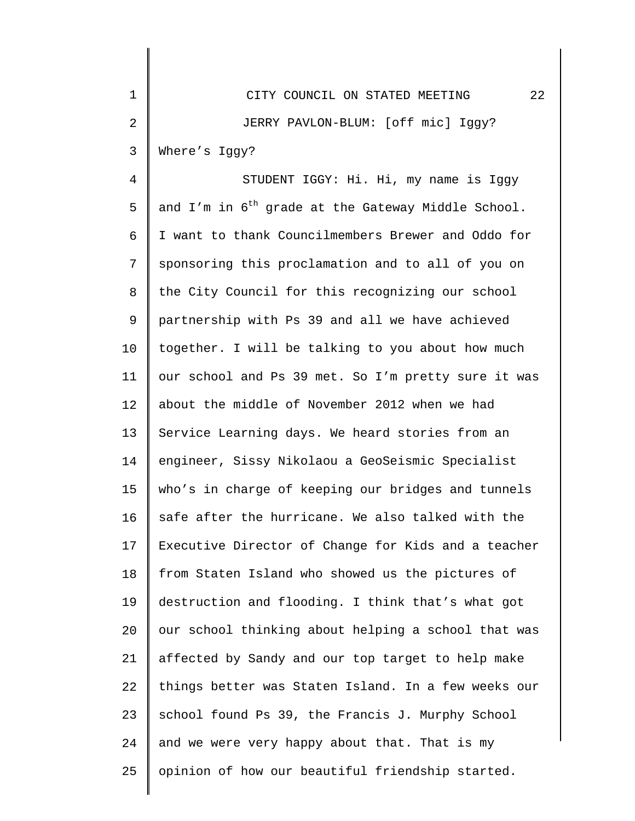| $\mathbf 1$ | 22<br>CITY COUNCIL ON STATED MEETING                           |
|-------------|----------------------------------------------------------------|
| 2           | JERRY PAVLON-BLUM: [off mic] Iggy?                             |
| 3           | Where's Iggy?                                                  |
| 4           | STUDENT IGGY: Hi. Hi, my name is Iggy                          |
| 5           | and I'm in 6 <sup>th</sup> grade at the Gateway Middle School. |
| 6           | I want to thank Councilmembers Brewer and Oddo for             |
| 7           | sponsoring this proclamation and to all of you on              |
| 8           | the City Council for this recognizing our school               |
| 9           | partnership with Ps 39 and all we have achieved                |
| 10          | together. I will be talking to you about how much              |
| 11          | our school and Ps 39 met. So I'm pretty sure it was            |
| 12          | about the middle of November 2012 when we had                  |
| 13          | Service Learning days. We heard stories from an                |
| 14          | engineer, Sissy Nikolaou a GeoSeismic Specialist               |
| 15          | who's in charge of keeping our bridges and tunnels             |
| 16          | safe after the hurricane. We also talked with the              |
| 17          | Executive Director of Change for Kids and a teacher            |
| 18          | from Staten Island who showed us the pictures of               |
| 19          | destruction and flooding. I think that's what got              |
| 20          | our school thinking about helping a school that was            |
| 21          | affected by Sandy and our top target to help make              |
| 22          | things better was Staten Island. In a few weeks our            |
| 23          | school found Ps 39, the Francis J. Murphy School               |
| 24          | and we were very happy about that. That is my                  |
| 25          | opinion of how our beautiful friendship started.               |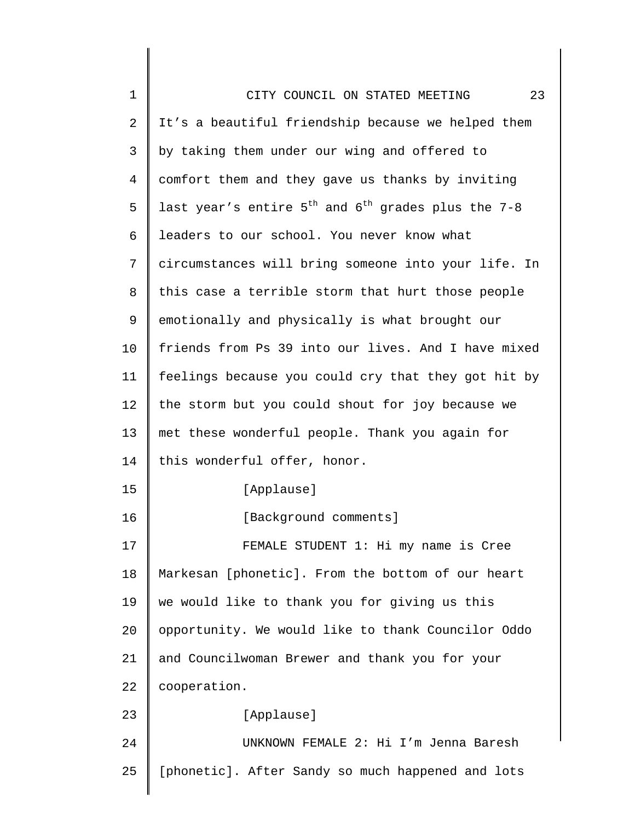| $\mathbf 1$ | CITY COUNCIL ON STATED MEETING<br>23                         |
|-------------|--------------------------------------------------------------|
| 2           | It's a beautiful friendship because we helped them           |
| 3           | by taking them under our wing and offered to                 |
| 4           | comfort them and they gave us thanks by inviting             |
| 5           | last year's entire $5^{th}$ and $6^{th}$ grades plus the 7-8 |
| б           | leaders to our school. You never know what                   |
| 7           | circumstances will bring someone into your life. In          |
| 8           | this case a terrible storm that hurt those people            |
| 9           | emotionally and physically is what brought our               |
| 10          | friends from Ps 39 into our lives. And I have mixed          |
| 11          | feelings because you could cry that they got hit by          |
| 12          | the storm but you could shout for joy because we             |
| 13          | met these wonderful people. Thank you again for              |
| 14          | this wonderful offer, honor.                                 |
| 15          | [Applause]                                                   |
| 16          | [Background comments]                                        |
| 17          | FEMALE STUDENT 1: Hi my name is Cree                         |
| 18          | Markesan [phonetic]. From the bottom of our heart            |
| 19          | we would like to thank you for giving us this                |
| 20          | opportunity. We would like to thank Councilor Oddo           |
| 21          | and Councilwoman Brewer and thank you for your               |
| 22          | cooperation.                                                 |
| 23          | [Applause]                                                   |
| 24          | UNKNOWN FEMALE 2: Hi I'm Jenna Baresh                        |
| 25          | [phonetic]. After Sandy so much happened and lots            |
|             |                                                              |

I ∥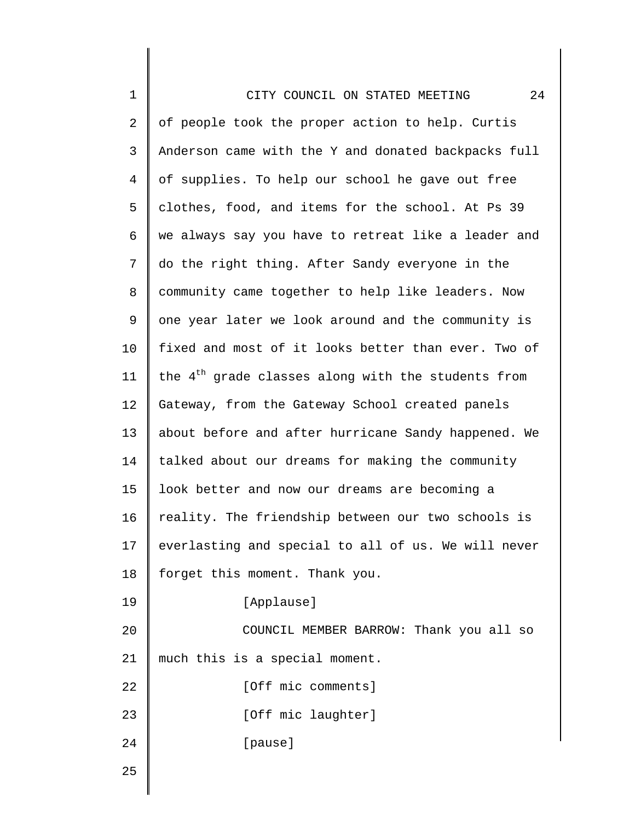| $\mathbf 1$ | 24<br>CITY COUNCIL ON STATED MEETING                           |
|-------------|----------------------------------------------------------------|
| 2           | of people took the proper action to help. Curtis               |
| 3           | Anderson came with the Y and donated backpacks full            |
| 4           | of supplies. To help our school he gave out free               |
| 5           | clothes, food, and items for the school. At Ps 39              |
| 6           | we always say you have to retreat like a leader and            |
| 7           | do the right thing. After Sandy everyone in the                |
| 8           | community came together to help like leaders. Now              |
| 9           | one year later we look around and the community is             |
| 10          | fixed and most of it looks better than ever. Two of            |
| 11          | the 4 <sup>th</sup> grade classes along with the students from |
| 12          | Gateway, from the Gateway School created panels                |
| 13          | about before and after hurricane Sandy happened. We            |
| 14          | talked about our dreams for making the community               |
| 15          | look better and now our dreams are becoming a                  |
| 16          | reality. The friendship between our two schools is             |
| 17          | everlasting and special to all of us. We will never            |
| 18          | forget this moment. Thank you.                                 |
| 19          | [Applause]                                                     |
| 20          | COUNCIL MEMBER BARROW: Thank you all so                        |
| 21          | much this is a special moment.                                 |
| 22          | [Off mic comments]                                             |
| 23          | [Off mic laughter]                                             |
| 24          | [pause]                                                        |
| 25          |                                                                |
|             |                                                                |

║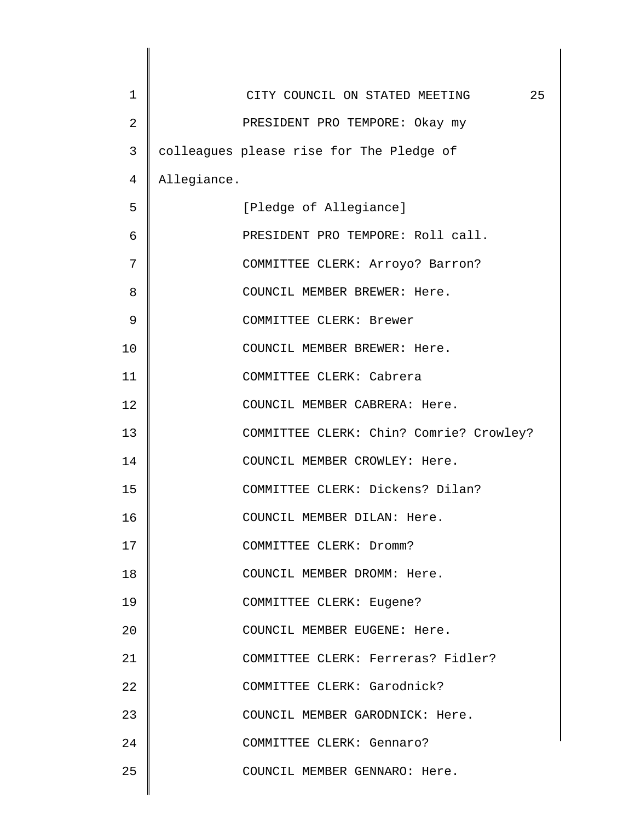| 1  | 25<br>CITY COUNCIL ON STATED MEETING     |
|----|------------------------------------------|
| 2  | PRESIDENT PRO TEMPORE: Okay my           |
| 3  | colleagues please rise for The Pledge of |
| 4  | Allegiance.                              |
| 5  | [Pledge of Allegiance]                   |
| 6  | PRESIDENT PRO TEMPORE: Roll call.        |
| 7  | COMMITTEE CLERK: Arroyo? Barron?         |
| 8  | COUNCIL MEMBER BREWER: Here.             |
| 9  | COMMITTEE CLERK: Brewer                  |
| 10 | COUNCIL MEMBER BREWER: Here.             |
| 11 | COMMITTEE CLERK: Cabrera                 |
| 12 | COUNCIL MEMBER CABRERA: Here.            |
| 13 | COMMITTEE CLERK: Chin? Comrie? Crowley?  |
| 14 | COUNCIL MEMBER CROWLEY: Here.            |
| 15 | COMMITTEE CLERK: Dickens? Dilan?         |
| 16 | COUNCIL MEMBER DILAN: Here.              |
| 17 | COMMITTEE CLERK: Dromm?                  |
| 18 | COUNCIL MEMBER DROMM: Here.              |
| 19 | COMMITTEE CLERK: Eugene?                 |
| 20 | COUNCIL MEMBER EUGENE: Here.             |
| 21 | COMMITTEE CLERK: Ferreras? Fidler?       |
| 22 | COMMITTEE CLERK: Garodnick?              |
| 23 | COUNCIL MEMBER GARODNICK: Here.          |
| 24 | COMMITTEE CLERK: Gennaro?                |
| 25 | COUNCIL MEMBER GENNARO: Here.            |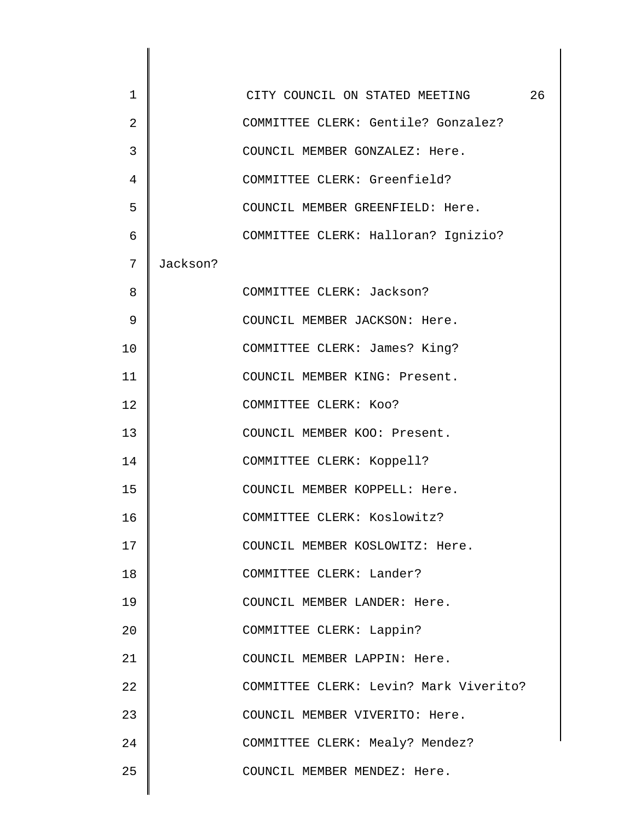| 1  |          | CITY COUNCIL ON STATED MEETING         | 26 |
|----|----------|----------------------------------------|----|
| 2  |          | COMMITTEE CLERK: Gentile? Gonzalez?    |    |
| 3  |          | COUNCIL MEMBER GONZALEZ: Here.         |    |
| 4  |          | COMMITTEE CLERK: Greenfield?           |    |
| 5  |          | COUNCIL MEMBER GREENFIELD: Here.       |    |
| 6  |          | COMMITTEE CLERK: Halloran? Ignizio?    |    |
| 7  | Jackson? |                                        |    |
| 8  |          | COMMITTEE CLERK: Jackson?              |    |
| 9  |          | COUNCIL MEMBER JACKSON: Here.          |    |
| 10 |          | COMMITTEE CLERK: James? King?          |    |
| 11 |          | COUNCIL MEMBER KING: Present.          |    |
| 12 |          | COMMITTEE CLERK: Koo?                  |    |
| 13 |          | COUNCIL MEMBER KOO: Present.           |    |
| 14 |          | COMMITTEE CLERK: Koppell?              |    |
| 15 |          | COUNCIL MEMBER KOPPELL: Here.          |    |
| 16 |          | COMMITTEE CLERK: Koslowitz?            |    |
| 17 |          | COUNCIL MEMBER KOSLOWITZ: Here.        |    |
| 18 |          | COMMITTEE CLERK: Lander?               |    |
| 19 |          | COUNCIL MEMBER LANDER: Here.           |    |
| 20 |          | COMMITTEE CLERK: Lappin?               |    |
| 21 |          | COUNCIL MEMBER LAPPIN: Here.           |    |
| 22 |          | COMMITTEE CLERK: Levin? Mark Viverito? |    |
| 23 |          | COUNCIL MEMBER VIVERITO: Here.         |    |
| 24 |          | COMMITTEE CLERK: Mealy? Mendez?        |    |
| 25 |          | COUNCIL MEMBER MENDEZ: Here.           |    |
|    |          |                                        |    |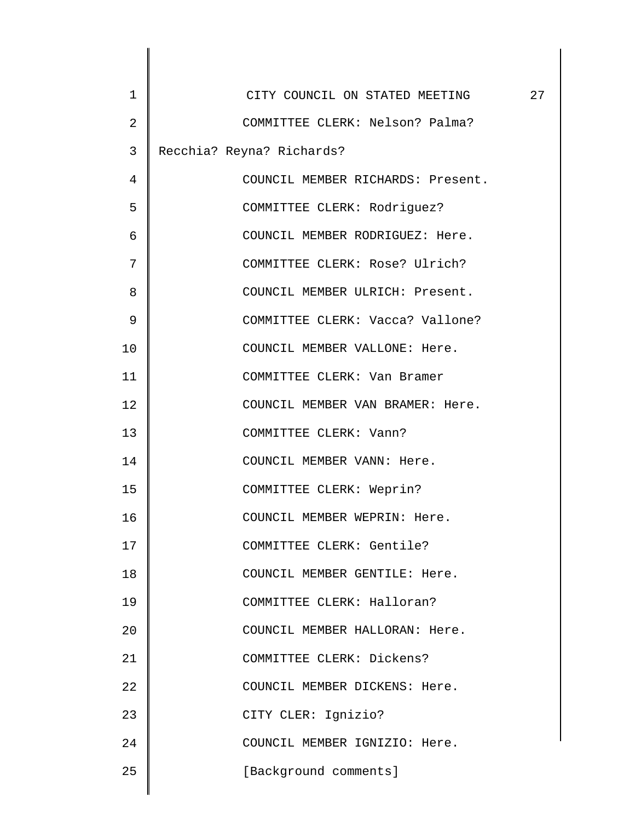| $\mathbf 1$ | CITY COUNCIL ON STATED MEETING 27 |  |
|-------------|-----------------------------------|--|
| 2           | COMMITTEE CLERK: Nelson? Palma?   |  |
| 3           | Recchia? Reyna? Richards?         |  |
| 4           | COUNCIL MEMBER RICHARDS: Present. |  |
| 5           | COMMITTEE CLERK: Rodriguez?       |  |
| 6           | COUNCIL MEMBER RODRIGUEZ: Here.   |  |
| 7           | COMMITTEE CLERK: Rose? Ulrich?    |  |
| 8           | COUNCIL MEMBER ULRICH: Present.   |  |
| 9           | COMMITTEE CLERK: Vacca? Vallone?  |  |
| 10          | COUNCIL MEMBER VALLONE: Here.     |  |
| 11          | COMMITTEE CLERK: Van Bramer       |  |
| 12          | COUNCIL MEMBER VAN BRAMER: Here.  |  |
| 13          | COMMITTEE CLERK: Vann?            |  |
| 14          | COUNCIL MEMBER VANN: Here.        |  |
| 15          | COMMITTEE CLERK: Weprin?          |  |
| 16          | COUNCIL MEMBER WEPRIN: Here.      |  |
| 17          | COMMITTEE CLERK: Gentile?         |  |
| 18          | COUNCIL MEMBER GENTILE: Here.     |  |
| 19          | COMMITTEE CLERK: Halloran?        |  |
| 20          | COUNCIL MEMBER HALLORAN: Here.    |  |
| 21          | COMMITTEE CLERK: Dickens?         |  |
| 22          | COUNCIL MEMBER DICKENS: Here.     |  |
| 23          | CITY CLER: Ignizio?               |  |
| 24          | COUNCIL MEMBER IGNIZIO: Here.     |  |
| 25          | [Background comments]             |  |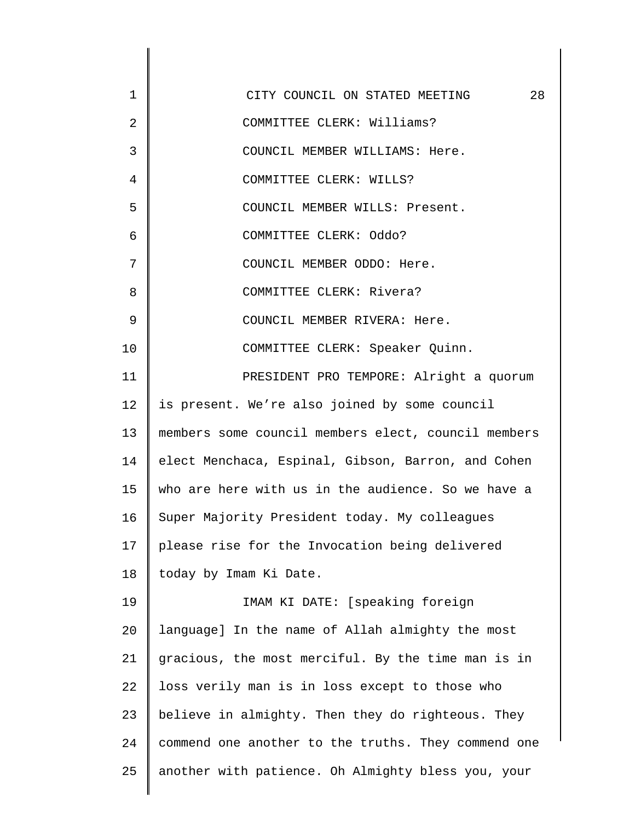1 2 3 4 5 6 7 8 9 10 11 12 13 14 15 16 17 18 19 20 21 22 23 24 25 CITY COUNCIL ON STATED MEETING 28 COMMITTEE CLERK: Williams? COUNCIL MEMBER WILLIAMS: Here. COMMITTEE CLERK: WILLS? COUNCIL MEMBER WILLS: Present. COMMITTEE CLERK: Oddo? COUNCIL MEMBER ODDO: Here. COMMITTEE CLERK: Rivera? COUNCIL MEMBER RIVERA: Here. COMMITTEE CLERK: Speaker Quinn. PRESIDENT PRO TEMPORE: Alright a quorum is present. We're also joined by some council members some council members elect, council members elect Menchaca, Espinal, Gibson, Barron, and Cohen who are here with us in the audience. So we have a Super Majority President today. My colleagues please rise for the Invocation being delivered today by Imam Ki Date. IMAM KI DATE: [speaking foreign language] In the name of Allah almighty the most gracious, the most merciful. By the time man is in loss verily man is in loss except to those who believe in almighty. Then they do righteous. They commend one another to the truths. They commend one another with patience. Oh Almighty bless you, your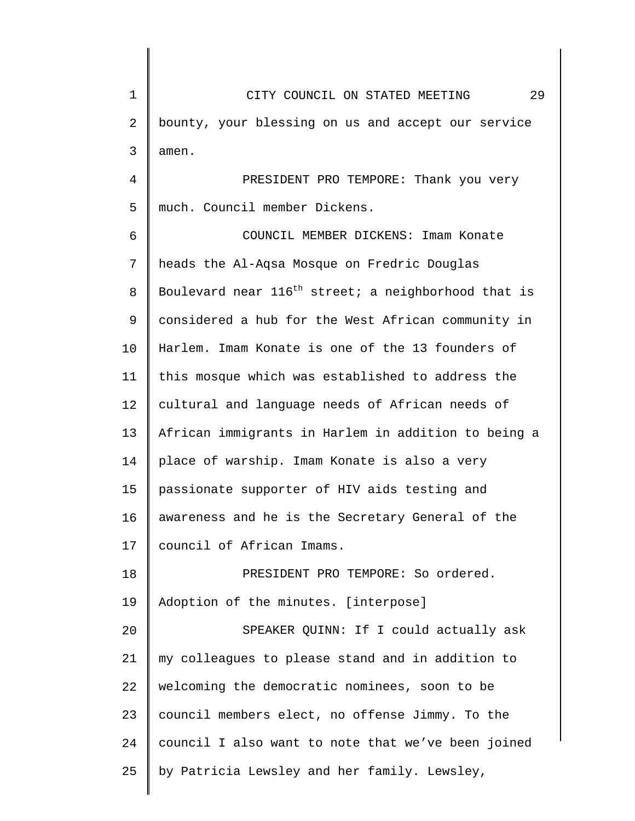1 2 3 4 5 6 7 8 9 10 11 12 13 14 15 16 17 18 19 20 21 22 23 24 25 CITY COUNCIL ON STATED MEETING 29 bounty, your blessing on us and accept our service amen. PRESIDENT PRO TEMPORE: Thank you very much. Council member Dickens. COUNCIL MEMBER DICKENS: Imam Konate heads the Al-Aqsa Mosque on Fredric Douglas Boulevard near  $116^{th}$  street; a neighborhood that is considered a hub for the West African community in Harlem. Imam Konate is one of the 13 founders of this mosque which was established to address the cultural and language needs of African needs of African immigrants in Harlem in addition to being a place of warship. Imam Konate is also a very passionate supporter of HIV aids testing and awareness and he is the Secretary General of the council of African Imams. PRESIDENT PRO TEMPORE: So ordered. Adoption of the minutes. [interpose] SPEAKER QUINN: If I could actually ask my colleagues to please stand and in addition to welcoming the democratic nominees, soon to be council members elect, no offense Jimmy. To the council I also want to note that we've been joined by Patricia Lewsley and her family. Lewsley,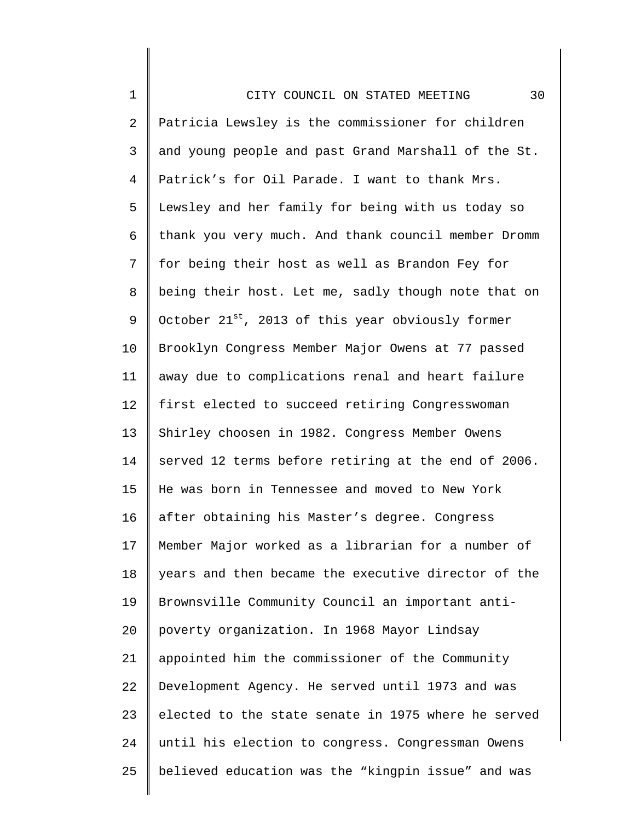1 2 3 4 5 6 7 8 9 10 11 12 13 14 15 16 17 18 19 20 21 22 23 24 25 CITY COUNCIL ON STATED MEETING 30 Patricia Lewsley is the commissioner for children and young people and past Grand Marshall of the St. Patrick's for Oil Parade. I want to thank Mrs. Lewsley and her family for being with us today so thank you very much. And thank council member Dromm for being their host as well as Brandon Fey for being their host. Let me, sadly though note that on October  $21^{st}$ , 2013 of this year obviously former Brooklyn Congress Member Major Owens at 77 passed away due to complications renal and heart failure first elected to succeed retiring Congresswoman Shirley choosen in 1982. Congress Member Owens served 12 terms before retiring at the end of 2006. He was born in Tennessee and moved to New York after obtaining his Master's degree. Congress Member Major worked as a librarian for a number of years and then became the executive director of the Brownsville Community Council an important antipoverty organization. In 1968 Mayor Lindsay appointed him the commissioner of the Community Development Agency. He served until 1973 and was elected to the state senate in 1975 where he served until his election to congress. Congressman Owens believed education was the "kingpin issue" and was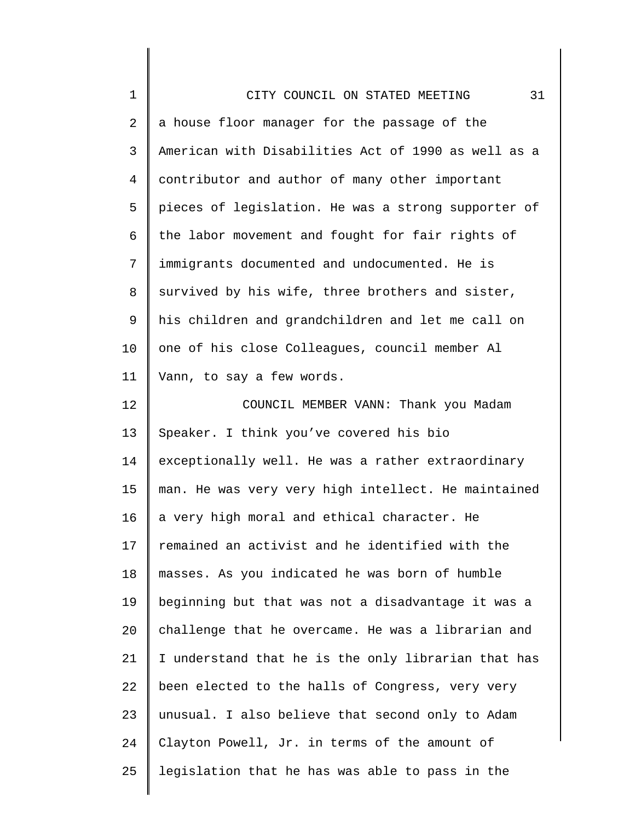| $\mathbf 1$    | 31<br>CITY COUNCIL ON STATED MEETING                |
|----------------|-----------------------------------------------------|
| 2              | a house floor manager for the passage of the        |
| 3              | American with Disabilities Act of 1990 as well as a |
| $\overline{4}$ | contributor and author of many other important      |
| 5              | pieces of legislation. He was a strong supporter of |
| 6              | the labor movement and fought for fair rights of    |
| 7              | immigrants documented and undocumented. He is       |
| 8              | survived by his wife, three brothers and sister,    |
| 9              | his children and grandchildren and let me call on   |
| 10             | one of his close Colleagues, council member Al      |
| 11             | Vann, to say a few words.                           |
| 12             | COUNCIL MEMBER VANN: Thank you Madam                |
| 13             | Speaker. I think you've covered his bio             |
| 14             | exceptionally well. He was a rather extraordinary   |
| 15             | man. He was very very high intellect. He maintained |
| 16             | a very high moral and ethical character. He         |
| 17             | remained an activist and he identified with the     |
| 18             | masses. As you indicated he was born of humble      |
| 19             | beginning but that was not a disadvantage it was a  |
| 20             | challenge that he overcame. He was a librarian and  |
| 21             | I understand that he is the only librarian that has |
| 22             | been elected to the halls of Congress, very very    |
| 23             | unusual. I also believe that second only to Adam    |
| 24             | Clayton Powell, Jr. in terms of the amount of       |
| 25             | legislation that he has was able to pass in the     |

║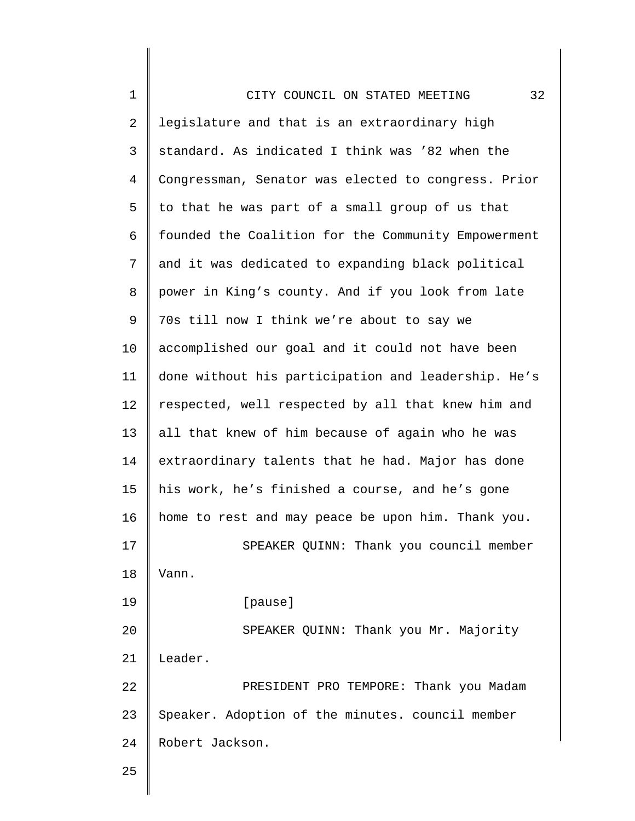1 2 3 4 5 6 7 8 9 10 11 12 13 14 15 16 17 18 19 20 21 22 23 24 25 CITY COUNCIL ON STATED MEETING 32 legislature and that is an extraordinary high standard. As indicated I think was '82 when the Congressman, Senator was elected to congress. Prior to that he was part of a small group of us that founded the Coalition for the Community Empowerment and it was dedicated to expanding black political power in King's county. And if you look from late 70s till now I think we're about to say we accomplished our goal and it could not have been done without his participation and leadership. He's respected, well respected by all that knew him and all that knew of him because of again who he was extraordinary talents that he had. Major has done his work, he's finished a course, and he's gone home to rest and may peace be upon him. Thank you. SPEAKER QUINN: Thank you council member Vann. [pause] SPEAKER QUINN: Thank you Mr. Majority Leader. PRESIDENT PRO TEMPORE: Thank you Madam Speaker. Adoption of the minutes. council member Robert Jackson.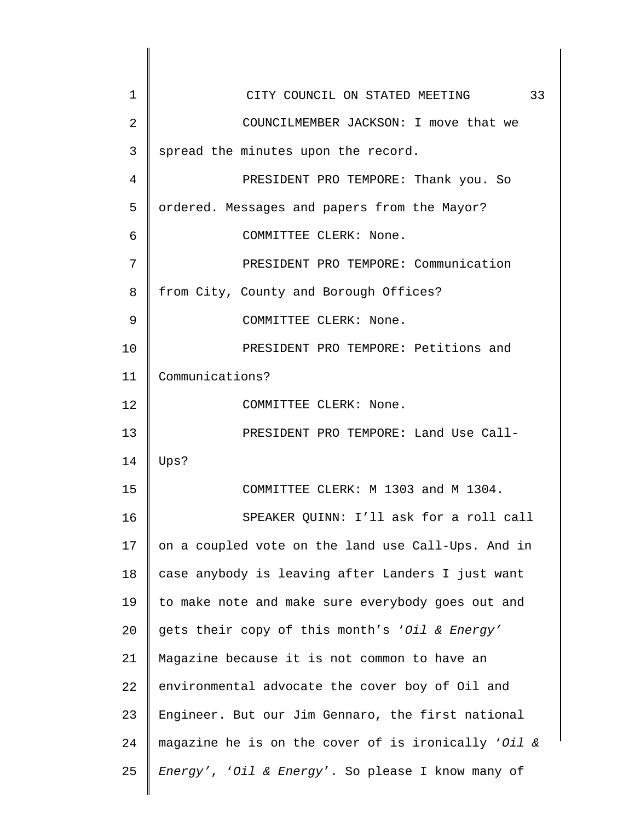| 1  | $\overline{33}$<br>CITY COUNCIL ON STATED MEETING   |
|----|-----------------------------------------------------|
| 2  | COUNCILMEMBER JACKSON: I move that we               |
| 3  | spread the minutes upon the record.                 |
| 4  | PRESIDENT PRO TEMPORE: Thank you. So                |
| 5  | ordered. Messages and papers from the Mayor?        |
| 6  | COMMITTEE CLERK: None.                              |
| 7  | PRESIDENT PRO TEMPORE: Communication                |
| 8  | from City, County and Borough Offices?              |
| 9  | COMMITTEE CLERK: None.                              |
| 10 | PRESIDENT PRO TEMPORE: Petitions and                |
| 11 | Communications?                                     |
| 12 | COMMITTEE CLERK: None.                              |
| 13 | PRESIDENT PRO TEMPORE: Land Use Call-               |
| 14 | Ups?                                                |
| 15 | COMMITTEE CLERK: M 1303 and M 1304.                 |
| 16 | SPEAKER QUINN: I'll ask for a roll call             |
| 17 | on a coupled vote on the land use Call-Ups. And in  |
| 18 | case anybody is leaving after Landers I just want   |
| 19 | to make note and make sure everybody goes out and   |
| 20 | gets their copy of this month's 'Oil & Energy'      |
| 21 | Magazine because it is not common to have an        |
| 22 | environmental advocate the cover boy of Oil and     |
| 23 | Engineer. But our Jim Gennaro, the first national   |
| 24 | magazine he is on the cover of is ironically 'Oil & |
| 25 | Energy', 'Oil & Energy'. So please I know many of   |
|    |                                                     |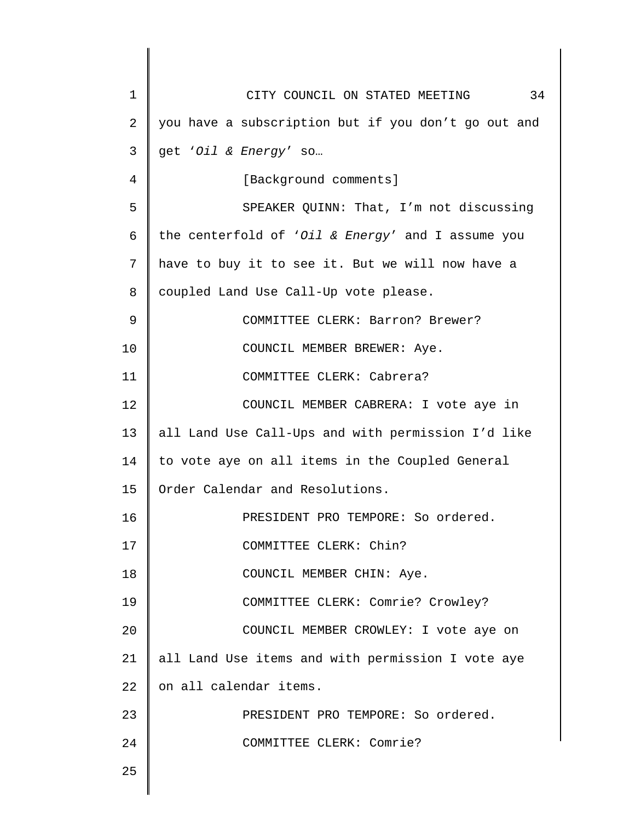| 1  | 34<br>CITY COUNCIL ON STATED MEETING                |
|----|-----------------------------------------------------|
| 2  | you have a subscription but if you don't go out and |
| 3  | get 'Oil & Energy' so                               |
| 4  | [Background comments]                               |
| 5  | SPEAKER QUINN: That, I'm not discussing             |
| 6  | the centerfold of 'Oil & Energy' and I assume you   |
| 7  | have to buy it to see it. But we will now have a    |
| 8  | coupled Land Use Call-Up vote please.               |
| 9  | COMMITTEE CLERK: Barron? Brewer?                    |
| 10 | COUNCIL MEMBER BREWER: Aye.                         |
| 11 | COMMITTEE CLERK: Cabrera?                           |
| 12 | COUNCIL MEMBER CABRERA: I vote aye in               |
| 13 | all Land Use Call-Ups and with permission I'd like  |
| 14 | to vote aye on all items in the Coupled General     |
| 15 | Order Calendar and Resolutions.                     |
| 16 | PRESIDENT PRO TEMPORE: So ordered.                  |
| 17 | COMMITTEE CLERK: Chin?                              |
| 18 | COUNCIL MEMBER CHIN: Aye.                           |
| 19 | COMMITTEE CLERK: Comrie? Crowley?                   |
| 20 | COUNCIL MEMBER CROWLEY: I vote aye on               |
| 21 | all Land Use items and with permission I vote aye   |
| 22 | on all calendar items.                              |
| 23 | PRESIDENT PRO TEMPORE: So ordered.                  |
| 24 | COMMITTEE CLERK: Comrie?                            |
| 25 |                                                     |
|    |                                                     |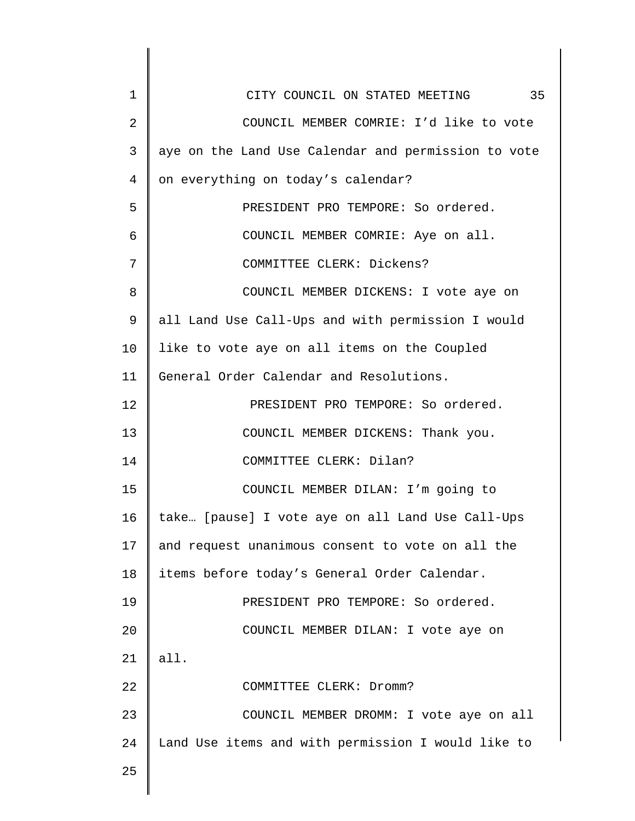| 1  | CITY COUNCIL ON STATED MEETING 35                   |
|----|-----------------------------------------------------|
| 2  | COUNCIL MEMBER COMRIE: I'd like to vote             |
| 3  | aye on the Land Use Calendar and permission to vote |
| 4  | on everything on today's calendar?                  |
| 5  | PRESIDENT PRO TEMPORE: So ordered.                  |
| 6  | COUNCIL MEMBER COMRIE: Aye on all.                  |
| 7  | COMMITTEE CLERK: Dickens?                           |
| 8  | COUNCIL MEMBER DICKENS: I vote aye on               |
| 9  | all Land Use Call-Ups and with permission I would   |
| 10 | like to vote aye on all items on the Coupled        |
| 11 | General Order Calendar and Resolutions.             |
| 12 | PRESIDENT PRO TEMPORE: So ordered.                  |
| 13 | COUNCIL MEMBER DICKENS: Thank you.                  |
| 14 | COMMITTEE CLERK: Dilan?                             |
| 15 | COUNCIL MEMBER DILAN: I'm going to                  |
| 16 | take [pause] I vote aye on all Land Use Call-Ups    |
| 17 | and request unanimous consent to vote on all the    |
| 18 | items before today's General Order Calendar.        |
| 19 | PRESIDENT PRO TEMPORE: So ordered.                  |
| 20 | COUNCIL MEMBER DILAN: I vote aye on                 |
| 21 | all.                                                |
| 22 | COMMITTEE CLERK: Dromm?                             |
| 23 | COUNCIL MEMBER DROMM: I vote aye on all             |
| 24 | Land Use items and with permission I would like to  |
| 25 |                                                     |
|    |                                                     |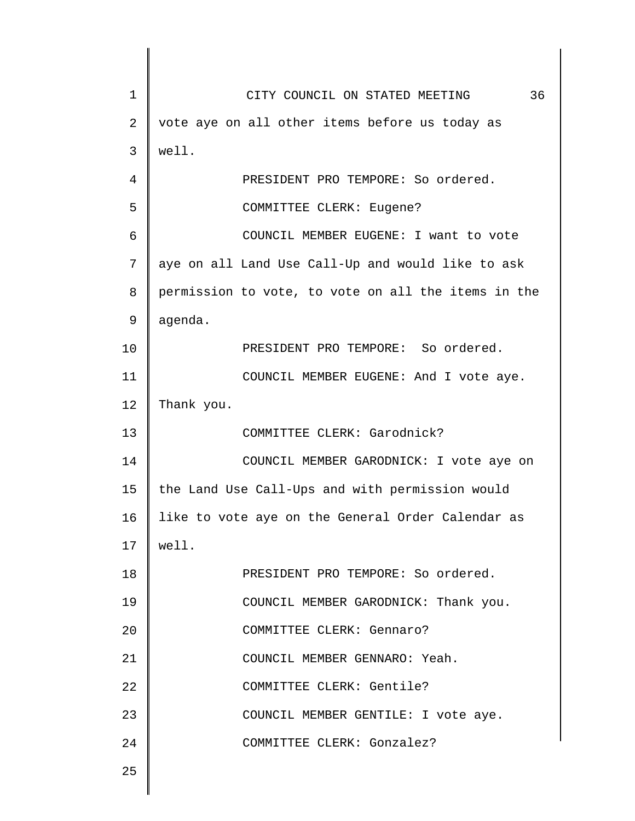| $\mathbf 1$ | 36<br>CITY COUNCIL ON STATED MEETING                |
|-------------|-----------------------------------------------------|
| 2           | vote aye on all other items before us today as      |
| 3           | well.                                               |
| 4           | PRESIDENT PRO TEMPORE: So ordered.                  |
| 5           | COMMITTEE CLERK: Eugene?                            |
| 6           | COUNCIL MEMBER EUGENE: I want to vote               |
| 7           | aye on all Land Use Call-Up and would like to ask   |
| 8           | permission to vote, to vote on all the items in the |
| 9           | agenda.                                             |
| 10          | PRESIDENT PRO TEMPORE: So ordered.                  |
| 11          | COUNCIL MEMBER EUGENE: And I vote aye.              |
| 12          | Thank you.                                          |
| 13          | COMMITTEE CLERK: Garodnick?                         |
| 14          | COUNCIL MEMBER GARODNICK: I vote aye on             |
| 15          | the Land Use Call-Ups and with permission would     |
| 16          | like to vote aye on the General Order Calendar as   |
| 17          | well.                                               |
| 18          | PRESIDENT PRO TEMPORE: So ordered.                  |
| 19          | COUNCIL MEMBER GARODNICK: Thank you.                |
| 20          | COMMITTEE CLERK: Gennaro?                           |
| 21          | COUNCIL MEMBER GENNARO: Yeah.                       |
| 22          | COMMITTEE CLERK: Gentile?                           |
| 23          | COUNCIL MEMBER GENTILE: I vote aye.                 |
| 24          | COMMITTEE CLERK: Gonzalez?                          |
| 25          |                                                     |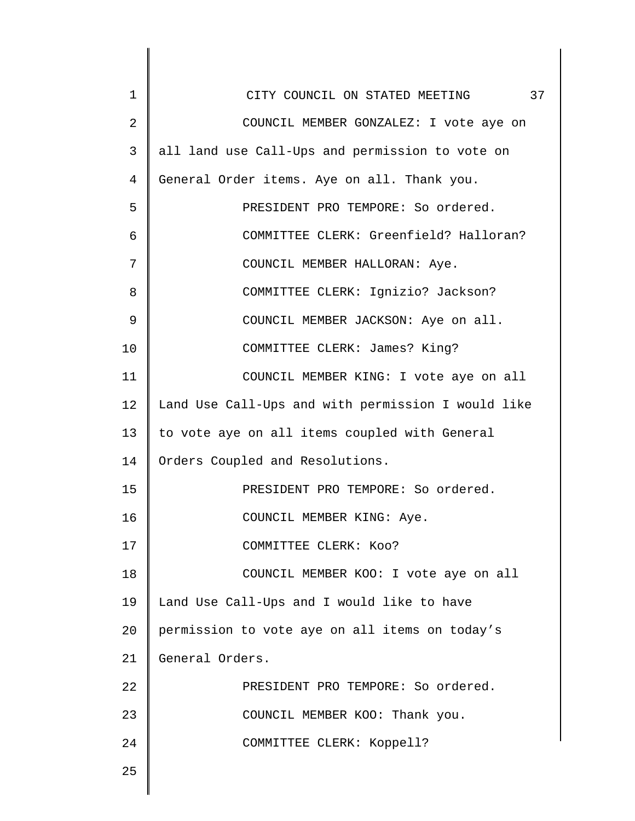| $\mathbf 1$ | CITY COUNCIL ON STATED MEETING 37                  |
|-------------|----------------------------------------------------|
| 2           | COUNCIL MEMBER GONZALEZ: I vote aye on             |
| 3           | all land use Call-Ups and permission to vote on    |
| 4           | General Order items. Aye on all. Thank you.        |
| 5           | PRESIDENT PRO TEMPORE: So ordered.                 |
| 6           | COMMITTEE CLERK: Greenfield? Halloran?             |
| 7           | COUNCIL MEMBER HALLORAN: Aye.                      |
| 8           | COMMITTEE CLERK: Ignizio? Jackson?                 |
| 9           | COUNCIL MEMBER JACKSON: Aye on all.                |
| 10          | COMMITTEE CLERK: James? King?                      |
| 11          | COUNCIL MEMBER KING: I vote aye on all             |
| 12          | Land Use Call-Ups and with permission I would like |
| 13          | to vote aye on all items coupled with General      |
| 14          | Orders Coupled and Resolutions.                    |
| 15          | PRESIDENT PRO TEMPORE: So ordered.                 |
| 16          | COUNCIL MEMBER KING: Aye.                          |
| 17          | COMMITTEE CLERK: Koo?                              |
| 18          | COUNCIL MEMBER KOO: I vote aye on all              |
| 19          | Land Use Call-Ups and I would like to have         |
| 20          | permission to vote aye on all items on today's     |
| 21          | General Orders.                                    |
| 22          | PRESIDENT PRO TEMPORE: So ordered.                 |
| 23          | COUNCIL MEMBER KOO: Thank you.                     |
| 24          | COMMITTEE CLERK: Koppell?                          |
| 25          |                                                    |
|             |                                                    |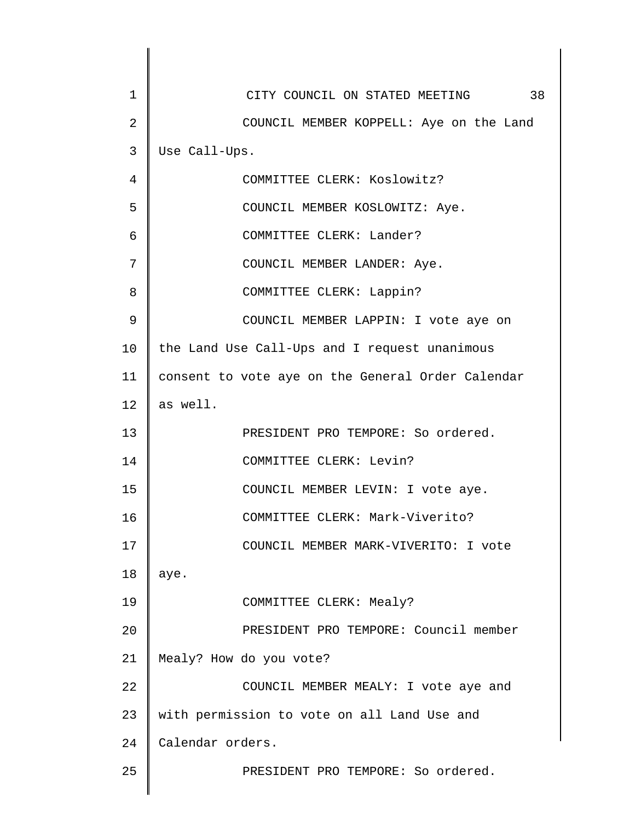| 1  | CITY COUNCIL ON STATED MEETING 38                 |
|----|---------------------------------------------------|
| 2  | COUNCIL MEMBER KOPPELL: Aye on the Land           |
| 3  | Use Call-Ups.                                     |
| 4  | COMMITTEE CLERK: Koslowitz?                       |
| 5  | COUNCIL MEMBER KOSLOWITZ: Aye.                    |
| 6  | COMMITTEE CLERK: Lander?                          |
| 7  | COUNCIL MEMBER LANDER: Aye.                       |
| 8  | COMMITTEE CLERK: Lappin?                          |
| 9  | COUNCIL MEMBER LAPPIN: I vote aye on              |
| 10 | the Land Use Call-Ups and I request unanimous     |
| 11 | consent to vote aye on the General Order Calendar |
| 12 | as well.                                          |
| 13 | PRESIDENT PRO TEMPORE: So ordered.                |
| 14 | COMMITTEE CLERK: Levin?                           |
| 15 | COUNCIL MEMBER LEVIN: I vote aye.                 |
| 16 | COMMITTEE CLERK: Mark-Viverito?                   |
| 17 | COUNCIL MEMBER MARK-VIVERITO: I vote              |
| 18 | aye.                                              |
| 19 | COMMITTEE CLERK: Mealy?                           |
| 20 | PRESIDENT PRO TEMPORE: Council member             |
| 21 | Mealy? How do you vote?                           |
| 22 | COUNCIL MEMBER MEALY: I vote aye and              |
| 23 | with permission to vote on all Land Use and       |
| 24 | Calendar orders.                                  |
| 25 | PRESIDENT PRO TEMPORE: So ordered.                |
|    |                                                   |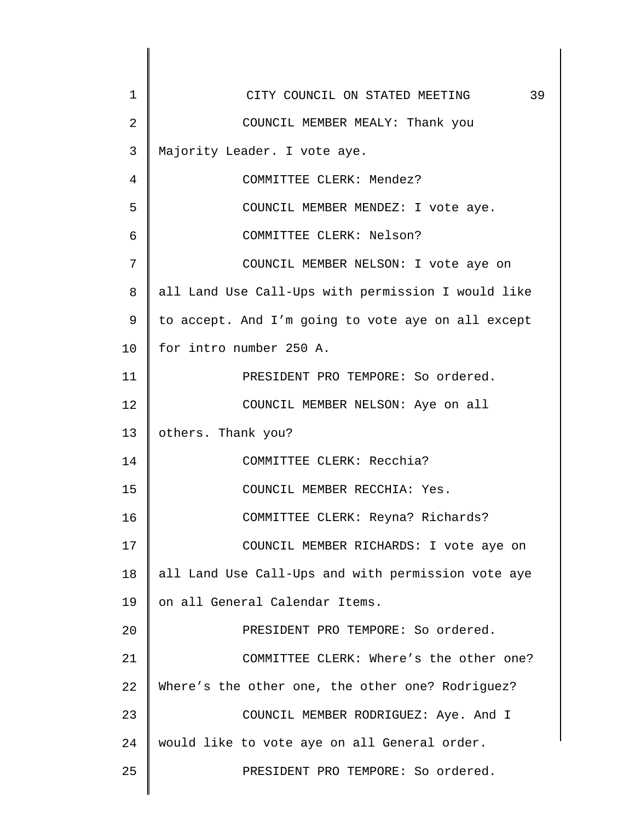| 1  | 39<br>CITY COUNCIL ON STATED MEETING               |
|----|----------------------------------------------------|
| 2  | COUNCIL MEMBER MEALY: Thank you                    |
| 3  | Majority Leader. I vote aye.                       |
| 4  | COMMITTEE CLERK: Mendez?                           |
| 5  | COUNCIL MEMBER MENDEZ: I vote aye.                 |
| 6  | COMMITTEE CLERK: Nelson?                           |
| 7  | COUNCIL MEMBER NELSON: I vote aye on               |
| 8  | all Land Use Call-Ups with permission I would like |
| 9  | to accept. And I'm going to vote aye on all except |
| 10 | for intro number 250 A.                            |
| 11 | PRESIDENT PRO TEMPORE: So ordered.                 |
| 12 | COUNCIL MEMBER NELSON: Aye on all                  |
| 13 | others. Thank you?                                 |
| 14 | COMMITTEE CLERK: Recchia?                          |
| 15 | COUNCIL MEMBER RECCHIA: Yes.                       |
| 16 | COMMITTEE CLERK: Reyna? Richards?                  |
| 17 | COUNCIL MEMBER RICHARDS: I vote aye on             |
| 18 | all Land Use Call-Ups and with permission vote aye |
| 19 | on all General Calendar Items.                     |
| 20 | PRESIDENT PRO TEMPORE: So ordered.                 |
| 21 | COMMITTEE CLERK: Where's the other one?            |
| 22 | Where's the other one, the other one? Rodriguez?   |
| 23 | COUNCIL MEMBER RODRIGUEZ: Aye. And I               |
| 24 | would like to vote aye on all General order.       |
| 25 | PRESIDENT PRO TEMPORE: So ordered.                 |
|    |                                                    |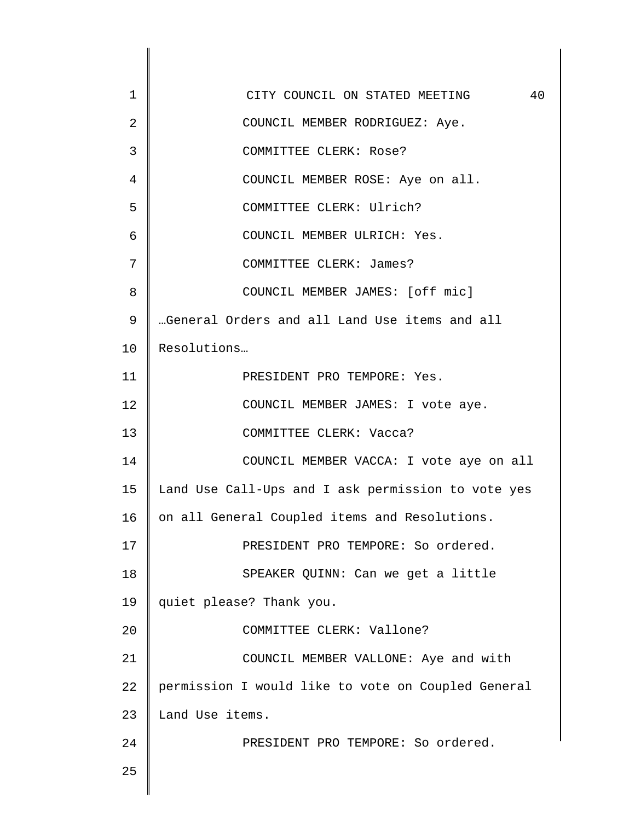1 2 3 4 5 6 7 8 9 10 11 12 13 14 15 16 17 18 19 20 21 22 23 24 25 CITY COUNCIL ON STATED MEETING 40 COUNCIL MEMBER RODRIGUEZ: Aye. COMMITTEE CLERK: Rose? COUNCIL MEMBER ROSE: Aye on all. COMMITTEE CLERK: Ulrich? COUNCIL MEMBER ULRICH: Yes. COMMITTEE CLERK: James? COUNCIL MEMBER JAMES: [off mic] …General Orders and all Land Use items and all Resolutions… PRESIDENT PRO TEMPORE: Yes. COUNCIL MEMBER JAMES: I vote aye. COMMITTEE CLERK: Vacca? COUNCIL MEMBER VACCA: I vote aye on all Land Use Call-Ups and I ask permission to vote yes on all General Coupled items and Resolutions. PRESIDENT PRO TEMPORE: So ordered. SPEAKER QUINN: Can we get a little quiet please? Thank you. COMMITTEE CLERK: Vallone? COUNCIL MEMBER VALLONE: Aye and with permission I would like to vote on Coupled General Land Use items. PRESIDENT PRO TEMPORE: So ordered.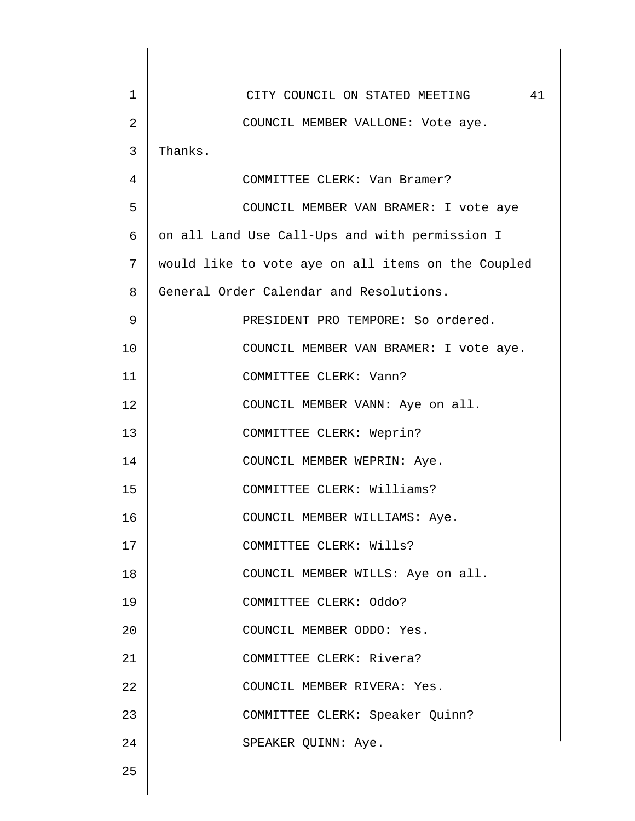| 1  | CITY COUNCIL ON STATED MEETING 41                  |
|----|----------------------------------------------------|
| 2  | COUNCIL MEMBER VALLONE: Vote aye.                  |
| 3  | Thanks.                                            |
| 4  | COMMITTEE CLERK: Van Bramer?                       |
| 5  | COUNCIL MEMBER VAN BRAMER: I vote aye              |
| 6  | on all Land Use Call-Ups and with permission I     |
| 7  | would like to vote aye on all items on the Coupled |
| 8  | General Order Calendar and Resolutions.            |
| 9  | PRESIDENT PRO TEMPORE: So ordered.                 |
| 10 | COUNCIL MEMBER VAN BRAMER: I vote aye.             |
| 11 | COMMITTEE CLERK: Vann?                             |
| 12 | COUNCIL MEMBER VANN: Aye on all.                   |
| 13 | COMMITTEE CLERK: Weprin?                           |
| 14 | COUNCIL MEMBER WEPRIN: Aye.                        |
| 15 | COMMITTEE CLERK: Williams?                         |
| 16 | COUNCIL MEMBER WILLIAMS: Aye.                      |
| 17 | COMMITTEE CLERK: Wills?                            |
| 18 | COUNCIL MEMBER WILLS: Aye on all.                  |
| 19 | COMMITTEE CLERK: Oddo?                             |
| 20 | COUNCIL MEMBER ODDO: Yes.                          |
| 21 | COMMITTEE CLERK: Rivera?                           |
| 22 | COUNCIL MEMBER RIVERA: Yes.                        |
| 23 | COMMITTEE CLERK: Speaker Quinn?                    |
| 24 | SPEAKER QUINN: Aye.                                |
| 25 |                                                    |

25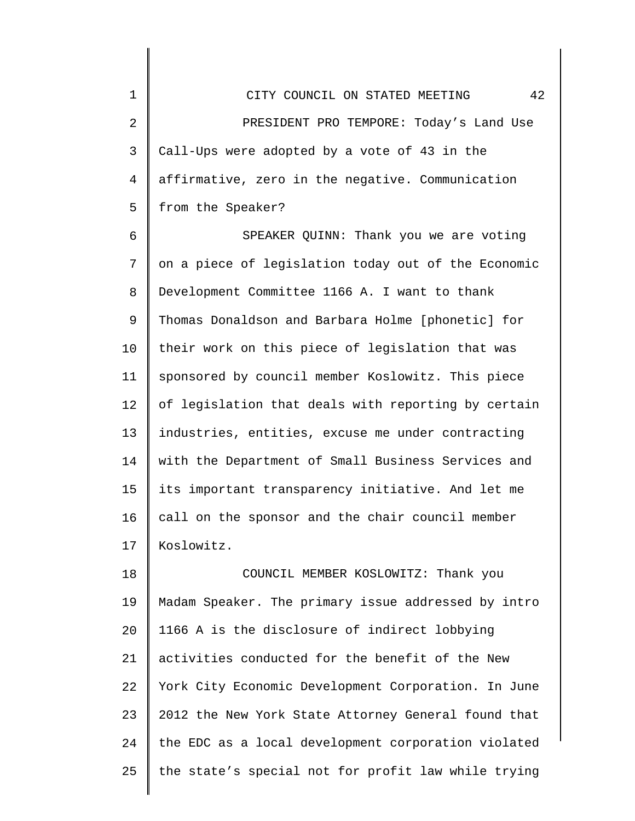1 2 3 4 5 CITY COUNCIL ON STATED MEETING 42 PRESIDENT PRO TEMPORE: Today's Land Use Call-Ups were adopted by a vote of 43 in the affirmative, zero in the negative. Communication from the Speaker?

6 7 8 9 10 11 12 13 14 15 16 17 SPEAKER QUINN: Thank you we are voting on a piece of legislation today out of the Economic Development Committee 1166 A. I want to thank Thomas Donaldson and Barbara Holme [phonetic] for their work on this piece of legislation that was sponsored by council member Koslowitz. This piece of legislation that deals with reporting by certain industries, entities, excuse me under contracting with the Department of Small Business Services and its important transparency initiative. And let me call on the sponsor and the chair council member Koslowitz.

18 19  $20^{\circ}$ 21 22 23 24 25 COUNCIL MEMBER KOSLOWITZ: Thank you Madam Speaker. The primary issue addressed by intro 1166 A is the disclosure of indirect lobbying activities conducted for the benefit of the New York City Economic Development Corporation. In June 2012 the New York State Attorney General found that the EDC as a local development corporation violated the state's special not for profit law while trying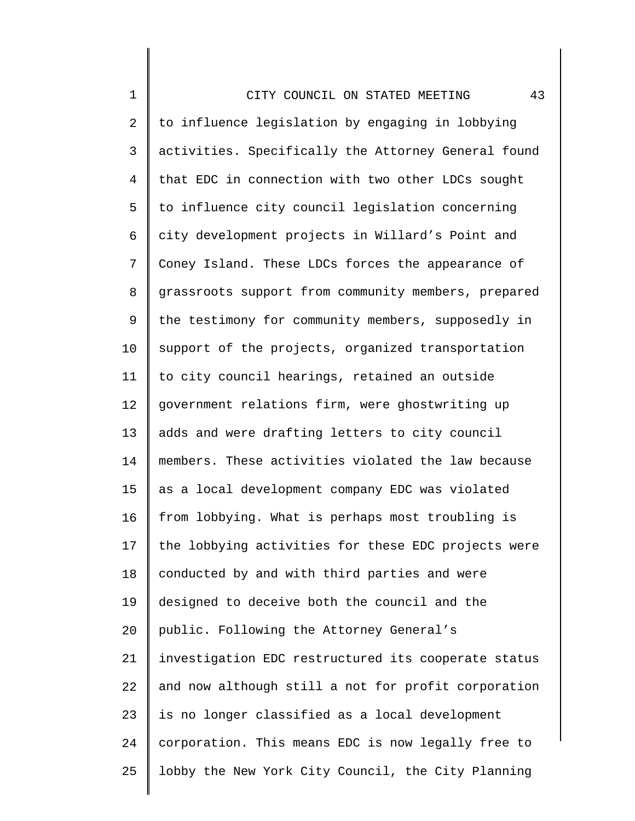| $\mathbf 1$  | 43<br>CITY COUNCIL ON STATED MEETING                |
|--------------|-----------------------------------------------------|
| 2            | to influence legislation by engaging in lobbying    |
| $\mathsf{3}$ | activities. Specifically the Attorney General found |
| 4            | that EDC in connection with two other LDCs sought   |
| 5            | to influence city council legislation concerning    |
| 6            | city development projects in Willard's Point and    |
| 7            | Coney Island. These LDCs forces the appearance of   |
| $\,8\,$      | grassroots support from community members, prepared |
| 9            | the testimony for community members, supposedly in  |
| 10           | support of the projects, organized transportation   |
| 11           | to city council hearings, retained an outside       |
| 12           | government relations firm, were ghostwriting up     |
| 13           | adds and were drafting letters to city council      |
| 14           | members. These activities violated the law because  |
| 15           | as a local development company EDC was violated     |
| 16           | from lobbying. What is perhaps most troubling is    |
| 17           | the lobbying activities for these EDC projects were |
| 18           | conducted by and with third parties and were        |
| 19           | designed to deceive both the council and the        |
| 20           | public. Following the Attorney General's            |
| 21           | investigation EDC restructured its cooperate status |
| 22           | and now although still a not for profit corporation |
| 23           | is no longer classified as a local development      |
| 24           | corporation. This means EDC is now legally free to  |
| 25           | lobby the New York City Council, the City Planning  |
|              |                                                     |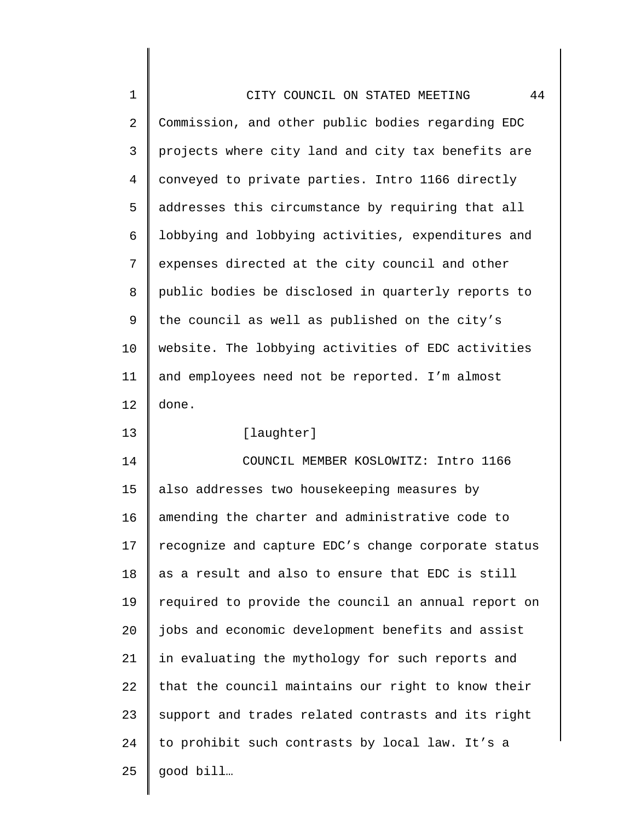| $\mathbf 1$    | 44<br>CITY COUNCIL ON STATED MEETING                |
|----------------|-----------------------------------------------------|
| $\overline{2}$ | Commission, and other public bodies regarding EDC   |
| $\mathsf{3}$   | projects where city land and city tax benefits are  |
| 4              | conveyed to private parties. Intro 1166 directly    |
| 5              | addresses this circumstance by requiring that all   |
| 6              | lobbying and lobbying activities, expenditures and  |
| 7              | expenses directed at the city council and other     |
| 8              | public bodies be disclosed in quarterly reports to  |
| 9              | the council as well as published on the city's      |
| 10             | website. The lobbying activities of EDC activities  |
| 11             | and employees need not be reported. I'm almost      |
| 12             | done.                                               |
| 13             | [laughter]                                          |
| 14             | COUNCIL MEMBER KOSLOWITZ: Intro 1166                |
| 15             | also addresses two housekeeping measures by         |
| 16             | amending the charter and administrative code to     |
| 17             | recognize and capture EDC's change corporate status |
| 18             | as a result and also to ensure that EDC is still    |
| 19             | required to provide the council an annual report on |
| 20             | jobs and economic development benefits and assist   |
| 21             | in evaluating the mythology for such reports and    |
| 22             | that the council maintains our right to know their  |
| 23             | support and trades related contrasts and its right  |
| 24             | to prohibit such contrasts by local law. It's a     |
| 25             | good bill                                           |
|                |                                                     |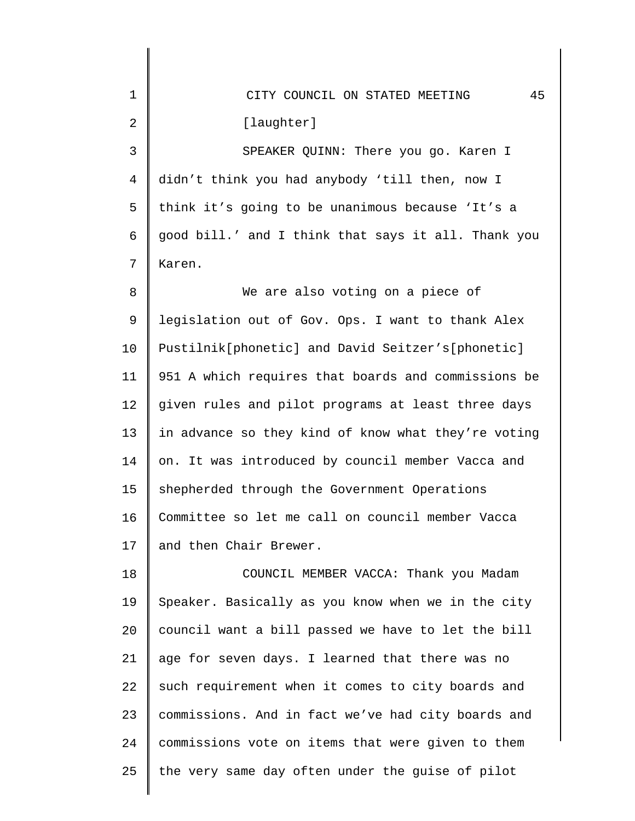| $\mathbf 1$    | 45<br>CITY COUNCIL ON STATED MEETING                |
|----------------|-----------------------------------------------------|
| $\overline{2}$ | [laughter]                                          |
| 3              | SPEAKER QUINN: There you go. Karen I                |
| 4              | didn't think you had anybody 'till then, now I      |
| 5              | think it's going to be unanimous because 'It's a    |
| 6              | good bill.' and I think that says it all. Thank you |
| 7              | Karen.                                              |
| 8              | We are also voting on a piece of                    |
| 9              | legislation out of Gov. Ops. I want to thank Alex   |
| 10             | Pustilnik[phonetic] and David Seitzer's[phonetic]   |
| 11             | 951 A which requires that boards and commissions be |
| 12             | given rules and pilot programs at least three days  |
| 13             | in advance so they kind of know what they're voting |
| 14             | on. It was introduced by council member Vacca and   |
| 15             | shepherded through the Government Operations        |
| 16             | Committee so let me call on council member Vacca    |
| 17             | and then Chair Brewer.                              |
| 18             | COUNCIL MEMBER VACCA: Thank you Madam               |
| 19             | Speaker. Basically as you know when we in the city  |
| 20             | council want a bill passed we have to let the bill  |
| 21             | age for seven days. I learned that there was no     |
| 22             | such requirement when it comes to city boards and   |
| 23             | commissions. And in fact we've had city boards and  |
| 24             | commissions vote on items that were given to them   |
| 25             | the very same day often under the guise of pilot    |
|                |                                                     |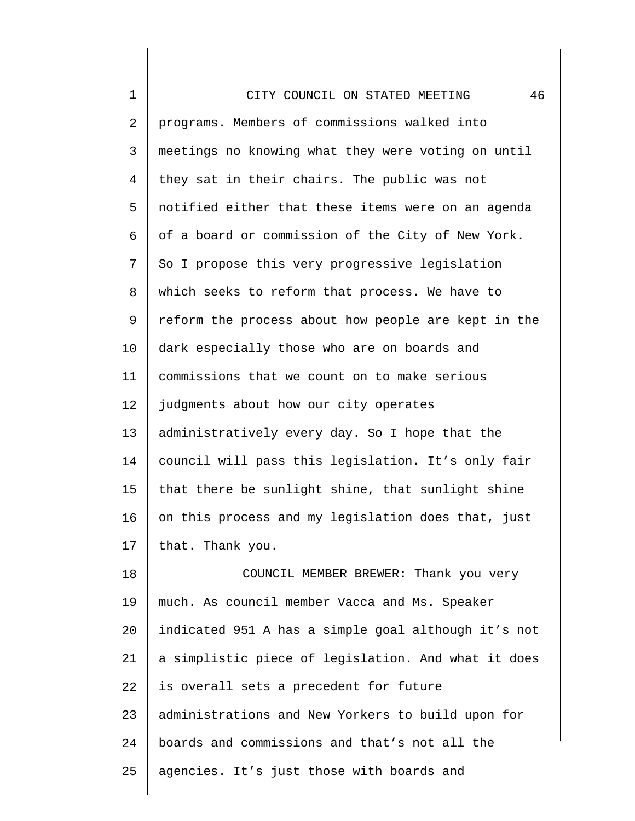| $\mathbf 1$    | 46<br>CITY COUNCIL ON STATED MEETING                |
|----------------|-----------------------------------------------------|
| 2              | programs. Members of commissions walked into        |
| 3              | meetings no knowing what they were voting on until  |
| $\overline{4}$ | they sat in their chairs. The public was not        |
| 5              | notified either that these items were on an agenda  |
| 6              | of a board or commission of the City of New York.   |
| 7              | So I propose this very progressive legislation      |
| 8              | which seeks to reform that process. We have to      |
| 9              | reform the process about how people are kept in the |
| 10             | dark especially those who are on boards and         |
| 11             | commissions that we count on to make serious        |
| 12             | judgments about how our city operates               |
| 13             | administratively every day. So I hope that the      |
| 14             | council will pass this legislation. It's only fair  |
| 15             | that there be sunlight shine, that sunlight shine   |
| 16             | on this process and my legislation does that, just  |
| 17             | that. Thank you.                                    |
| 18             | COUNCIL MEMBER BREWER: Thank you very               |
| 19             | much. As council member Vacca and Ms. Speaker       |
| 20             | indicated 951 A has a simple goal although it's not |
| 21             | a simplistic piece of legislation. And what it does |
| 22             | is overall sets a precedent for future              |
| 23             | administrations and New Yorkers to build upon for   |
| 24             | boards and commissions and that's not all the       |
| 25             | agencies. It's just those with boards and           |
|                |                                                     |

∥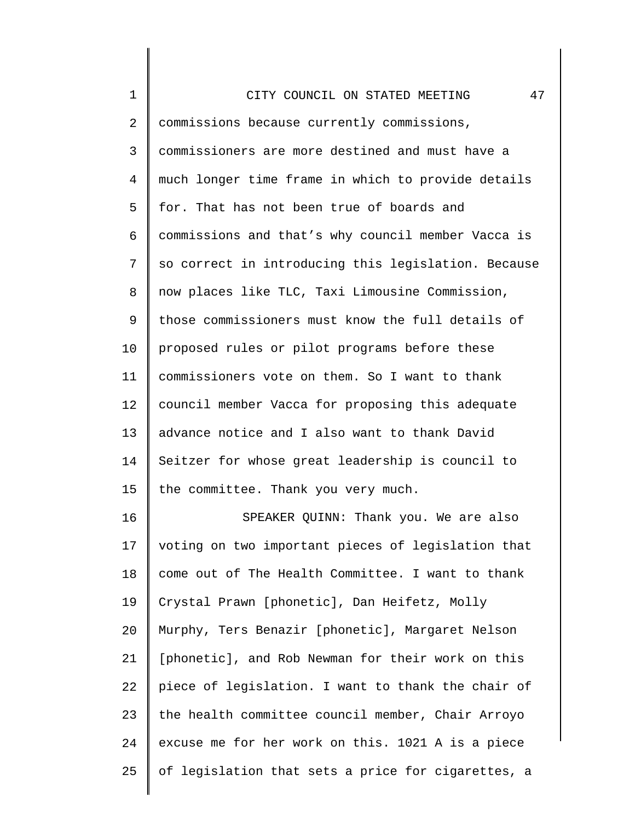| $\mathbf 1$ | 47<br>CITY COUNCIL ON STATED MEETING                |
|-------------|-----------------------------------------------------|
| 2           | commissions because currently commissions,          |
| 3           | commissioners are more destined and must have a     |
| 4           | much longer time frame in which to provide details  |
| 5           | for. That has not been true of boards and           |
| 6           | commissions and that's why council member Vacca is  |
| 7           | so correct in introducing this legislation. Because |
| 8           | now places like TLC, Taxi Limousine Commission,     |
| 9           | those commissioners must know the full details of   |
| 10          | proposed rules or pilot programs before these       |
| 11          | commissioners vote on them. So I want to thank      |
| 12          | council member Vacca for proposing this adequate    |
| 13          | advance notice and I also want to thank David       |
| 14          | Seitzer for whose great leadership is council to    |
| 15          | the committee. Thank you very much.                 |
| 16          | SPEAKER QUINN: Thank you. We are also               |
| $17$        | voting on two important pieces of legislation that  |
| 18          | come out of The Health Committee. I want to thank   |
| 19          | Crystal Prawn [phonetic], Dan Heifetz, Molly        |
| 20          | Murphy, Ters Benazir [phonetic], Margaret Nelson    |
| 21          | [phonetic], and Rob Newman for their work on this   |
| 22          | piece of legislation. I want to thank the chair of  |
| 23          | the health committee council member, Chair Arroyo   |
| 24          | excuse me for her work on this. 1021 A is a piece   |
| 25          | of legislation that sets a price for cigarettes, a  |
|             |                                                     |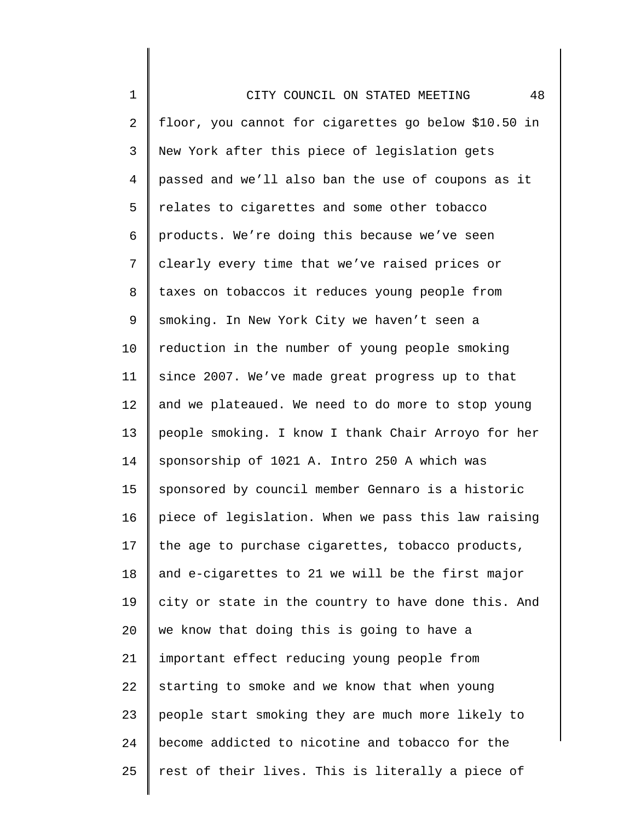1 2 3 4 5 6 7 8 9 10 11 12 13 14 15 16 17 18 19 20 21 22 23 24 25 CITY COUNCIL ON STATED MEETING 48 floor, you cannot for cigarettes go below \$10.50 in New York after this piece of legislation gets passed and we'll also ban the use of coupons as it relates to cigarettes and some other tobacco products. We're doing this because we've seen clearly every time that we've raised prices or taxes on tobaccos it reduces young people from smoking. In New York City we haven't seen a reduction in the number of young people smoking since 2007. We've made great progress up to that and we plateaued. We need to do more to stop young people smoking. I know I thank Chair Arroyo for her sponsorship of 1021 A. Intro 250 A which was sponsored by council member Gennaro is a historic piece of legislation. When we pass this law raising the age to purchase cigarettes, tobacco products, and e-cigarettes to 21 we will be the first major city or state in the country to have done this. And we know that doing this is going to have a important effect reducing young people from starting to smoke and we know that when young people start smoking they are much more likely to become addicted to nicotine and tobacco for the rest of their lives. This is literally a piece of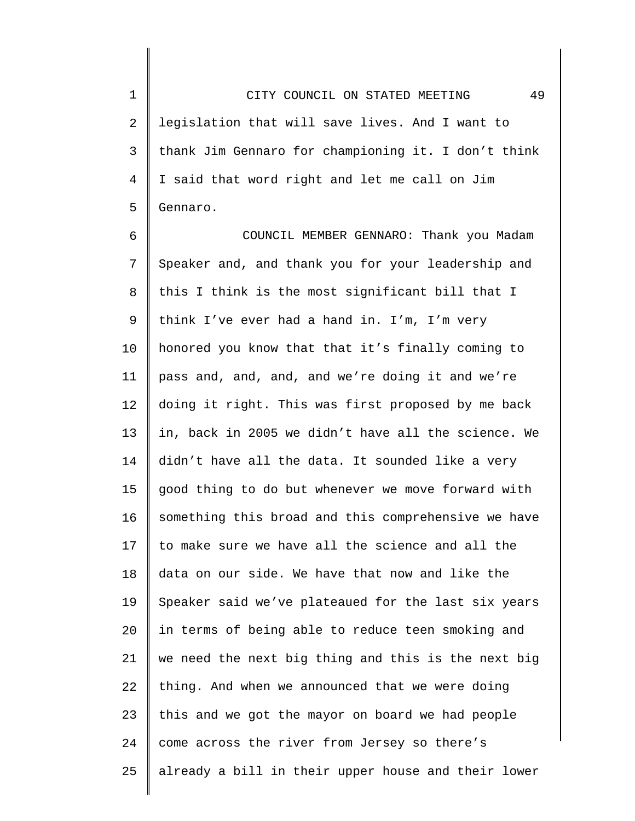1 2 3 4 5 CITY COUNCIL ON STATED MEETING 49 legislation that will save lives. And I want to thank Jim Gennaro for championing it. I don't think I said that word right and let me call on Jim Gennaro.

6 7 8 9 10 11 12 13 14 15 16 17 18 19  $20^{\circ}$ 21 22 23 24 25 COUNCIL MEMBER GENNARO: Thank you Madam Speaker and, and thank you for your leadership and this I think is the most significant bill that I think I've ever had a hand in. I'm, I'm very honored you know that that it's finally coming to pass and, and, and, and we're doing it and we're doing it right. This was first proposed by me back in, back in 2005 we didn't have all the science. We didn't have all the data. It sounded like a very good thing to do but whenever we move forward with something this broad and this comprehensive we have to make sure we have all the science and all the data on our side. We have that now and like the Speaker said we've plateaued for the last six years in terms of being able to reduce teen smoking and we need the next big thing and this is the next big thing. And when we announced that we were doing this and we got the mayor on board we had people come across the river from Jersey so there's already a bill in their upper house and their lower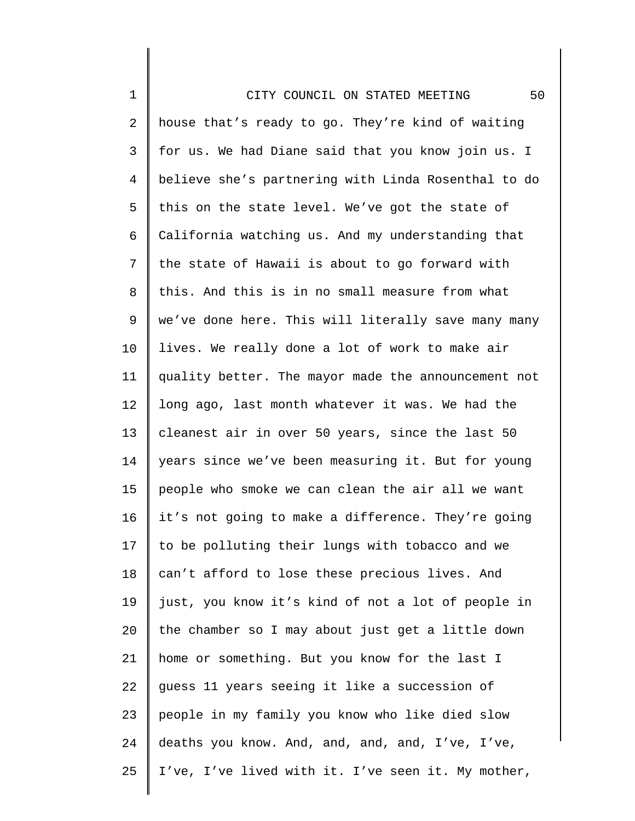| $\mathbf 1$ | 50<br>CITY COUNCIL ON STATED MEETING                |
|-------------|-----------------------------------------------------|
| 2           | house that's ready to go. They're kind of waiting   |
| 3           | for us. We had Diane said that you know join us. I  |
| 4           | believe she's partnering with Linda Rosenthal to do |
| 5           | this on the state level. We've got the state of     |
| 6           | California watching us. And my understanding that   |
| 7           | the state of Hawaii is about to go forward with     |
| $\,8\,$     | this. And this is in no small measure from what     |
| 9           | we've done here. This will literally save many many |
| 10          | lives. We really done a lot of work to make air     |
| 11          | quality better. The mayor made the announcement not |
| 12          | long ago, last month whatever it was. We had the    |
| 13          | cleanest air in over 50 years, since the last 50    |
| 14          | years since we've been measuring it. But for young  |
| 15          | people who smoke we can clean the air all we want   |
| 16          | it's not going to make a difference. They're going  |
| 17          | to be polluting their lungs with tobacco and we     |
| 18          | can't afford to lose these precious lives. And      |
| 19          | just, you know it's kind of not a lot of people in  |
| 20          | the chamber so I may about just get a little down   |
| 21          | home or something. But you know for the last I      |
| 22          | guess 11 years seeing it like a succession of       |
| 23          | people in my family you know who like died slow     |
| 24          | deaths you know. And, and, and, and, I've, I've,    |
| 25          | I've, I've lived with it. I've seen it. My mother,  |
|             |                                                     |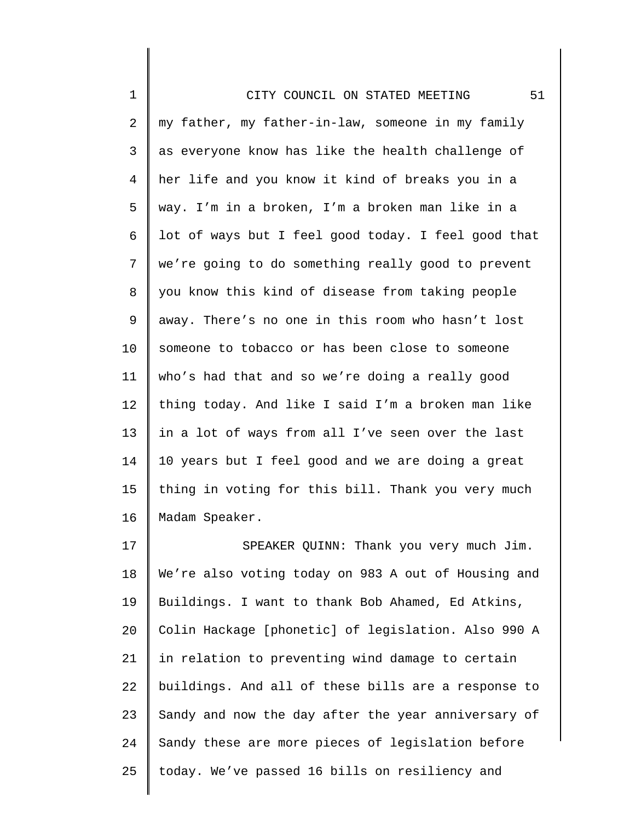1 2 3 4 5 6 7 8 9 10 11 12 13 14 15 16 17 CITY COUNCIL ON STATED MEETING 51 my father, my father-in-law, someone in my family as everyone know has like the health challenge of her life and you know it kind of breaks you in a way. I'm in a broken, I'm a broken man like in a lot of ways but I feel good today. I feel good that we're going to do something really good to prevent you know this kind of disease from taking people away. There's no one in this room who hasn't lost someone to tobacco or has been close to someone who's had that and so we're doing a really good thing today. And like I said I'm a broken man like in a lot of ways from all I've seen over the last 10 years but I feel good and we are doing a great thing in voting for this bill. Thank you very much Madam Speaker. SPEAKER QUINN: Thank you very much Jim.

18 19 20 21 22 23 24 25 We're also voting today on 983 A out of Housing and Buildings. I want to thank Bob Ahamed, Ed Atkins, Colin Hackage [phonetic] of legislation. Also 990 A in relation to preventing wind damage to certain buildings. And all of these bills are a response to Sandy and now the day after the year anniversary of Sandy these are more pieces of legislation before today. We've passed 16 bills on resiliency and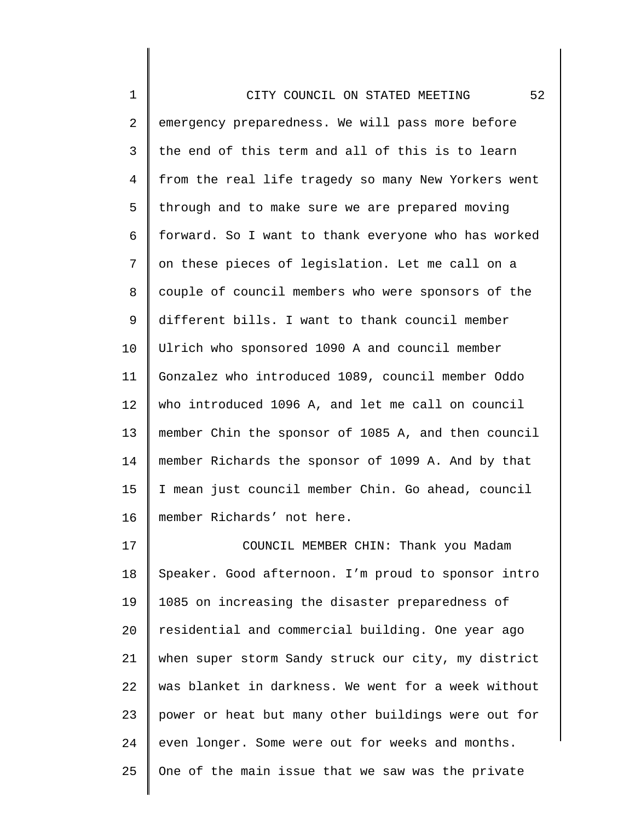1 2 3 4 5 6 7 8 9 10 11 12 13 14 15 16 17 CITY COUNCIL ON STATED MEETING 52 emergency preparedness. We will pass more before the end of this term and all of this is to learn from the real life tragedy so many New Yorkers went through and to make sure we are prepared moving forward. So I want to thank everyone who has worked on these pieces of legislation. Let me call on a couple of council members who were sponsors of the different bills. I want to thank council member Ulrich who sponsored 1090 A and council member Gonzalez who introduced 1089, council member Oddo who introduced 1096 A, and let me call on council member Chin the sponsor of 1085 A, and then council member Richards the sponsor of 1099 A. And by that I mean just council member Chin. Go ahead, council member Richards' not here. COUNCIL MEMBER CHIN: Thank you Madam

18 19  $20^{\circ}$ 21 22 23 24 25 Speaker. Good afternoon. I'm proud to sponsor intro 1085 on increasing the disaster preparedness of residential and commercial building. One year ago when super storm Sandy struck our city, my district was blanket in darkness. We went for a week without power or heat but many other buildings were out for even longer. Some were out for weeks and months. One of the main issue that we saw was the private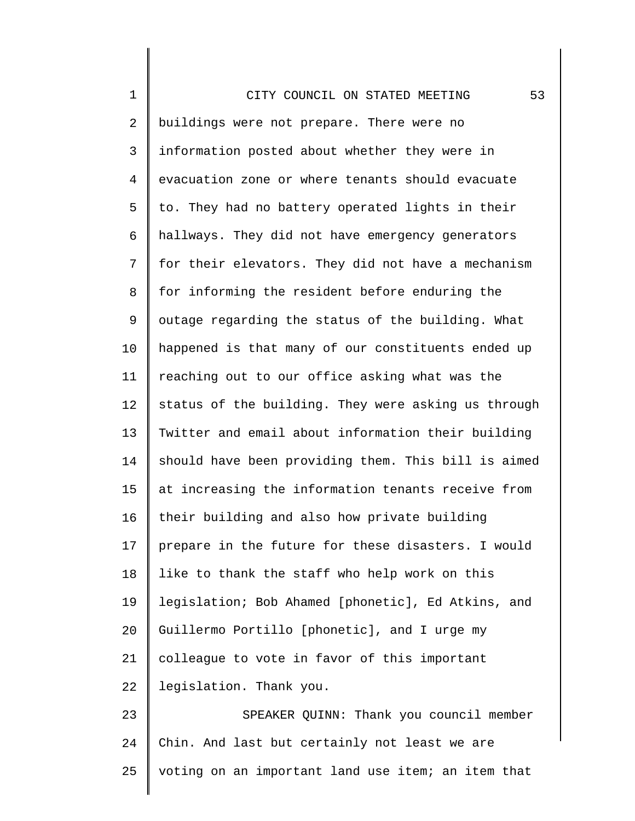| $\mathbf 1$    | 53<br>CITY COUNCIL ON STATED MEETING                |
|----------------|-----------------------------------------------------|
| $\overline{2}$ | buildings were not prepare. There were no           |
| $\mathsf{3}$   | information posted about whether they were in       |
| $\overline{4}$ | evacuation zone or where tenants should evacuate    |
| 5              | to. They had no battery operated lights in their    |
| 6              | hallways. They did not have emergency generators    |
| 7              | for their elevators. They did not have a mechanism  |
| 8              | for informing the resident before enduring the      |
| 9              | outage regarding the status of the building. What   |
| 10             | happened is that many of our constituents ended up  |
| 11             | reaching out to our office asking what was the      |
| 12             | status of the building. They were asking us through |
| 13             | Twitter and email about information their building  |
| 14             | should have been providing them. This bill is aimed |
| 15             | at increasing the information tenants receive from  |
| 16             | their building and also how private building        |
| 17             | prepare in the future for these disasters. I would  |
| 18             | like to thank the staff who help work on this       |
| 19             | legislation; Bob Ahamed [phonetic], Ed Atkins, and  |
| 20             | Guillermo Portillo [phonetic], and I urge my        |
| 21             | colleague to vote in favor of this important        |
| 22             | legislation. Thank you.                             |
| 23             | SPEAKER QUINN: Thank you council member             |
| 24             | Chin. And last but certainly not least we are       |
| 25             | voting on an important land use item; an item that  |
|                |                                                     |

∥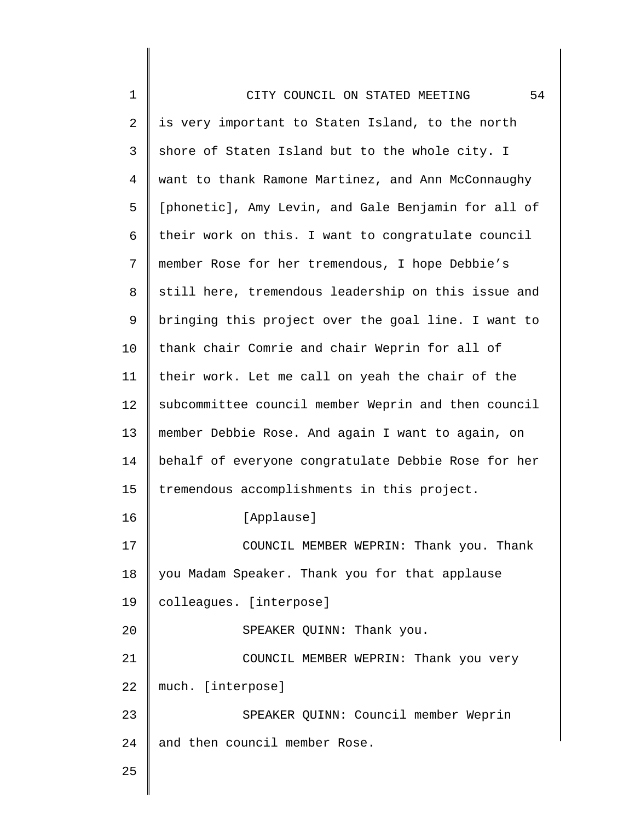| $\mathbf 1$ | 54<br>CITY COUNCIL ON STATED MEETING                |
|-------------|-----------------------------------------------------|
| 2           | is very important to Staten Island, to the north    |
| 3           | shore of Staten Island but to the whole city. I     |
| 4           | want to thank Ramone Martinez, and Ann McConnaughy  |
| 5           | [phonetic], Amy Levin, and Gale Benjamin for all of |
| 6           | their work on this. I want to congratulate council  |
| 7           | member Rose for her tremendous, I hope Debbie's     |
| 8           | still here, tremendous leadership on this issue and |
| $\mathsf 9$ | bringing this project over the goal line. I want to |
| 10          | thank chair Comrie and chair Weprin for all of      |
| 11          | their work. Let me call on yeah the chair of the    |
| 12          | subcommittee council member Weprin and then council |
| 13          | member Debbie Rose. And again I want to again, on   |
| 14          | behalf of everyone congratulate Debbie Rose for her |
| 15          | tremendous accomplishments in this project.         |
| 16          | [Applause]                                          |
| 17          | COUNCIL MEMBER WEPRIN: Thank you. Thank             |
| 18          | you Madam Speaker. Thank you for that applause      |
| 19          | colleagues. [interpose]                             |
| 20          | SPEAKER QUINN: Thank you.                           |
| 21          | COUNCIL MEMBER WEPRIN: Thank you very               |
| 22          | much. [interpose]                                   |
| 23          | SPEAKER QUINN: Council member Weprin                |
| 24          | and then council member Rose.                       |
| 25          |                                                     |
|             |                                                     |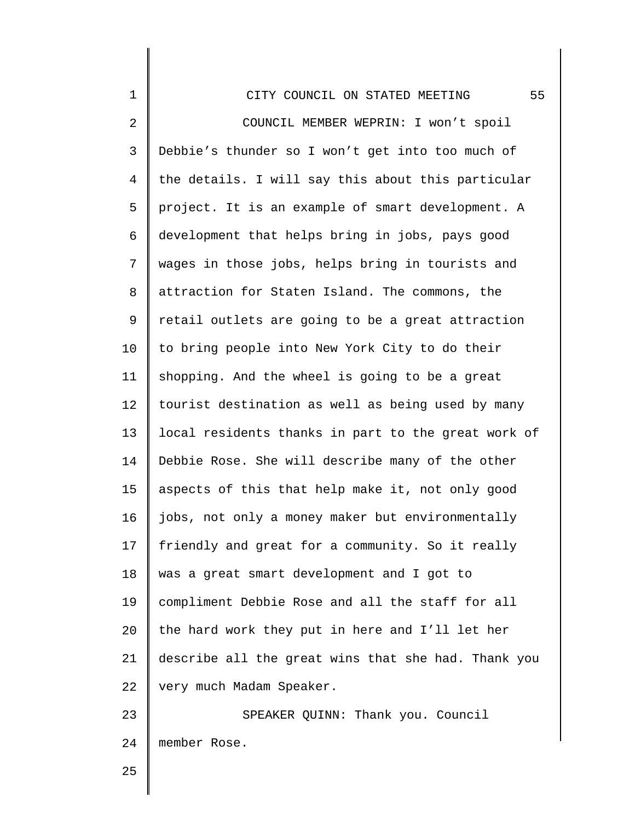| 1              | 55<br>CITY COUNCIL ON STATED MEETING                |
|----------------|-----------------------------------------------------|
| $\overline{2}$ | COUNCIL MEMBER WEPRIN: I won't spoil                |
| 3              | Debbie's thunder so I won't get into too much of    |
| $\overline{4}$ | the details. I will say this about this particular  |
| 5              | project. It is an example of smart development. A   |
| 6              | development that helps bring in jobs, pays good     |
| 7              | wages in those jobs, helps bring in tourists and    |
| 8              | attraction for Staten Island. The commons, the      |
| 9              | retail outlets are going to be a great attraction   |
| 10             | to bring people into New York City to do their      |
| 11             | shopping. And the wheel is going to be a great      |
| 12             | tourist destination as well as being used by many   |
| 13             | local residents thanks in part to the great work of |
| 14             | Debbie Rose. She will describe many of the other    |
| 15             | aspects of this that help make it, not only good    |
| 16             | jobs, not only a money maker but environmentally    |
| 17             | friendly and great for a community. So it really    |
| 18             | was a great smart development and I got to          |
| 19             | compliment Debbie Rose and all the staff for all    |
| 20             | the hard work they put in here and I'll let her     |
| 21             | describe all the great wins that she had. Thank you |
| 22             | very much Madam Speaker.                            |
| 23             | SPEAKER QUINN: Thank you. Council                   |
| 24             | member Rose.                                        |
| 25             |                                                     |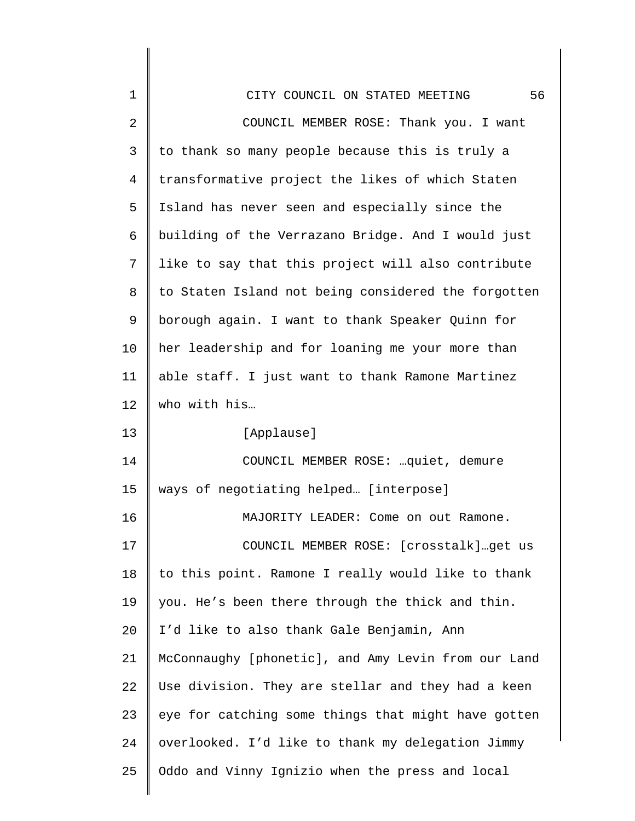| 1  | 56<br>CITY COUNCIL ON STATED MEETING                |
|----|-----------------------------------------------------|
| 2  | COUNCIL MEMBER ROSE: Thank you. I want              |
| 3  | to thank so many people because this is truly a     |
| 4  | transformative project the likes of which Staten    |
| 5  | Island has never seen and especially since the      |
| 6  | building of the Verrazano Bridge. And I would just  |
| 7  | like to say that this project will also contribute  |
| 8  | to Staten Island not being considered the forgotten |
| 9  | borough again. I want to thank Speaker Quinn for    |
| 10 | her leadership and for loaning me your more than    |
| 11 | able staff. I just want to thank Ramone Martinez    |
| 12 | who with his                                        |
| 13 | [Applause]                                          |
| 14 | COUNCIL MEMBER ROSE:  quiet, demure                 |
| 15 | ways of negotiating helped [interpose]              |
| 16 | MAJORITY LEADER: Come on out Ramone.                |
| 17 | COUNCIL MEMBER ROSE: [crosstalk]  get us            |
| 18 | to this point. Ramone I really would like to thank  |
| 19 | you. He's been there through the thick and thin.    |
| 20 | I'd like to also thank Gale Benjamin, Ann           |
| 21 | McConnaughy [phonetic], and Amy Levin from our Land |
| 22 | Use division. They are stellar and they had a keen  |
| 23 | eye for catching some things that might have gotten |
| 24 | overlooked. I'd like to thank my delegation Jimmy   |
| 25 | Oddo and Vinny Ignizio when the press and local     |
|    |                                                     |

 $\Big\}$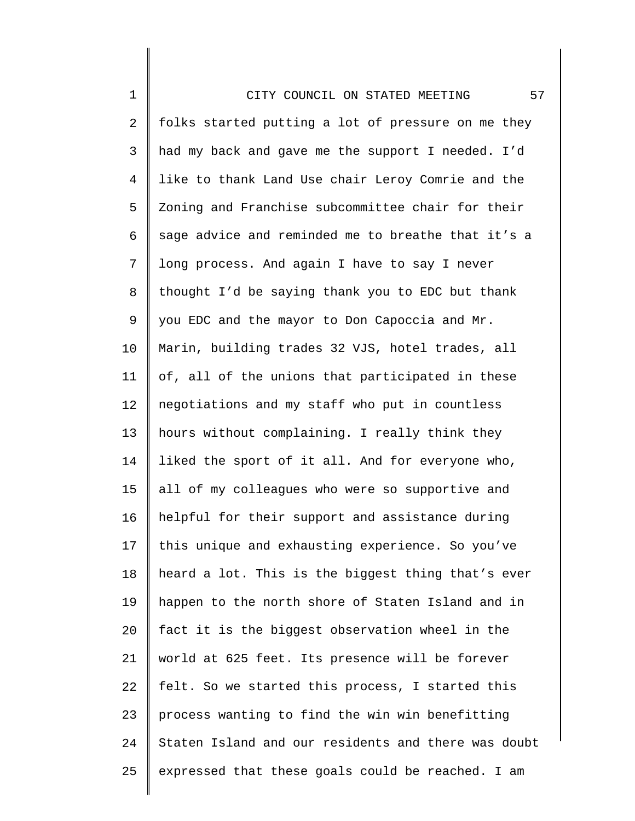| $\mathbf 1$ | 57<br>CITY COUNCIL ON STATED MEETING                |
|-------------|-----------------------------------------------------|
| 2           | folks started putting a lot of pressure on me they  |
| 3           | had my back and gave me the support I needed. I'd   |
| 4           | like to thank Land Use chair Leroy Comrie and the   |
| 5           | Zoning and Franchise subcommittee chair for their   |
| 6           | sage advice and reminded me to breathe that it's a  |
| 7           | long process. And again I have to say I never       |
| 8           | thought I'd be saying thank you to EDC but thank    |
| 9           | you EDC and the mayor to Don Capoccia and Mr.       |
| $10 \,$     | Marin, building trades 32 VJS, hotel trades, all    |
| 11          | of, all of the unions that participated in these    |
| 12          | negotiations and my staff who put in countless      |
| 13          | hours without complaining. I really think they      |
| 14          | liked the sport of it all. And for everyone who,    |
| 15          | all of my colleagues who were so supportive and     |
| 16          | helpful for their support and assistance during     |
| 17          | this unique and exhausting experience. So you've    |
| 18          | heard a lot. This is the biggest thing that's ever  |
| 19          | happen to the north shore of Staten Island and in   |
| 20          | fact it is the biggest observation wheel in the     |
| 21          | world at 625 feet. Its presence will be forever     |
| 22          | felt. So we started this process, I started this    |
| 23          | process wanting to find the win win benefitting     |
| 24          | Staten Island and our residents and there was doubt |
| 25          | expressed that these goals could be reached. I am   |
|             |                                                     |

∥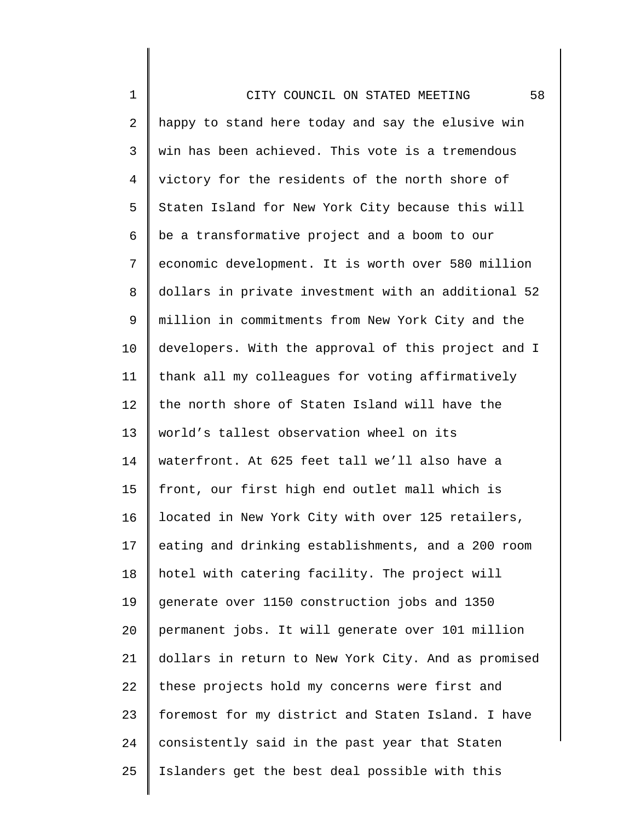1 2 3 4 5 6 7 8 9 10 11 12 13 14 15 16 17 18 19 20 21 22 23 24 25 CITY COUNCIL ON STATED MEETING 58 happy to stand here today and say the elusive win win has been achieved. This vote is a tremendous victory for the residents of the north shore of Staten Island for New York City because this will be a transformative project and a boom to our economic development. It is worth over 580 million dollars in private investment with an additional 52 million in commitments from New York City and the developers. With the approval of this project and I thank all my colleagues for voting affirmatively the north shore of Staten Island will have the world's tallest observation wheel on its waterfront. At 625 feet tall we'll also have a front, our first high end outlet mall which is located in New York City with over 125 retailers, eating and drinking establishments, and a 200 room hotel with catering facility. The project will generate over 1150 construction jobs and 1350 permanent jobs. It will generate over 101 million dollars in return to New York City. And as promised these projects hold my concerns were first and foremost for my district and Staten Island. I have consistently said in the past year that Staten Islanders get the best deal possible with this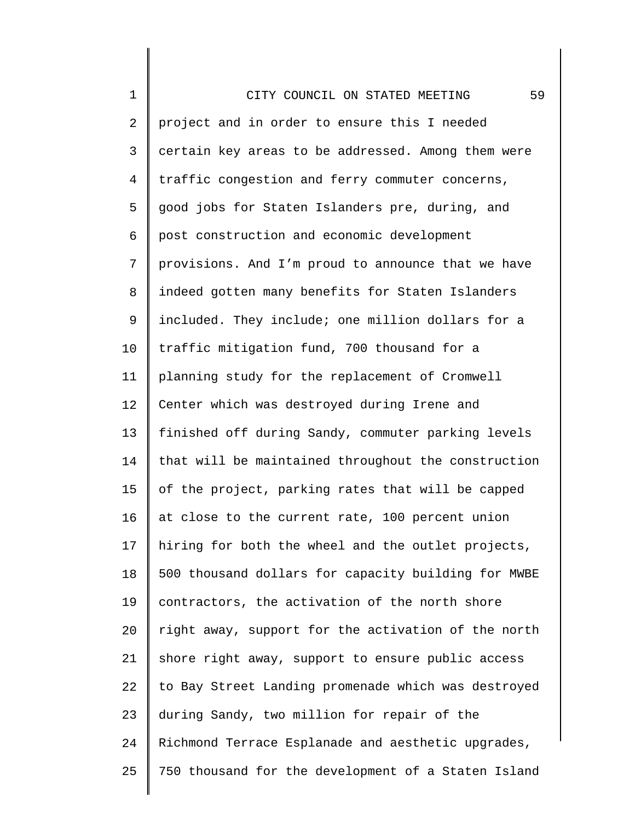1 2 3 4 5 6 7 8 9 10 11 12 13 14 15 16 17 18 19 20 21 22 23 24 25 CITY COUNCIL ON STATED MEETING 59 project and in order to ensure this I needed certain key areas to be addressed. Among them were traffic congestion and ferry commuter concerns, good jobs for Staten Islanders pre, during, and post construction and economic development provisions. And I'm proud to announce that we have indeed gotten many benefits for Staten Islanders included. They include; one million dollars for a traffic mitigation fund, 700 thousand for a planning study for the replacement of Cromwell Center which was destroyed during Irene and finished off during Sandy, commuter parking levels that will be maintained throughout the construction of the project, parking rates that will be capped at close to the current rate, 100 percent union hiring for both the wheel and the outlet projects, 500 thousand dollars for capacity building for MWBE contractors, the activation of the north shore right away, support for the activation of the north shore right away, support to ensure public access to Bay Street Landing promenade which was destroyed during Sandy, two million for repair of the Richmond Terrace Esplanade and aesthetic upgrades, 750 thousand for the development of a Staten Island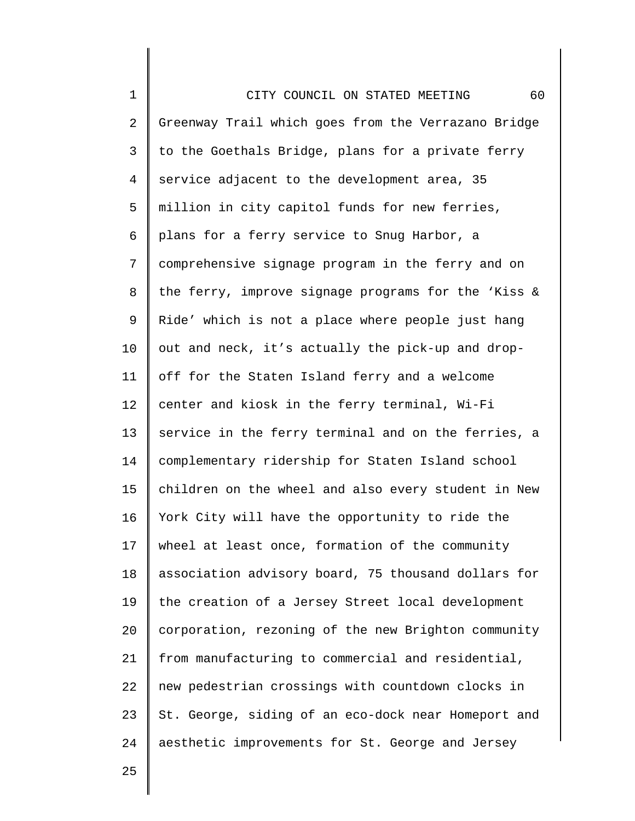| $\mathbf 1$    | 60<br>CITY COUNCIL ON STATED MEETING                |
|----------------|-----------------------------------------------------|
| 2              | Greenway Trail which goes from the Verrazano Bridge |
| 3              | to the Goethals Bridge, plans for a private ferry   |
| $\overline{4}$ | service adjacent to the development area, 35        |
| 5              | million in city capitol funds for new ferries,      |
| 6              | plans for a ferry service to Snug Harbor, a         |
| 7              | comprehensive signage program in the ferry and on   |
| 8              | the ferry, improve signage programs for the 'Kiss & |
| 9              | Ride' which is not a place where people just hang   |
| 10             | out and neck, it's actually the pick-up and drop-   |
| 11             | off for the Staten Island ferry and a welcome       |
| 12             | center and kiosk in the ferry terminal, Wi-Fi       |
| 13             | service in the ferry terminal and on the ferries, a |
| 14             | complementary ridership for Staten Island school    |
| 15             | children on the wheel and also every student in New |
| 16             | York City will have the opportunity to ride the     |
| 17             | wheel at least once, formation of the community     |
| 18             | association advisory board, 75 thousand dollars for |
| 19             | the creation of a Jersey Street local development   |
| 20             | corporation, rezoning of the new Brighton community |
| 21             | from manufacturing to commercial and residential,   |
| 22             | new pedestrian crossings with countdown clocks in   |
| 23             | St. George, siding of an eco-dock near Homeport and |
| 24             | aesthetic improvements for St. George and Jersey    |
|                |                                                     |

25

II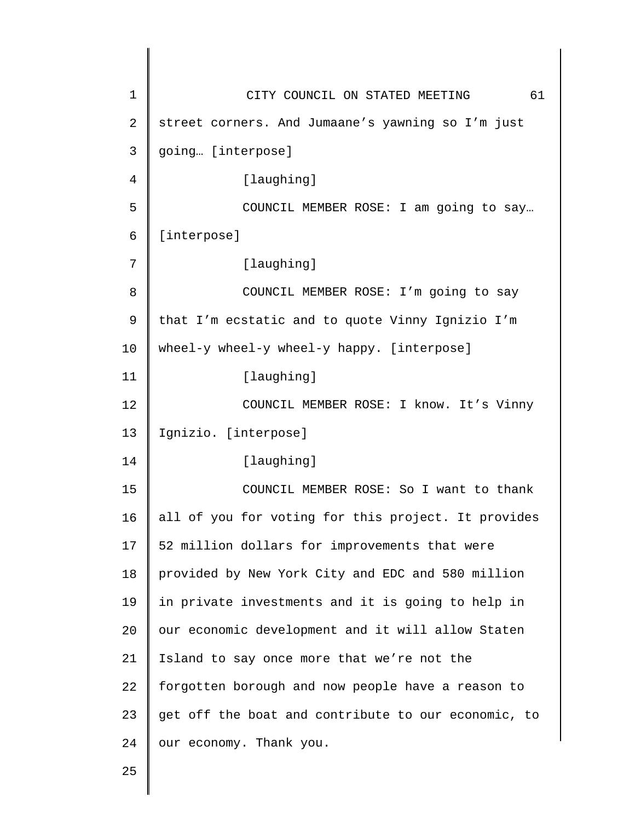| 1  | CITY COUNCIL ON STATED MEETING<br>61                |
|----|-----------------------------------------------------|
| 2  | street corners. And Jumaane's yawning so I'm just   |
| 3  | going [interpose]                                   |
| 4  | [laughing]                                          |
| 5  | COUNCIL MEMBER ROSE: I am going to say              |
| 6  | [interpose]                                         |
| 7  | [laughing]                                          |
| 8  | COUNCIL MEMBER ROSE: I'm going to say               |
| 9  | that I'm ecstatic and to quote Vinny Ignizio I'm    |
| 10 | wheel-y wheel-y wheel-y happy. [interpose]          |
| 11 | [laughing]                                          |
| 12 | COUNCIL MEMBER ROSE: I know. It's Vinny             |
| 13 | Ignizio. [interpose]                                |
| 14 | [laughing]                                          |
| 15 | COUNCIL MEMBER ROSE: So I want to thank             |
| 16 | all of you for voting for this project. It provides |
| 17 | 52 million dollars for improvements that were       |
| 18 | provided by New York City and EDC and 580 million   |
| 19 | in private investments and it is going to help in   |
| 20 | our economic development and it will allow Staten   |
| 21 | Island to say once more that we're not the          |
| 22 | forgotten borough and now people have a reason to   |
| 23 | get off the boat and contribute to our economic, to |
| 24 | our economy. Thank you.                             |
|    |                                                     |

25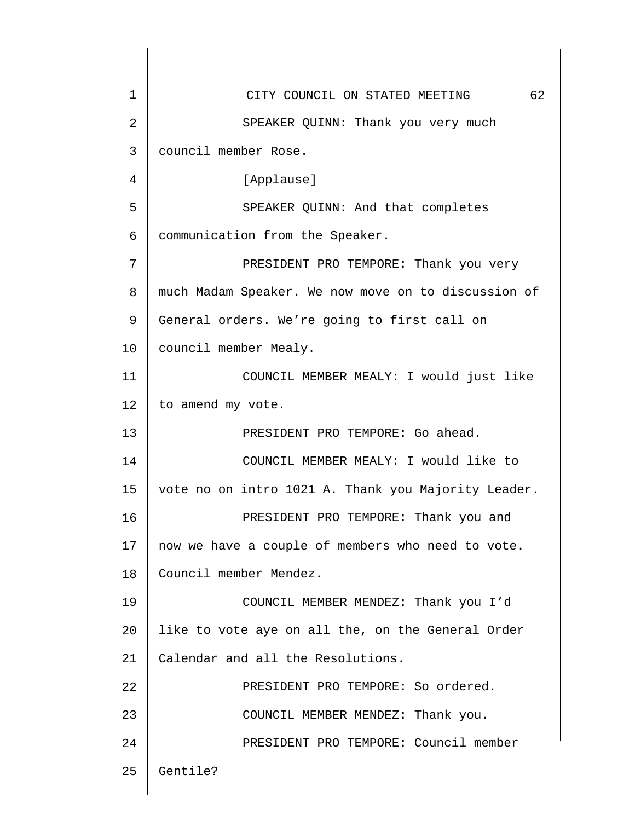| $\mathbf{1}$    | 62<br>CITY COUNCIL ON STATED MEETING                |
|-----------------|-----------------------------------------------------|
| 2               | SPEAKER QUINN: Thank you very much                  |
| 3               | council member Rose.                                |
| 4               | [Applause]                                          |
| 5               | SPEAKER QUINN: And that completes                   |
| 6               | communication from the Speaker.                     |
| 7               | PRESIDENT PRO TEMPORE: Thank you very               |
| 8               | much Madam Speaker. We now move on to discussion of |
| 9               | General orders. We're going to first call on        |
| 10              | council member Mealy.                               |
| 11              | COUNCIL MEMBER MEALY: I would just like             |
| 12 <sup>°</sup> | to amend my vote.                                   |
| 13              | PRESIDENT PRO TEMPORE: Go ahead.                    |
| 14              | COUNCIL MEMBER MEALY: I would like to               |
| 15 <sub>1</sub> | vote no on intro 1021 A. Thank you Majority Leader. |
| 16              | PRESIDENT PRO TEMPORE: Thank you and                |
| 17              | now we have a couple of members who need to vote.   |
| 18              | Council member Mendez.                              |
| 19              | COUNCIL MEMBER MENDEZ: Thank you I'd                |
| 20              | like to vote aye on all the, on the General Order   |
| 21              | Calendar and all the Resolutions.                   |
| 22              | PRESIDENT PRO TEMPORE: So ordered.                  |
| 23              | COUNCIL MEMBER MENDEZ: Thank you.                   |
| 24              | PRESIDENT PRO TEMPORE: Council member               |
| 25              | Gentile?                                            |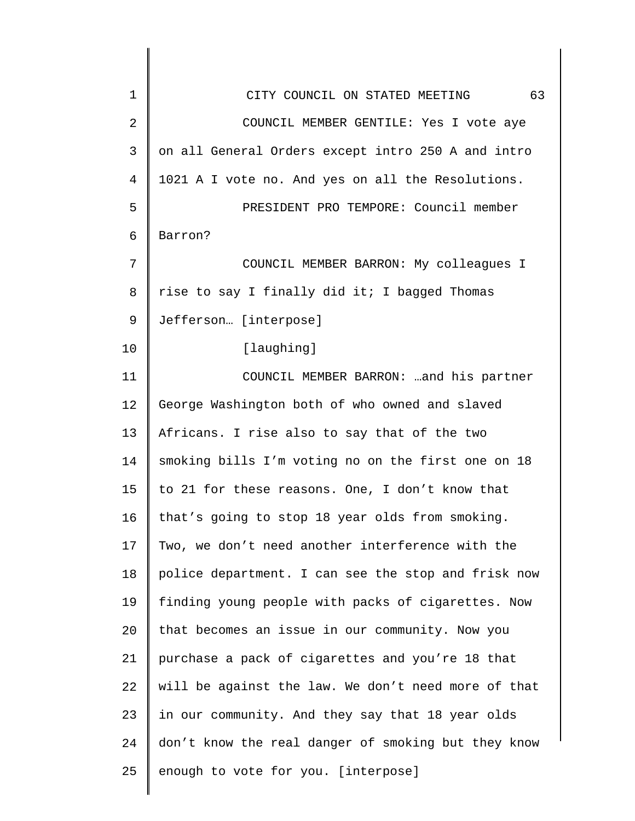| 1  | 63<br>CITY COUNCIL ON STATED MEETING                |
|----|-----------------------------------------------------|
| 2  | COUNCIL MEMBER GENTILE: Yes I vote aye              |
| 3  | on all General Orders except intro 250 A and intro  |
| 4  | 1021 A I vote no. And yes on all the Resolutions.   |
| 5  | PRESIDENT PRO TEMPORE: Council member               |
| 6  | Barron?                                             |
| 7  | COUNCIL MEMBER BARRON: My colleagues I              |
| 8  | rise to say I finally did it; I bagged Thomas       |
| 9  | Jefferson [interpose]                               |
| 10 | [laughing]                                          |
| 11 | COUNCIL MEMBER BARRON:  and his partner             |
| 12 | George Washington both of who owned and slaved      |
| 13 | Africans. I rise also to say that of the two        |
| 14 | smoking bills I'm voting no on the first one on 18  |
| 15 | to 21 for these reasons. One, I don't know that     |
| 16 | that's going to stop 18 year olds from smoking.     |
| 17 | Two, we don't need another interference with the    |
| 18 | police department. I can see the stop and frisk now |
| 19 | finding young people with packs of cigarettes. Now  |
| 20 | that becomes an issue in our community. Now you     |
| 21 | purchase a pack of cigarettes and you're 18 that    |
| 22 | will be against the law. We don't need more of that |
| 23 | in our community. And they say that 18 year olds    |
| 24 | don't know the real danger of smoking but they know |
| 25 | enough to vote for you. [interpose]                 |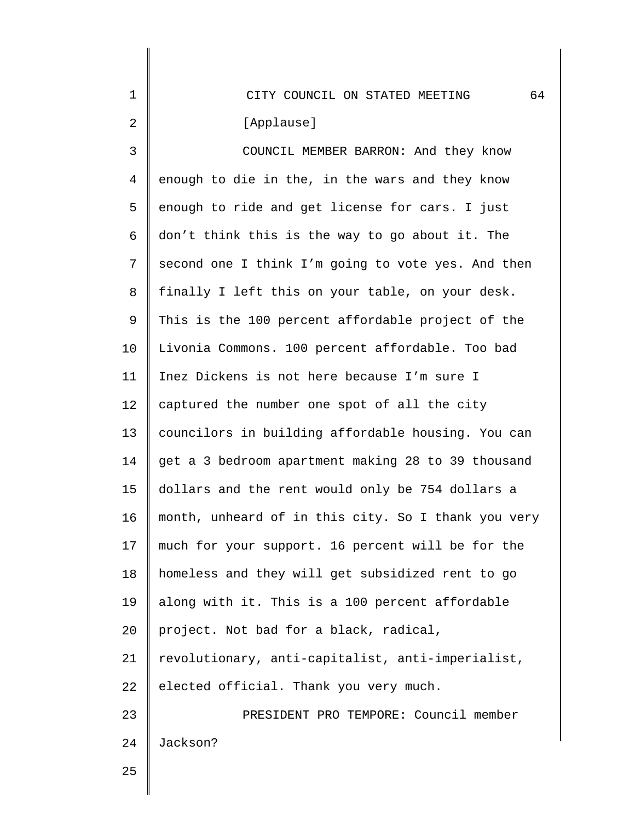| $\mathbf 1$    | 64<br>CITY COUNCIL ON STATED MEETING                |
|----------------|-----------------------------------------------------|
| $\overline{2}$ | [Applause]                                          |
| $\mathsf{3}$   | COUNCIL MEMBER BARRON: And they know                |
| $\overline{4}$ | enough to die in the, in the wars and they know     |
| 5              | enough to ride and get license for cars. I just     |
| 6              | don't think this is the way to go about it. The     |
| 7              | second one I think I'm going to vote yes. And then  |
| 8              | finally I left this on your table, on your desk.    |
| 9              | This is the 100 percent affordable project of the   |
| 10             | Livonia Commons. 100 percent affordable. Too bad    |
| 11             | Inez Dickens is not here because I'm sure I         |
| 12             | captured the number one spot of all the city        |
| 13             | councilors in building affordable housing. You can  |
| 14             | get a 3 bedroom apartment making 28 to 39 thousand  |
| 15             | dollars and the rent would only be 754 dollars a    |
| 16             | month, unheard of in this city. So I thank you very |
| 17             | much for your support. 16 percent will be for the   |
| 18             | homeless and they will get subsidized rent to go    |
| 19             | along with it. This is a 100 percent affordable     |
| 20             | project. Not bad for a black, radical,              |
| 21             | revolutionary, anti-capitalist, anti-imperialist,   |
| 22             | elected official. Thank you very much.              |
| 23             | PRESIDENT PRO TEMPORE: Council member               |
| 24             | Jackson?                                            |
| 25             |                                                     |
|                |                                                     |

∥ ∥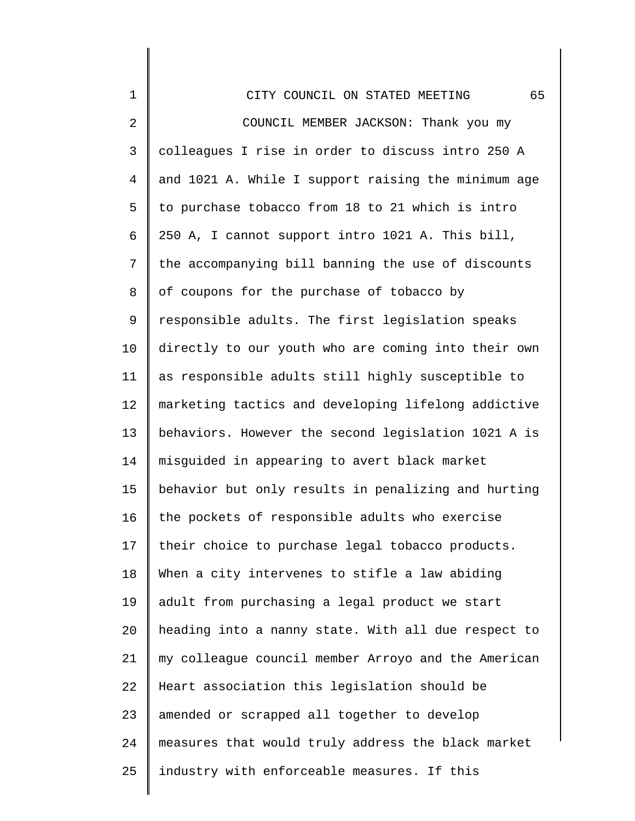| $\mathbf 1$ | 65<br>CITY COUNCIL ON STATED MEETING                |
|-------------|-----------------------------------------------------|
| 2           | COUNCIL MEMBER JACKSON: Thank you my                |
| 3           | colleagues I rise in order to discuss intro 250 A   |
| 4           | and 1021 A. While I support raising the minimum age |
| 5           | to purchase tobacco from 18 to 21 which is intro    |
| 6           | 250 A, I cannot support intro 1021 A. This bill,    |
| 7           | the accompanying bill banning the use of discounts  |
| 8           | of coupons for the purchase of tobacco by           |
| 9           | responsible adults. The first legislation speaks    |
| 10          | directly to our youth who are coming into their own |
| 11          | as responsible adults still highly susceptible to   |
| 12          | marketing tactics and developing lifelong addictive |
| 13          | behaviors. However the second legislation 1021 A is |
| 14          | misguided in appearing to avert black market        |
| 15          | behavior but only results in penalizing and hurting |
| 16          | the pockets of responsible adults who exercise      |
| 17          | their choice to purchase legal tobacco products.    |
| 18          | When a city intervenes to stifle a law abiding      |
| 19          | adult from purchasing a legal product we start      |
| 20          | heading into a nanny state. With all due respect to |
| 21          | my colleague council member Arroyo and the American |
| 22          | Heart association this legislation should be        |
| 23          | amended or scrapped all together to develop         |
| 24          | measures that would truly address the black market  |
| 25          | industry with enforceable measures. If this         |
|             |                                                     |

∥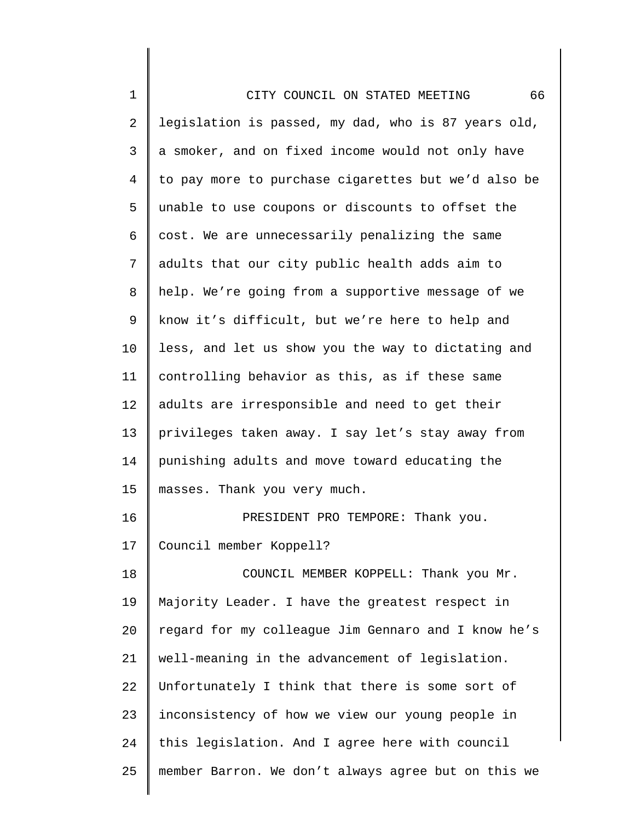| 1       | 66<br>CITY COUNCIL ON STATED MEETING                |
|---------|-----------------------------------------------------|
| 2       | legislation is passed, my dad, who is 87 years old, |
| 3       | a smoker, and on fixed income would not only have   |
| 4       | to pay more to purchase cigarettes but we'd also be |
| 5       | unable to use coupons or discounts to offset the    |
| б       | cost. We are unnecessarily penalizing the same      |
| 7       | adults that our city public health adds aim to      |
| 8       | help. We're going from a supportive message of we   |
| 9       | know it's difficult, but we're here to help and     |
| $10 \,$ | less, and let us show you the way to dictating and  |
| 11      | controlling behavior as this, as if these same      |
| 12      | adults are irresponsible and need to get their      |
| 13      | privileges taken away. I say let's stay away from   |
| 14      | punishing adults and move toward educating the      |
| 15      | masses. Thank you very much.                        |
| 16      | PRESIDENT PRO TEMPORE: Thank you.                   |
| 17      | Council member Koppell?                             |
| 18      | COUNCIL MEMBER KOPPELL: Thank you Mr.               |
| 19      | Majority Leader. I have the greatest respect in     |
| 20      | regard for my colleague Jim Gennaro and I know he's |
| 21      | well-meaning in the advancement of legislation.     |
| 22      | Unfortunately I think that there is some sort of    |
| 23      | inconsistency of how we view our young people in    |
| 24      | this legislation. And I agree here with council     |
| 25      | member Barron. We don't always agree but on this we |
|         |                                                     |

I ∥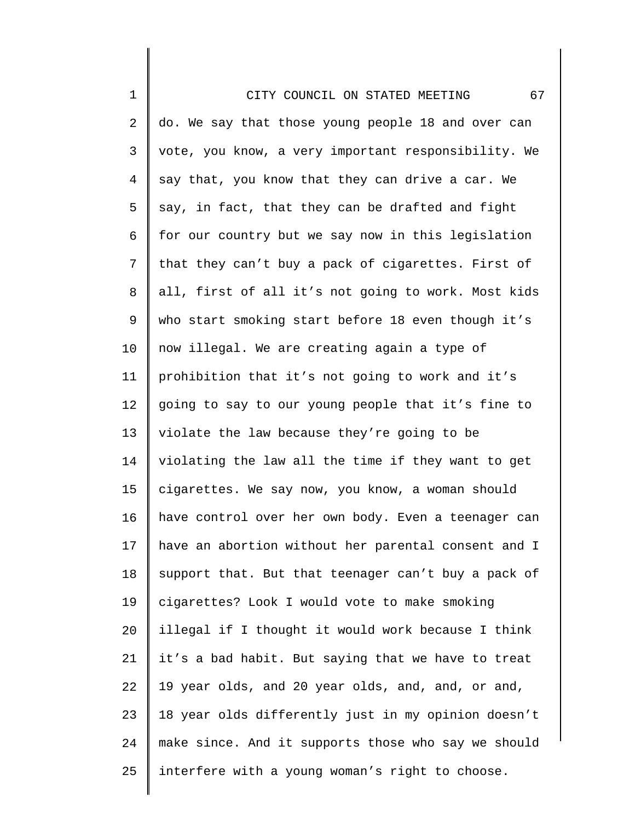| $\mathbf 1$    | 67<br>CITY COUNCIL ON STATED MEETING                |
|----------------|-----------------------------------------------------|
| 2              | do. We say that those young people 18 and over can  |
| 3              | vote, you know, a very important responsibility. We |
| $\overline{4}$ | say that, you know that they can drive a car. We    |
| 5              | say, in fact, that they can be drafted and fight    |
| 6              | for our country but we say now in this legislation  |
| 7              | that they can't buy a pack of cigarettes. First of  |
| 8              | all, first of all it's not going to work. Most kids |
| 9              | who start smoking start before 18 even though it's  |
| 10             | now illegal. We are creating again a type of        |
| 11             | prohibition that it's not going to work and it's    |
| 12             | going to say to our young people that it's fine to  |
| 13             | violate the law because they're going to be         |
| 14             | violating the law all the time if they want to get  |
| 15             | cigarettes. We say now, you know, a woman should    |
| 16             | have control over her own body. Even a teenager can |
| 17             | have an abortion without her parental consent and I |
| 18             | support that. But that teenager can't buy a pack of |
| 19             | cigarettes? Look I would vote to make smoking       |
| 20             | illegal if I thought it would work because I think  |
| 21             | it's a bad habit. But saying that we have to treat  |
| 22             | 19 year olds, and 20 year olds, and, and, or and,   |
| 23             | 18 year olds differently just in my opinion doesn't |
| 24             | make since. And it supports those who say we should |
| 25             | interfere with a young woman's right to choose.     |
|                |                                                     |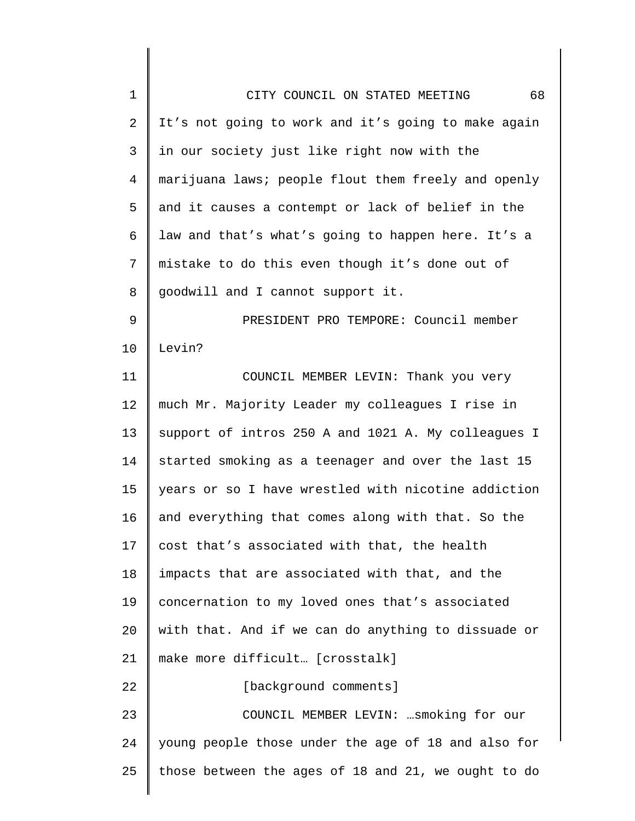| $\mathbf 1$ | 68<br>CITY COUNCIL ON STATED MEETING                |
|-------------|-----------------------------------------------------|
| 2           | It's not going to work and it's going to make again |
| 3           | in our society just like right now with the         |
| 4           | marijuana laws; people flout them freely and openly |
| 5           | and it causes a contempt or lack of belief in the   |
| 6           | law and that's what's going to happen here. It's a  |
| 7           | mistake to do this even though it's done out of     |
| 8           | goodwill and I cannot support it.                   |
| 9           | PRESIDENT PRO TEMPORE: Council member               |
| 10          | Levin?                                              |
| 11          | COUNCIL MEMBER LEVIN: Thank you very                |
| 12          | much Mr. Majority Leader my colleagues I rise in    |
| 13          | support of intros 250 A and 1021 A. My colleagues I |
| 14          | started smoking as a teenager and over the last 15  |
| 15          | years or so I have wrestled with nicotine addiction |
| 16          | and everything that comes along with that. So the   |
| 17          | cost that's associated with that, the health        |
| 18          | impacts that are associated with that, and the      |
| 19          | concernation to my loved ones that's associated     |
| 20          | with that. And if we can do anything to dissuade or |
| 21          | make more difficult [crosstalk]                     |
| 22          | [background comments]                               |
| 23          | COUNCIL MEMBER LEVIN:  smoking for our              |
| 24          | young people those under the age of 18 and also for |
| 25          | those between the ages of 18 and 21, we ought to do |
|             |                                                     |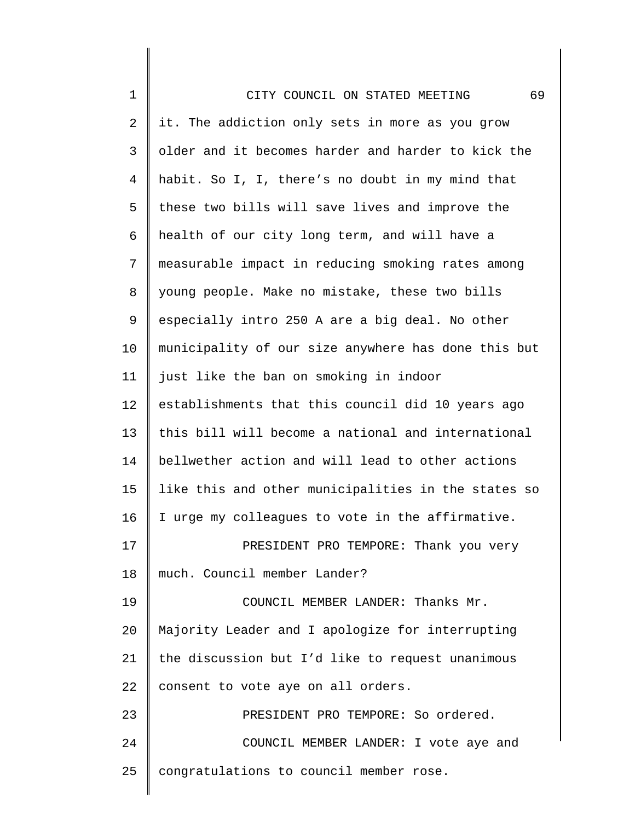| $\mathbf 1$    | 69<br>CITY COUNCIL ON STATED MEETING                |
|----------------|-----------------------------------------------------|
| $\overline{2}$ | it. The addiction only sets in more as you grow     |
| $\mathsf{3}$   | older and it becomes harder and harder to kick the  |
| $\overline{4}$ | habit. So I, I, there's no doubt in my mind that    |
| 5              | these two bills will save lives and improve the     |
| 6              | health of our city long term, and will have a       |
| 7              | measurable impact in reducing smoking rates among   |
| 8              | young people. Make no mistake, these two bills      |
| 9              | especially intro 250 A are a big deal. No other     |
| 10             | municipality of our size anywhere has done this but |
| 11             | just like the ban on smoking in indoor              |
| 12             | establishments that this council did 10 years ago   |
| 13             | this bill will become a national and international  |
| 14             | bellwether action and will lead to other actions    |
| 15             | like this and other municipalities in the states so |
| 16             | I urge my colleagues to vote in the affirmative.    |
| 17             | PRESIDENT PRO TEMPORE: Thank you very               |
| 18             | much. Council member Lander?                        |
| 19             | COUNCIL MEMBER LANDER: Thanks Mr.                   |
| 20             | Majority Leader and I apologize for interrupting    |
| 21             | the discussion but I'd like to request unanimous    |
| 22             | consent to vote aye on all orders.                  |
| 23             | PRESIDENT PRO TEMPORE: So ordered.                  |
| 24             | COUNCIL MEMBER LANDER: I vote aye and               |
| 25             | congratulations to council member rose.             |
|                |                                                     |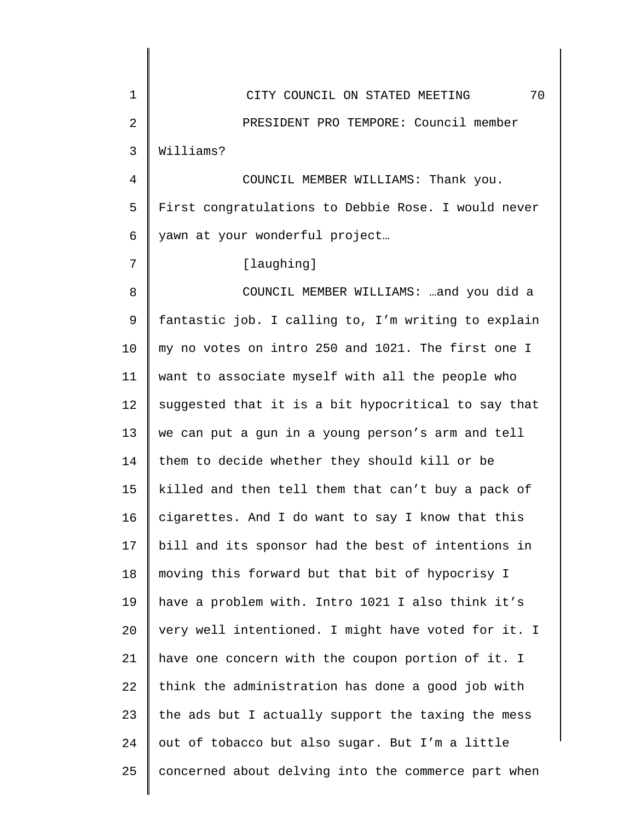| $\mathbf 1$ | 70<br>CITY COUNCIL ON STATED MEETING                |
|-------------|-----------------------------------------------------|
| 2           | PRESIDENT PRO TEMPORE: Council member               |
| 3           | Williams?                                           |
| 4           | COUNCIL MEMBER WILLIAMS: Thank you.                 |
| 5           | First congratulations to Debbie Rose. I would never |
| 6           | yawn at your wonderful project                      |
| 7           | [laughing]                                          |
| 8           | COUNCIL MEMBER WILLIAMS: and you did a              |
| 9           | fantastic job. I calling to, I'm writing to explain |
| 10          | my no votes on intro 250 and 1021. The first one I  |
| 11          | want to associate myself with all the people who    |
| 12          | suggested that it is a bit hypocritical to say that |
| 13          | we can put a gun in a young person's arm and tell   |
| 14          | them to decide whether they should kill or be       |
| 15          | killed and then tell them that can't buy a pack of  |
| 16          | cigarettes. And I do want to say I know that this   |
| 17          | bill and its sponsor had the best of intentions in  |
| 18          | moving this forward but that bit of hypocrisy I     |
| 19          | have a problem with. Intro 1021 I also think it's   |
| 20          | very well intentioned. I might have voted for it. I |
| 21          | have one concern with the coupon portion of it. I   |
| 22          | think the administration has done a good job with   |
| 23          | the ads but I actually support the taxing the mess  |
| 24          | out of tobacco but also sugar. But I'm a little     |
| 25          | concerned about delving into the commerce part when |
|             |                                                     |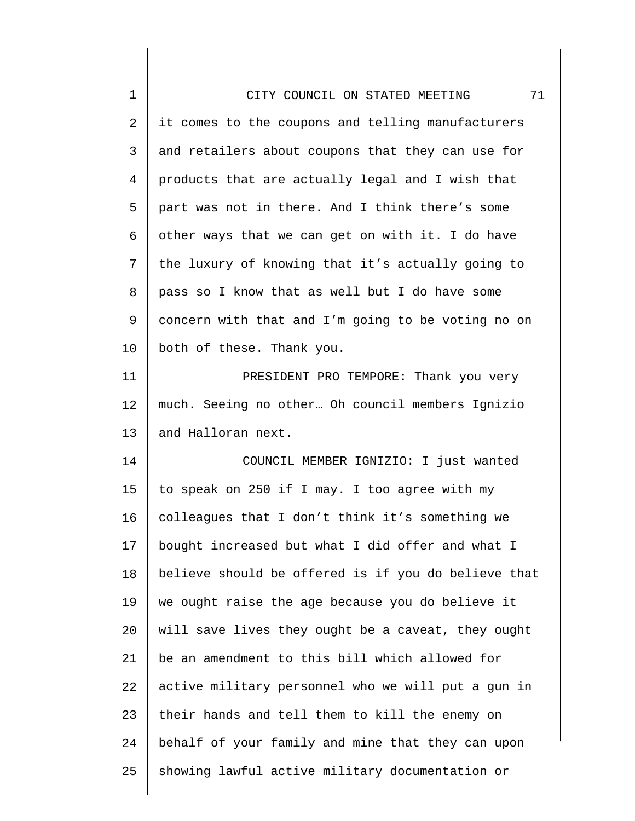| $\mathbf 1$ | 71<br>CITY COUNCIL ON STATED MEETING                |
|-------------|-----------------------------------------------------|
| 2           | it comes to the coupons and telling manufacturers   |
| 3           | and retailers about coupons that they can use for   |
| 4           | products that are actually legal and I wish that    |
| 5           | part was not in there. And I think there's some     |
| 6           | other ways that we can get on with it. I do have    |
| 7           | the luxury of knowing that it's actually going to   |
| 8           | pass so I know that as well but I do have some      |
| 9           | concern with that and I'm going to be voting no on  |
| 10          | both of these. Thank you.                           |
| 11          | PRESIDENT PRO TEMPORE: Thank you very               |
| 12          | much. Seeing no other Oh council members Ignizio    |
| 13          | and Halloran next.                                  |
| 14          | COUNCIL MEMBER IGNIZIO: I just wanted               |
| 15          | to speak on 250 if I may. I too agree with my       |
| 16          | colleagues that I don't think it's something we     |
| 17          | bought increased but what I did offer and what I    |
| 18          | believe should be offered is if you do believe that |
| 19          | we ought raise the age because you do believe it    |
| 20          | will save lives they ought be a caveat, they ought  |
| 21          | be an amendment to this bill which allowed for      |
| 22          | active military personnel who we will put a gun in  |
| 23          | their hands and tell them to kill the enemy on      |
| 24          | behalf of your family and mine that they can upon   |
| 25          | showing lawful active military documentation or     |
|             |                                                     |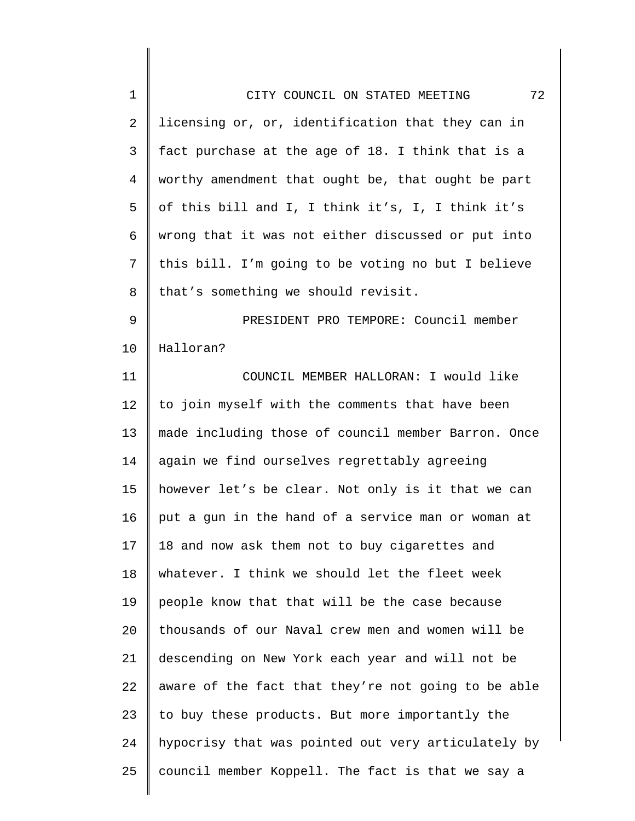| $\mathbf 1$    | 72<br>CITY COUNCIL ON STATED MEETING                |
|----------------|-----------------------------------------------------|
| $\overline{2}$ | licensing or, or, identification that they can in   |
| 3              | fact purchase at the age of 18. I think that is a   |
| 4              | worthy amendment that ought be, that ought be part  |
| 5              | of this bill and I, I think it's, I, I think it's   |
| 6              | wrong that it was not either discussed or put into  |
| 7              | this bill. I'm going to be voting no but I believe  |
| 8              | that's something we should revisit.                 |
| 9              | PRESIDENT PRO TEMPORE: Council member               |
| 10             | Halloran?                                           |
| 11             | COUNCIL MEMBER HALLORAN: I would like               |
| 12             | to join myself with the comments that have been     |
| 13             | made including those of council member Barron. Once |
| 14             | again we find ourselves regrettably agreeing        |
| 15             | however let's be clear. Not only is it that we can  |
| 16             | put a gun in the hand of a service man or woman at  |
| 17             | 18 and now ask them not to buy cigarettes and       |
| 18             | whatever. I think we should let the fleet week      |
| 19             | people know that that will be the case because      |
| 20             | thousands of our Naval crew men and women will be   |
| 21             | descending on New York each year and will not be    |
| 22             | aware of the fact that they're not going to be able |
| 23             | to buy these products. But more importantly the     |
| 24             | hypocrisy that was pointed out very articulately by |
| 25             | council member Koppell. The fact is that we say a   |
|                |                                                     |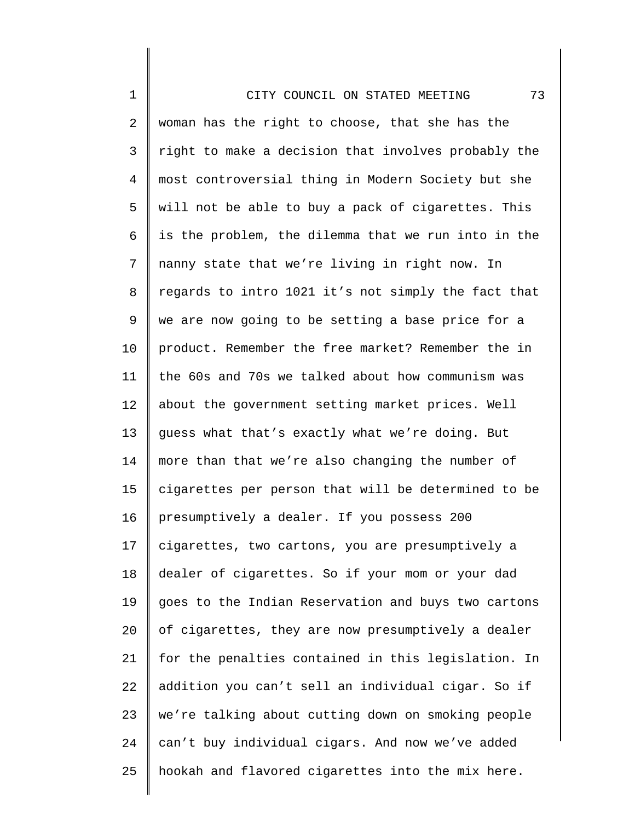1 2 3 4 5 6 7 8 9 10 11 12 13 14 15 16 17 18 19 20 21 22 23 24 25 CITY COUNCIL ON STATED MEETING 73 woman has the right to choose, that she has the right to make a decision that involves probably the most controversial thing in Modern Society but she will not be able to buy a pack of cigarettes. This is the problem, the dilemma that we run into in the nanny state that we're living in right now. In regards to intro 1021 it's not simply the fact that we are now going to be setting a base price for a product. Remember the free market? Remember the in the 60s and 70s we talked about how communism was about the government setting market prices. Well guess what that's exactly what we're doing. But more than that we're also changing the number of cigarettes per person that will be determined to be presumptively a dealer. If you possess 200 cigarettes, two cartons, you are presumptively a dealer of cigarettes. So if your mom or your dad goes to the Indian Reservation and buys two cartons of cigarettes, they are now presumptively a dealer for the penalties contained in this legislation. In addition you can't sell an individual cigar. So if we're talking about cutting down on smoking people can't buy individual cigars. And now we've added hookah and flavored cigarettes into the mix here.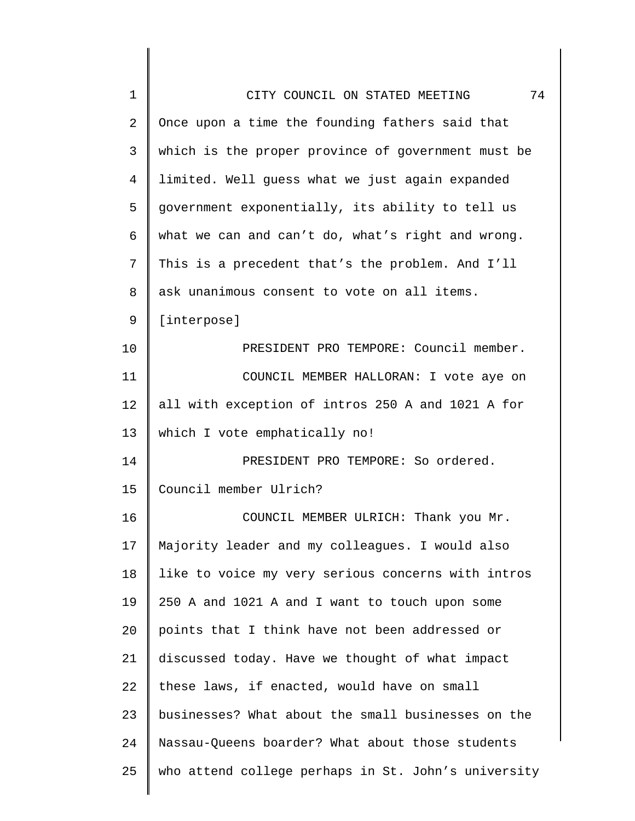| $\mathbf 1$ | 74<br>CITY COUNCIL ON STATED MEETING                |
|-------------|-----------------------------------------------------|
| 2           | Once upon a time the founding fathers said that     |
| 3           | which is the proper province of government must be  |
| 4           | limited. Well guess what we just again expanded     |
| 5           | government exponentially, its ability to tell us    |
| 6           | what we can and can't do, what's right and wrong.   |
| 7           | This is a precedent that's the problem. And I'll    |
| 8           | ask unanimous consent to vote on all items.         |
| 9           | [interpose]                                         |
| 10          | PRESIDENT PRO TEMPORE: Council member.              |
| 11          | COUNCIL MEMBER HALLORAN: I vote aye on              |
| 12          | all with exception of intros 250 A and 1021 A for   |
| 13          | which I vote emphatically no!                       |
| 14          | PRESIDENT PRO TEMPORE: So ordered.                  |
| 15          | Council member Ulrich?                              |
| 16          | COUNCIL MEMBER ULRICH: Thank you Mr.                |
| 17          | Majority leader and my colleagues. I would also     |
| 18          | like to voice my very serious concerns with intros  |
| 19          | 250 A and 1021 A and I want to touch upon some      |
| 20          | points that I think have not been addressed or      |
| 21          | discussed today. Have we thought of what impact     |
| 22          | these laws, if enacted, would have on small         |
| 23          | businesses? What about the small businesses on the  |
| 24          | Nassau-Queens boarder? What about those students    |
| 25          | who attend college perhaps in St. John's university |
|             |                                                     |

 $\begin{array}{c} \hline \end{array}$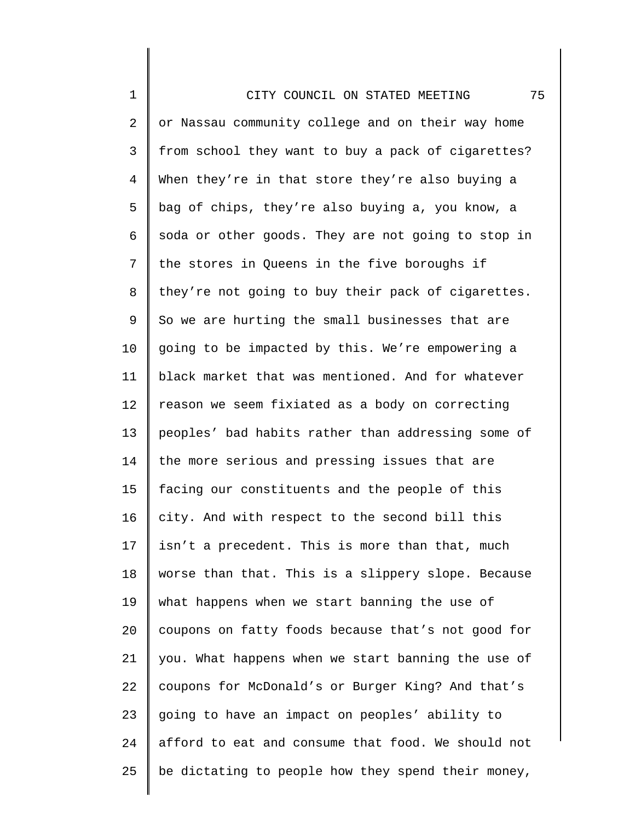1 2 3 4 5 6 7 8 9 10 11 12 13 14 15 16 17 18 19 20 21 22 23 24 25 CITY COUNCIL ON STATED MEETING 75 or Nassau community college and on their way home from school they want to buy a pack of cigarettes? When they're in that store they're also buying a bag of chips, they're also buying a, you know, a soda or other goods. They are not going to stop in the stores in Queens in the five boroughs if they're not going to buy their pack of cigarettes. So we are hurting the small businesses that are going to be impacted by this. We're empowering a black market that was mentioned. And for whatever reason we seem fixiated as a body on correcting peoples' bad habits rather than addressing some of the more serious and pressing issues that are facing our constituents and the people of this city. And with respect to the second bill this isn't a precedent. This is more than that, much worse than that. This is a slippery slope. Because what happens when we start banning the use of coupons on fatty foods because that's not good for you. What happens when we start banning the use of coupons for McDonald's or Burger King? And that's going to have an impact on peoples' ability to afford to eat and consume that food. We should not be dictating to people how they spend their money,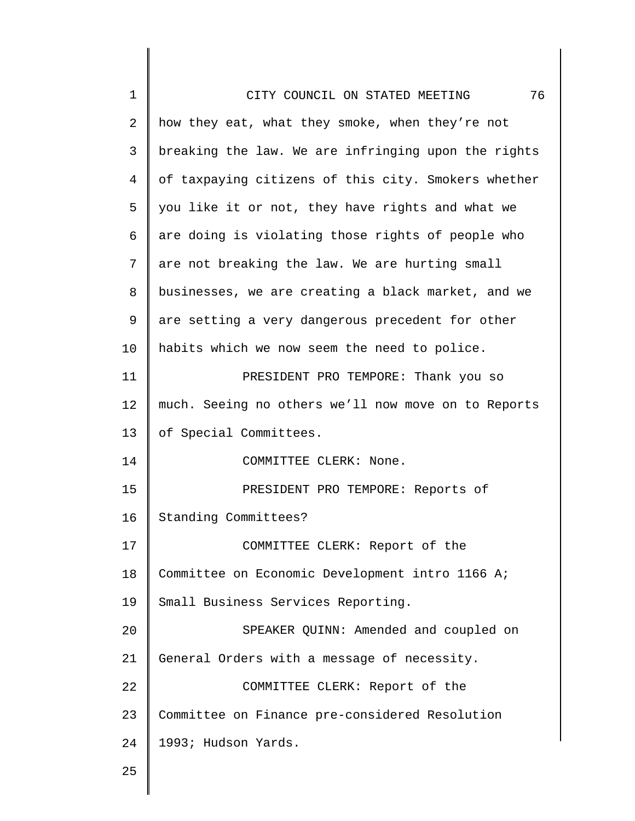| 1  | 76<br>CITY COUNCIL ON STATED MEETING                |
|----|-----------------------------------------------------|
| 2  | how they eat, what they smoke, when they're not     |
| 3  | breaking the law. We are infringing upon the rights |
| 4  | of taxpaying citizens of this city. Smokers whether |
| 5  | you like it or not, they have rights and what we    |
| 6  | are doing is violating those rights of people who   |
| 7  | are not breaking the law. We are hurting small      |
| 8  | businesses, we are creating a black market, and we  |
| 9  | are setting a very dangerous precedent for other    |
| 10 | habits which we now seem the need to police.        |
| 11 | PRESIDENT PRO TEMPORE: Thank you so                 |
| 12 | much. Seeing no others we'll now move on to Reports |
| 13 | of Special Committees.                              |
| 14 | COMMITTEE CLERK: None.                              |
| 15 | PRESIDENT PRO TEMPORE: Reports of                   |
| 16 | Standing Committees?                                |
| 17 | COMMITTEE CLERK: Report of the                      |
| 18 | Committee on Economic Development intro 1166 A;     |
| 19 | Small Business Services Reporting.                  |
| 20 | SPEAKER QUINN: Amended and coupled on               |
| 21 | General Orders with a message of necessity.         |
| 22 | COMMITTEE CLERK: Report of the                      |
| 23 | Committee on Finance pre-considered Resolution      |
| 24 | 1993; Hudson Yards.                                 |
| 25 |                                                     |

25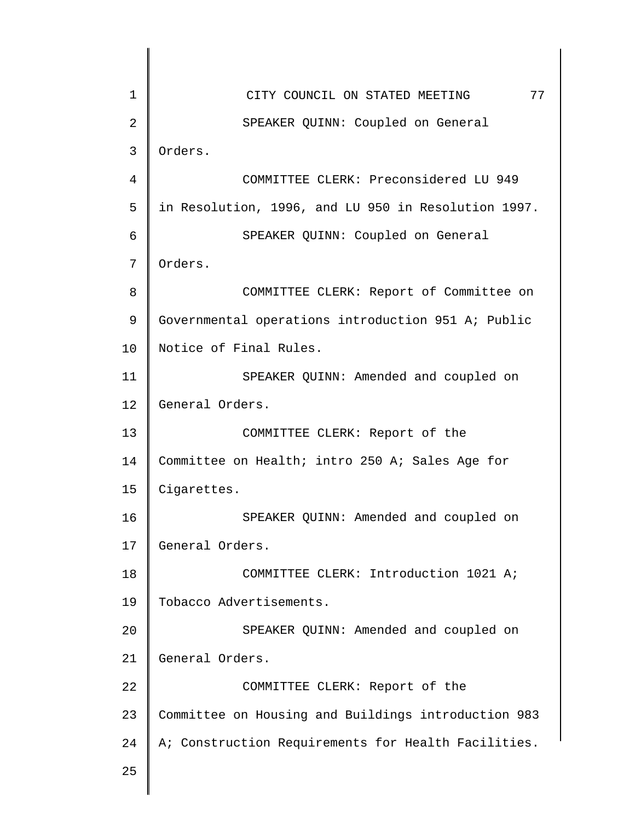| 1  | 77<br>CITY COUNCIL ON STATED MEETING                |
|----|-----------------------------------------------------|
| 2  | SPEAKER QUINN: Coupled on General                   |
| 3  | Orders.                                             |
| 4  | COMMITTEE CLERK: Preconsidered LU 949               |
| 5  | in Resolution, 1996, and LU 950 in Resolution 1997. |
| 6  | SPEAKER QUINN: Coupled on General                   |
| 7  | Orders.                                             |
| 8  | COMMITTEE CLERK: Report of Committee on             |
| 9  | Governmental operations introduction 951 A; Public  |
| 10 | Notice of Final Rules.                              |
| 11 | SPEAKER QUINN: Amended and coupled on               |
| 12 | General Orders.                                     |
| 13 | COMMITTEE CLERK: Report of the                      |
| 14 | Committee on Health; intro 250 A; Sales Age for     |
| 15 | Cigarettes.                                         |
| 16 | SPEAKER QUINN: Amended and coupled on               |
| 17 | General Orders.                                     |
| 18 | COMMITTEE CLERK: Introduction 1021 A;               |
| 19 | Tobacco Advertisements.                             |
| 20 | SPEAKER QUINN: Amended and coupled on               |
| 21 | General Orders.                                     |
| 22 | COMMITTEE CLERK: Report of the                      |
| 23 | Committee on Housing and Buildings introduction 983 |
| 24 | A: Construction Requirements for Health Facilities. |
| 25 |                                                     |
|    |                                                     |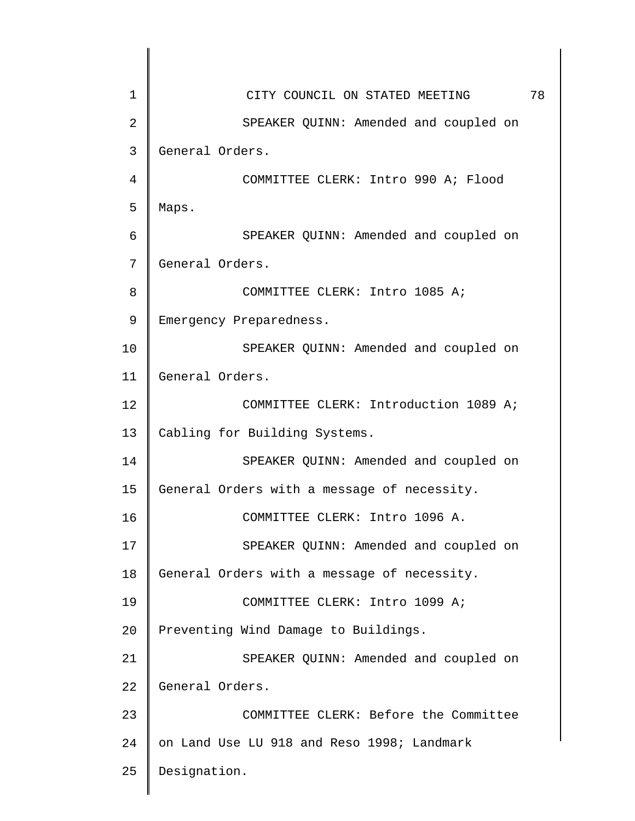| 1  | CITY COUNCIL ON STATED MEETING              | 78 |
|----|---------------------------------------------|----|
| 2  | SPEAKER QUINN: Amended and coupled on       |    |
| 3  | General Orders.                             |    |
| 4  | COMMITTEE CLERK: Intro 990 A; Flood         |    |
| 5  | Maps.                                       |    |
| 6  | SPEAKER QUINN: Amended and coupled on       |    |
| 7  | General Orders.                             |    |
| 8  | COMMITTEE CLERK: Intro 1085 A;              |    |
| 9  | Emergency Preparedness.                     |    |
| 10 | SPEAKER QUINN: Amended and coupled on       |    |
| 11 | General Orders.                             |    |
| 12 | COMMITTEE CLERK: Introduction 1089 A;       |    |
| 13 | Cabling for Building Systems.               |    |
| 14 | SPEAKER QUINN: Amended and coupled on       |    |
| 15 | General Orders with a message of necessity. |    |
| 16 | COMMITTEE CLERK: Intro 1096 A.              |    |
| 17 | SPEAKER QUINN: Amended and coupled on       |    |
| 18 | General Orders with a message of necessity. |    |
| 19 | COMMITTEE CLERK: Intro 1099 A;              |    |
| 20 | Preventing Wind Damage to Buildings.        |    |
| 21 | SPEAKER QUINN: Amended and coupled on       |    |
| 22 | General Orders.                             |    |
| 23 | COMMITTEE CLERK: Before the Committee       |    |
| 24 | on Land Use LU 918 and Reso 1998; Landmark  |    |
| 25 | Designation.                                |    |
|    |                                             |    |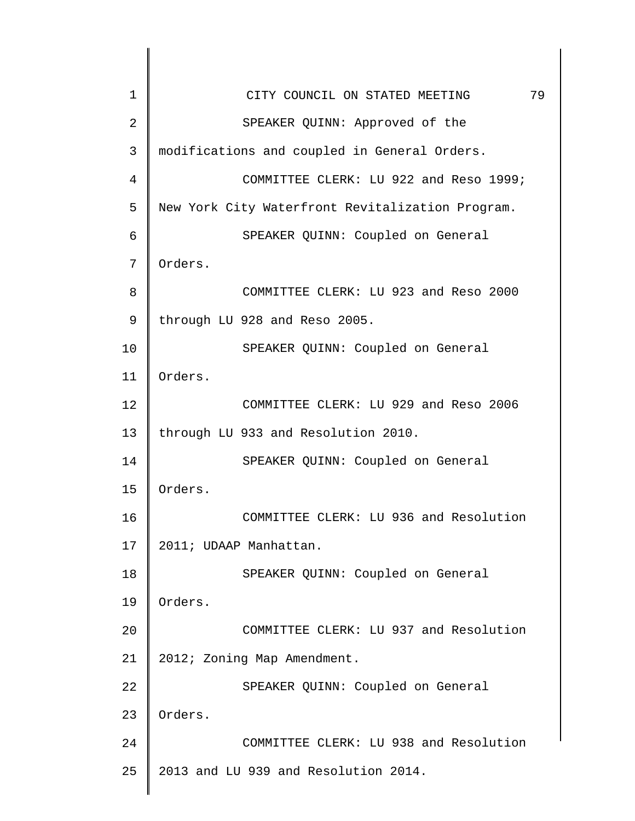| 1  | 79<br>CITY COUNCIL ON STATED MEETING             |
|----|--------------------------------------------------|
| 2  | SPEAKER QUINN: Approved of the                   |
| 3  | modifications and coupled in General Orders.     |
| 4  | COMMITTEE CLERK: LU 922 and Reso 1999;           |
| 5  | New York City Waterfront Revitalization Program. |
| 6  | SPEAKER QUINN: Coupled on General                |
| 7  | Orders.                                          |
| 8  | COMMITTEE CLERK: LU 923 and Reso 2000            |
| 9  | through LU 928 and Reso 2005.                    |
| 10 | SPEAKER QUINN: Coupled on General                |
| 11 | Orders.                                          |
| 12 | COMMITTEE CLERK: LU 929 and Reso 2006            |
| 13 | through LU 933 and Resolution 2010.              |
| 14 | SPEAKER QUINN: Coupled on General                |
| 15 | Orders.                                          |
| 16 | COMMITTEE CLERK: LU 936 and Resolution           |
| 17 | 2011; UDAAP Manhattan.                           |
| 18 | SPEAKER QUINN: Coupled on General                |
| 19 | Orders.                                          |
| 20 | COMMITTEE CLERK: LU 937 and Resolution           |
| 21 | 2012; Zoning Map Amendment.                      |
| 22 | SPEAKER QUINN: Coupled on General                |
| 23 | Orders.                                          |
| 24 | COMMITTEE CLERK: LU 938 and Resolution           |
| 25 | 2013 and LU 939 and Resolution 2014.             |
|    |                                                  |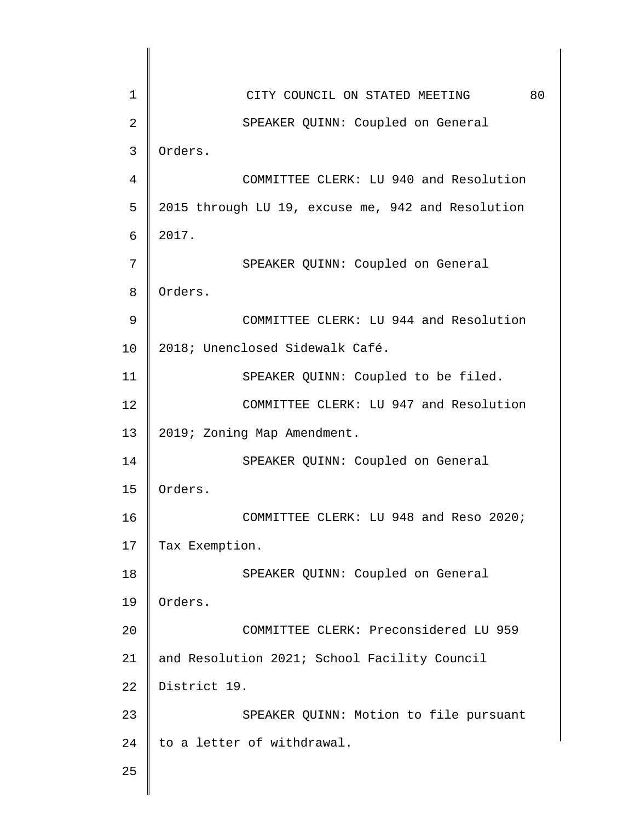| $\mathbf 1$ | 80<br>CITY COUNCIL ON STATED MEETING              |
|-------------|---------------------------------------------------|
| 2           | SPEAKER QUINN: Coupled on General                 |
| 3           | Orders.                                           |
| 4           | COMMITTEE CLERK: LU 940 and Resolution            |
| 5           | 2015 through LU 19, excuse me, 942 and Resolution |
| 6           | 2017.                                             |
| 7           | SPEAKER QUINN: Coupled on General                 |
| 8           | Orders.                                           |
| 9           | COMMITTEE CLERK: LU 944 and Resolution            |
| 10          | 2018; Unenclosed Sidewalk Café.                   |
| 11          | SPEAKER QUINN: Coupled to be filed.               |
| 12          | COMMITTEE CLERK: LU 947 and Resolution            |
| 13          | 2019; Zoning Map Amendment.                       |
| 14          | SPEAKER QUINN: Coupled on General                 |
| 15          | Orders.                                           |
| 16          | COMMITTEE CLERK: LU 948 and Reso 2020;            |
| 17          | Tax Exemption.                                    |
| 18          | SPEAKER QUINN: Coupled on General                 |
| 19          | Orders.                                           |
| 20          | COMMITTEE CLERK: Preconsidered LU 959             |
| 21          | and Resolution 2021; School Facility Council      |
| 22          | District 19.                                      |
| 23          | SPEAKER QUINN: Motion to file pursuant            |
| 24          | to a letter of withdrawal.                        |
| 25          |                                                   |
|             |                                                   |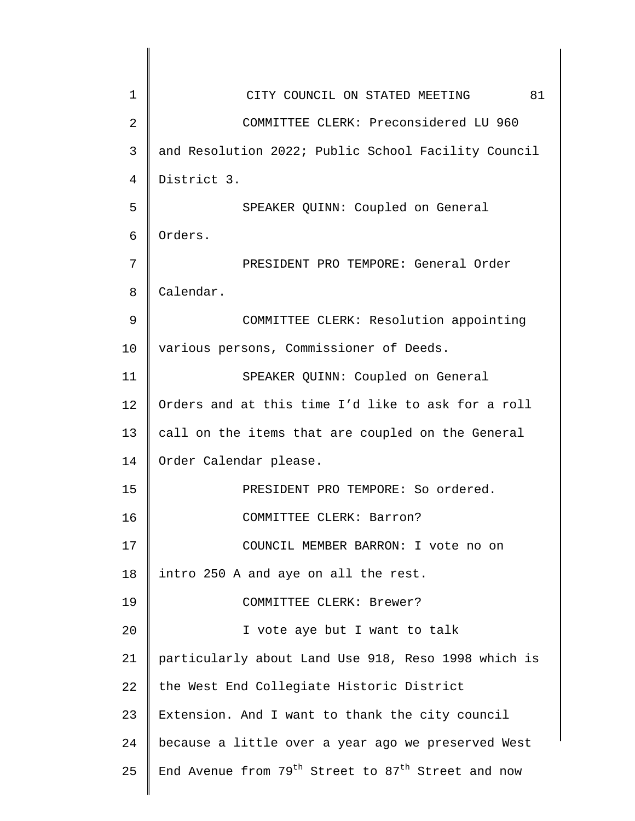| $\mathbf 1$ | 81<br>CITY COUNCIL ON STATED MEETING                                       |
|-------------|----------------------------------------------------------------------------|
| 2           | COMMITTEE CLERK: Preconsidered LU 960                                      |
| 3           | and Resolution 2022; Public School Facility Council                        |
| 4           | District 3.                                                                |
| 5           | SPEAKER QUINN: Coupled on General                                          |
| 6           | Orders.                                                                    |
| 7           | PRESIDENT PRO TEMPORE: General Order                                       |
| 8           | Calendar.                                                                  |
| 9           | COMMITTEE CLERK: Resolution appointing                                     |
| 10          | various persons, Commissioner of Deeds.                                    |
| 11          | SPEAKER QUINN: Coupled on General                                          |
| 12          | Orders and at this time I'd like to ask for a roll                         |
| 13          | call on the items that are coupled on the General                          |
| 14          | Order Calendar please.                                                     |
| 15          | PRESIDENT PRO TEMPORE: So ordered.                                         |
| 16          | COMMITTEE CLERK: Barron?                                                   |
| 17          | COUNCIL MEMBER BARRON: I vote no on                                        |
| 18          | intro 250 A and aye on all the rest.                                       |
| 19          | COMMITTEE CLERK: Brewer?                                                   |
| 20          | I vote aye but I want to talk                                              |
| 21          | particularly about Land Use 918, Reso 1998 which is                        |
| 22          | the West End Collegiate Historic District                                  |
| 23          | Extension. And I want to thank the city council                            |
| 24          | because a little over a year ago we preserved West                         |
| 25          | End Avenue from 79 <sup>th</sup> Street to 87 <sup>th</sup> Street and now |
|             |                                                                            |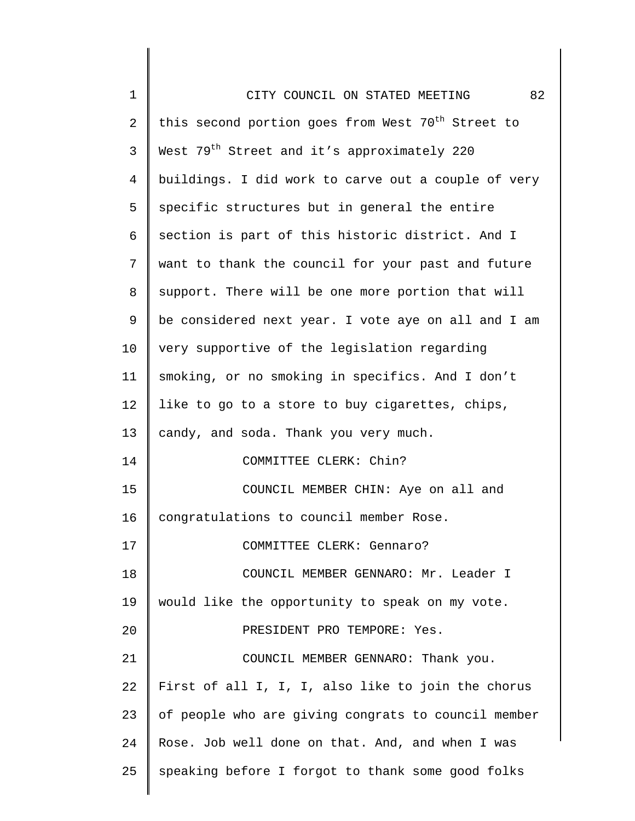| $\mathbf 1$    | 82<br>CITY COUNCIL ON STATED MEETING                          |
|----------------|---------------------------------------------------------------|
| $\overline{2}$ | this second portion goes from West 70 <sup>th</sup> Street to |
| 3              | West 79 <sup>th</sup> Street and it's approximately 220       |
| $\overline{4}$ | buildings. I did work to carve out a couple of very           |
| 5              | specific structures but in general the entire                 |
| 6              | section is part of this historic district. And I              |
| 7              | want to thank the council for your past and future            |
| 8              | support. There will be one more portion that will             |
| 9              | be considered next year. I vote aye on all and I am           |
| 10             | very supportive of the legislation regarding                  |
| 11             | smoking, or no smoking in specifics. And I don't              |
| 12             | like to go to a store to buy cigarettes, chips,               |
| 13             | candy, and soda. Thank you very much.                         |
| 14             | COMMITTEE CLERK: Chin?                                        |
| 15             | COUNCIL MEMBER CHIN: Aye on all and                           |
| 16             | congratulations to council member Rose.                       |
| 17             | COMMITTEE CLERK: Gennaro?                                     |
| 18             | COUNCIL MEMBER GENNARO: Mr. Leader I                          |
| 19             | would like the opportunity to speak on my vote.               |
| 20             | PRESIDENT PRO TEMPORE: Yes.                                   |
| 21             | COUNCIL MEMBER GENNARO: Thank you.                            |
| 22             | First of all I, I, I, also like to join the chorus            |
| 23             | of people who are giving congrats to council member           |
| 24             | Rose. Job well done on that. And, and when I was              |
| 25             | speaking before I forgot to thank some good folks             |
|                |                                                               |

∥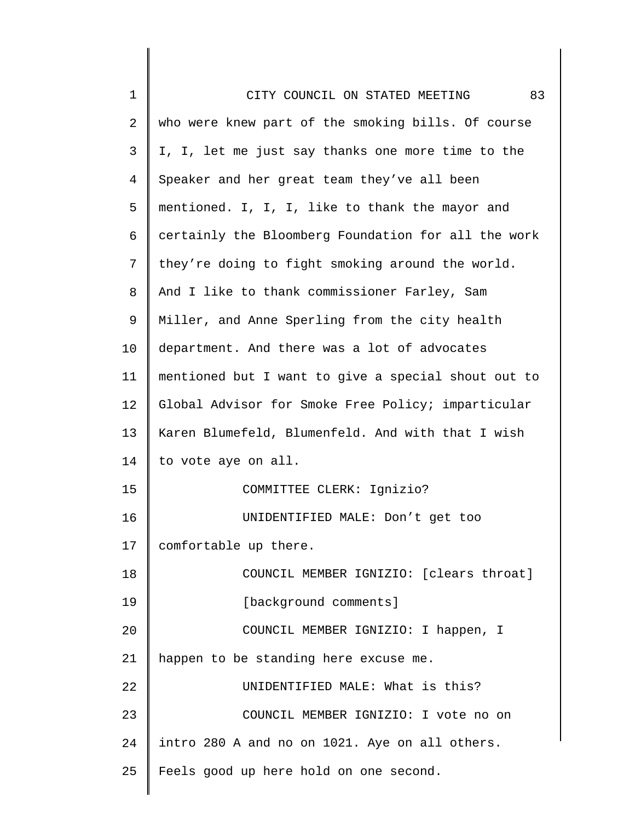| $\mathbf 1$    | 83<br>CITY COUNCIL ON STATED MEETING                |
|----------------|-----------------------------------------------------|
| 2              | who were knew part of the smoking bills. Of course  |
| 3              | I, I, let me just say thanks one more time to the   |
| $\overline{4}$ | Speaker and her great team they've all been         |
| 5              | mentioned. I, I, I, like to thank the mayor and     |
| 6              | certainly the Bloomberg Foundation for all the work |
| 7              | they're doing to fight smoking around the world.    |
| 8              | And I like to thank commissioner Farley, Sam        |
| 9              | Miller, and Anne Sperling from the city health      |
| 10             | department. And there was a lot of advocates        |
| 11             | mentioned but I want to give a special shout out to |
| 12             | Global Advisor for Smoke Free Policy; imparticular  |
| 13             | Karen Blumefeld, Blumenfeld. And with that I wish   |
| 14             | to vote aye on all.                                 |
| 15             | COMMITTEE CLERK: Ignizio?                           |
| 16             | UNIDENTIFIED MALE: Don't get too                    |
| 17             | comfortable up there.                               |
| 18             | COUNCIL MEMBER IGNIZIO: [clears throat]             |
| 19             | [background comments]                               |
| 20             | COUNCIL MEMBER IGNIZIO: I happen, I                 |
| 21             | happen to be standing here excuse me.               |
| 22             | UNIDENTIFIED MALE: What is this?                    |
| 23             | COUNCIL MEMBER IGNIZIO: I vote no on                |
| 24             | intro 280 A and no on 1021. Aye on all others.      |
| 25             | Feels good up here hold on one second.              |
|                |                                                     |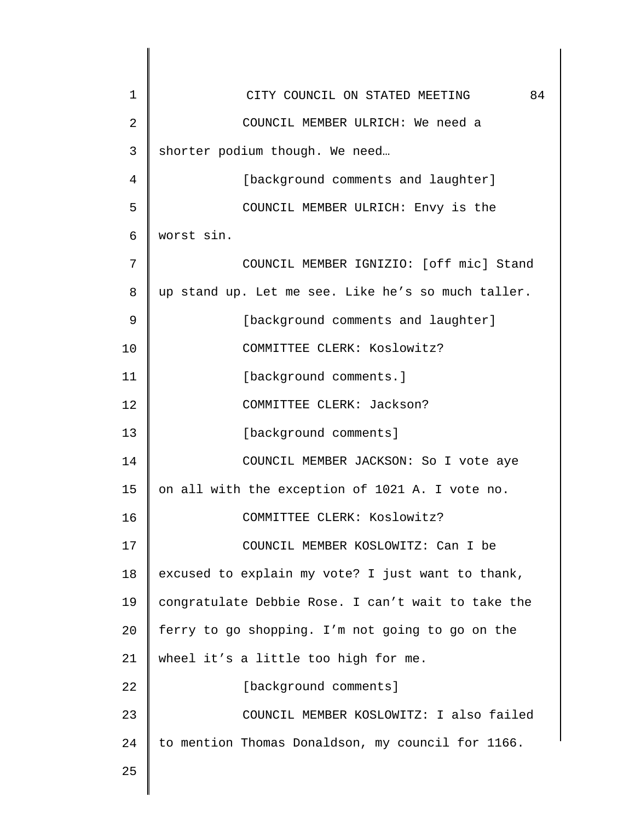| 1  | 84<br>CITY COUNCIL ON STATED MEETING               |
|----|----------------------------------------------------|
| 2  | COUNCIL MEMBER ULRICH: We need a                   |
| 3  | shorter podium though. We need                     |
| 4  | [background comments and laughter]                 |
| 5  | COUNCIL MEMBER ULRICH: Envy is the                 |
| 6  | worst sin.                                         |
| 7  | COUNCIL MEMBER IGNIZIO: [off mic] Stand            |
| 8  | up stand up. Let me see. Like he's so much taller. |
| 9  | [background comments and laughter]                 |
| 10 | COMMITTEE CLERK: Koslowitz?                        |
| 11 | [background comments.]                             |
| 12 | COMMITTEE CLERK: Jackson?                          |
| 13 | [background comments]                              |
| 14 | COUNCIL MEMBER JACKSON: So I vote aye              |
| 15 | on all with the exception of 1021 A. I vote no.    |
| 16 | COMMITTEE CLERK: Koslowitz?                        |
| 17 | COUNCIL MEMBER KOSLOWITZ: Can I be                 |
| 18 | excused to explain my vote? I just want to thank,  |
| 19 | congratulate Debbie Rose. I can't wait to take the |
| 20 | ferry to go shopping. I'm not going to go on the   |
| 21 | wheel it's a little too high for me.               |
| 22 | [background comments]                              |
| 23 | COUNCIL MEMBER KOSLOWITZ: I also failed            |
| 24 | to mention Thomas Donaldson, my council for 1166.  |
| 25 |                                                    |
|    |                                                    |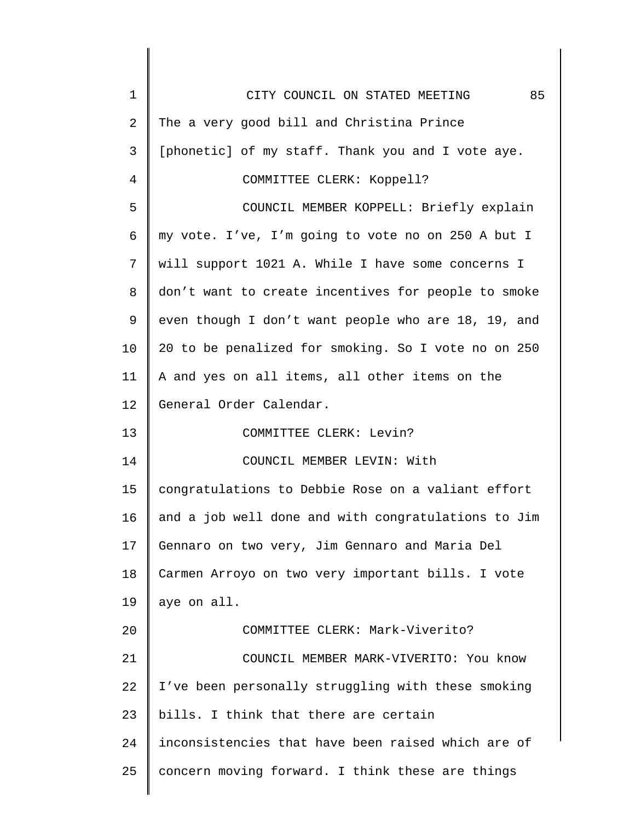| 1  | 85<br>CITY COUNCIL ON STATED MEETING                |
|----|-----------------------------------------------------|
| 2  | The a very good bill and Christina Prince           |
| 3  | [phonetic] of my staff. Thank you and I vote aye.   |
| 4  | COMMITTEE CLERK: Koppell?                           |
| 5  | COUNCIL MEMBER KOPPELL: Briefly explain             |
| 6  | my vote. I've, I'm going to vote no on 250 A but I  |
| 7  | will support 1021 A. While I have some concerns I   |
| 8  | don't want to create incentives for people to smoke |
| 9  | even though I don't want people who are 18, 19, and |
| 10 | 20 to be penalized for smoking. So I vote no on 250 |
| 11 | A and yes on all items, all other items on the      |
| 12 | General Order Calendar.                             |
| 13 | COMMITTEE CLERK: Levin?                             |
| 14 | COUNCIL MEMBER LEVIN: With                          |
| 15 | congratulations to Debbie Rose on a valiant effort  |
| 16 | and a job well done and with congratulations to Jim |
| 17 | Gennaro on two very, Jim Gennaro and Maria Del      |
| 18 | Carmen Arroyo on two very important bills. I vote   |
| 19 | aye on all.                                         |
| 20 | COMMITTEE CLERK: Mark-Viverito?                     |
| 21 | COUNCIL MEMBER MARK-VIVERITO: You know              |
| 22 | I've been personally struggling with these smoking  |
| 23 | bills. I think that there are certain               |
| 24 | inconsistencies that have been raised which are of  |
| 25 | concern moving forward. I think these are things    |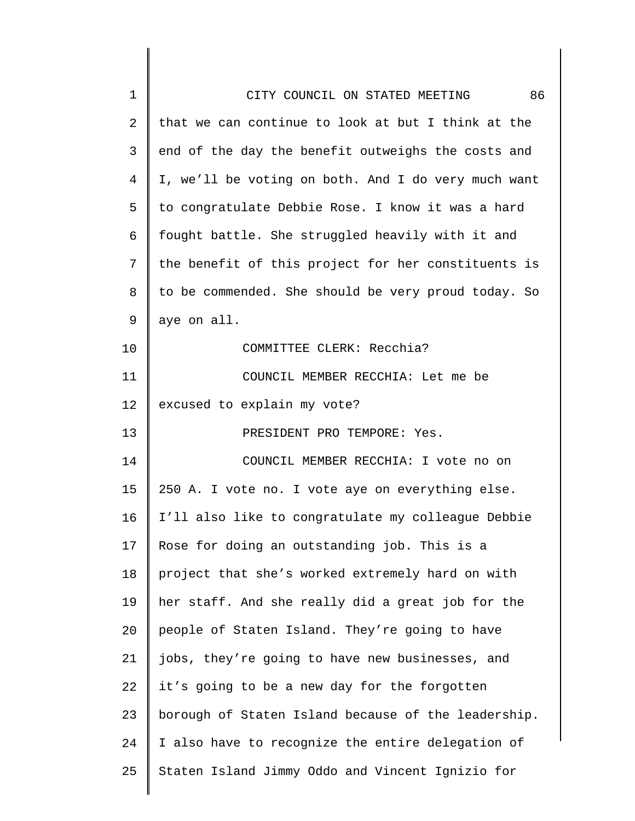| $\mathbf 1$    | 86<br>CITY COUNCIL ON STATED MEETING                |
|----------------|-----------------------------------------------------|
| $\overline{2}$ | that we can continue to look at but I think at the  |
| 3              | end of the day the benefit outweighs the costs and  |
| 4              | I, we'll be voting on both. And I do very much want |
| 5              | to congratulate Debbie Rose. I know it was a hard   |
| 6              | fought battle. She struggled heavily with it and    |
| 7              | the benefit of this project for her constituents is |
| 8              | to be commended. She should be very proud today. So |
| 9              | aye on all.                                         |
| 10             | COMMITTEE CLERK: Recchia?                           |
| 11             | COUNCIL MEMBER RECCHIA: Let me be                   |
| 12             | excused to explain my vote?                         |
| 13             | PRESIDENT PRO TEMPORE: Yes.                         |
| 14             | COUNCIL MEMBER RECCHIA: I vote no on                |
| 15             | 250 A. I vote no. I vote aye on everything else.    |
| 16             | I'll also like to congratulate my colleague Debbie  |
| 17             | Rose for doing an outstanding job. This is a        |
| 18             | project that she's worked extremely hard on with    |
| 19             | her staff. And she really did a great job for the   |
| 20             | people of Staten Island. They're going to have      |
| 21             | jobs, they're going to have new businesses, and     |
| 22             | it's going to be a new day for the forgotten        |
| 23             | borough of Staten Island because of the leadership. |
| 24             | I also have to recognize the entire delegation of   |
| 25             | Staten Island Jimmy Oddo and Vincent Ignizio for    |
|                |                                                     |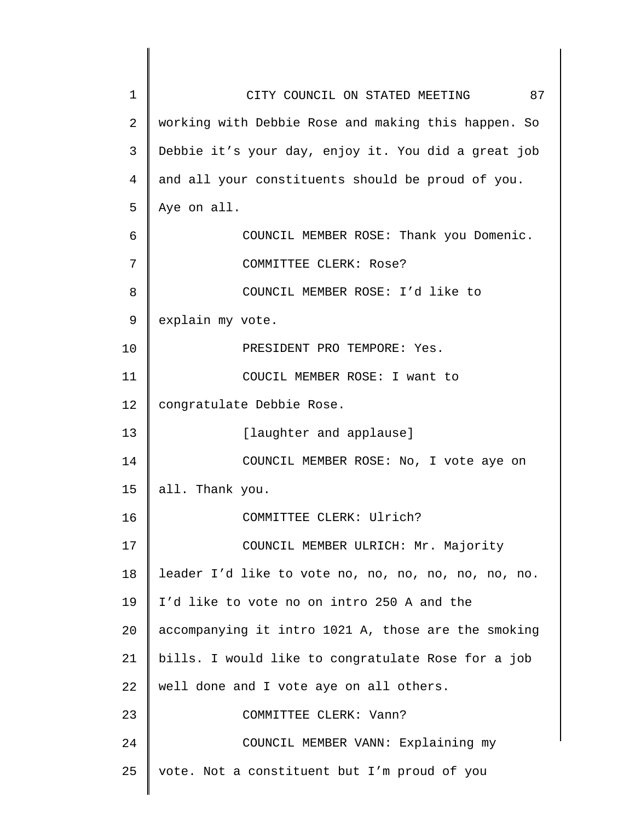| $\mathbf 1$ | 87<br>CITY COUNCIL ON STATED MEETING                |
|-------------|-----------------------------------------------------|
| 2           | working with Debbie Rose and making this happen. So |
| 3           | Debbie it's your day, enjoy it. You did a great job |
| 4           | and all your constituents should be proud of you.   |
| 5           | Aye on all.                                         |
| 6           | COUNCIL MEMBER ROSE: Thank you Domenic.             |
| 7           | COMMITTEE CLERK: Rose?                              |
| 8           | COUNCIL MEMBER ROSE: I'd like to                    |
| 9           | explain my vote.                                    |
| 10          | PRESIDENT PRO TEMPORE: Yes.                         |
| 11          | COUCIL MEMBER ROSE: I want to                       |
| 12          | congratulate Debbie Rose.                           |
| 13          | [laughter and applause]                             |
| 14          | COUNCIL MEMBER ROSE: No, I vote aye on              |
| 15          | all. Thank you.                                     |
| 16          | COMMITTEE CLERK: Ulrich?                            |
| 17          | COUNCIL MEMBER ULRICH: Mr. Majority                 |
| 18          | leader I'd like to vote no, no, no, no, no, no, no. |
| 19          | I'd like to vote no on intro 250 A and the          |
| 20          | accompanying it intro 1021 A, those are the smoking |
| 21          | bills. I would like to congratulate Rose for a job  |
| 22          | well done and I vote aye on all others.             |
| 23          | COMMITTEE CLERK: Vann?                              |
| 24          | COUNCIL MEMBER VANN: Explaining my                  |
| 25          | vote. Not a constituent but I'm proud of you        |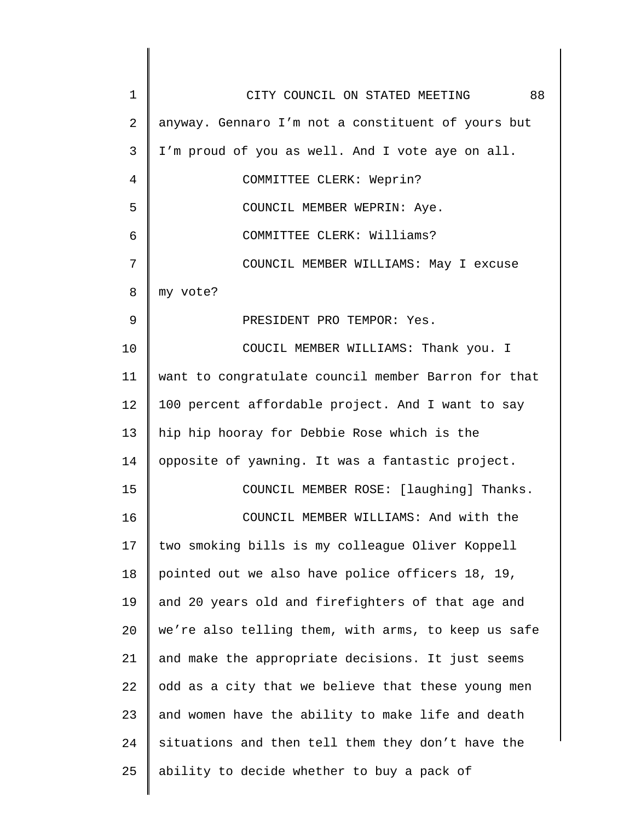| 1  | CITY COUNCIL ON STATED MEETING 88                   |
|----|-----------------------------------------------------|
| 2  | anyway. Gennaro I'm not a constituent of yours but  |
| 3  | I'm proud of you as well. And I vote aye on all.    |
| 4  | COMMITTEE CLERK: Weprin?                            |
| 5  | COUNCIL MEMBER WEPRIN: Aye.                         |
| 6  | COMMITTEE CLERK: Williams?                          |
| 7  | COUNCIL MEMBER WILLIAMS: May I excuse               |
| 8  | my vote?                                            |
| 9  | PRESIDENT PRO TEMPOR: Yes.                          |
| 10 | COUCIL MEMBER WILLIAMS: Thank you. I                |
| 11 | want to congratulate council member Barron for that |
| 12 | 100 percent affordable project. And I want to say   |
| 13 | hip hip hooray for Debbie Rose which is the         |
| 14 | opposite of yawning. It was a fantastic project.    |
| 15 | COUNCIL MEMBER ROSE: [laughing] Thanks.             |
| 16 | COUNCIL MEMBER WILLIAMS: And with the               |
| 17 | two smoking bills is my colleague Oliver Koppell    |
| 18 | pointed out we also have police officers 18, 19,    |
| 19 | and 20 years old and firefighters of that age and   |
| 20 | we're also telling them, with arms, to keep us safe |
| 21 | and make the appropriate decisions. It just seems   |
| 22 | odd as a city that we believe that these young men  |
| 23 | and women have the ability to make life and death   |
| 24 | situations and then tell them they don't have the   |
| 25 | ability to decide whether to buy a pack of          |
|    |                                                     |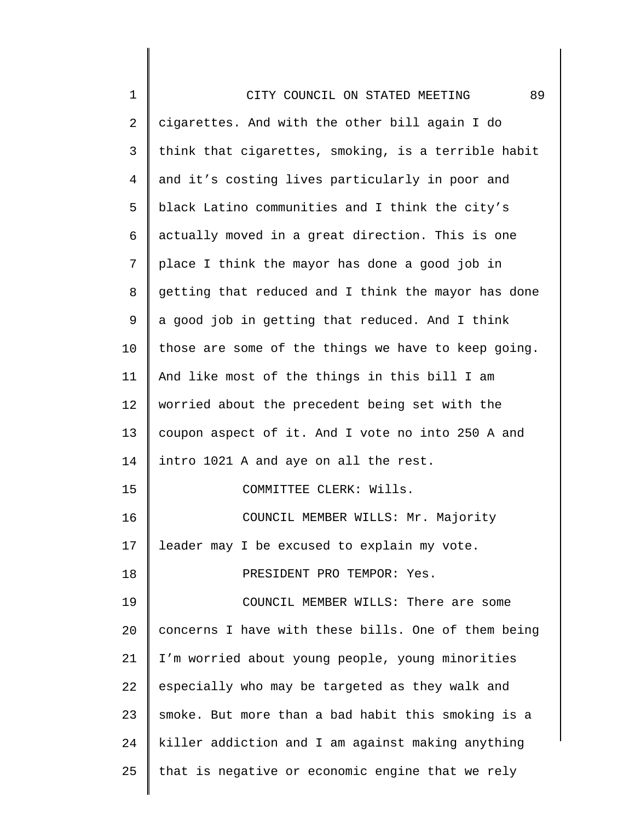| $\mathbf 1$    | 89<br>CITY COUNCIL ON STATED MEETING                |
|----------------|-----------------------------------------------------|
| $\overline{a}$ | cigarettes. And with the other bill again I do      |
| 3              | think that cigarettes, smoking, is a terrible habit |
| 4              | and it's costing lives particularly in poor and     |
| 5              | black Latino communities and I think the city's     |
| 6              | actually moved in a great direction. This is one    |
| 7              | place I think the mayor has done a good job in      |
| 8              | getting that reduced and I think the mayor has done |
| 9              | a good job in getting that reduced. And I think     |
| 10             | those are some of the things we have to keep going. |
| 11             | And like most of the things in this bill I am       |
| 12             | worried about the precedent being set with the      |
| 13             | coupon aspect of it. And I vote no into 250 A and   |
| 14             | intro 1021 A and aye on all the rest.               |
| 15             | COMMITTEE CLERK: Wills.                             |
| 16             | COUNCIL MEMBER WILLS: Mr. Majority                  |
| 17             | leader may I be excused to explain my vote.         |
| 18             | PRESIDENT PRO TEMPOR: Yes.                          |
| 19             | COUNCIL MEMBER WILLS: There are some                |
| 20             | concerns I have with these bills. One of them being |
| 21             | I'm worried about young people, young minorities    |
| 22             | especially who may be targeted as they walk and     |
| 23             | smoke. But more than a bad habit this smoking is a  |
| 24             | killer addiction and I am against making anything   |
| 25             | that is negative or economic engine that we rely    |
|                |                                                     |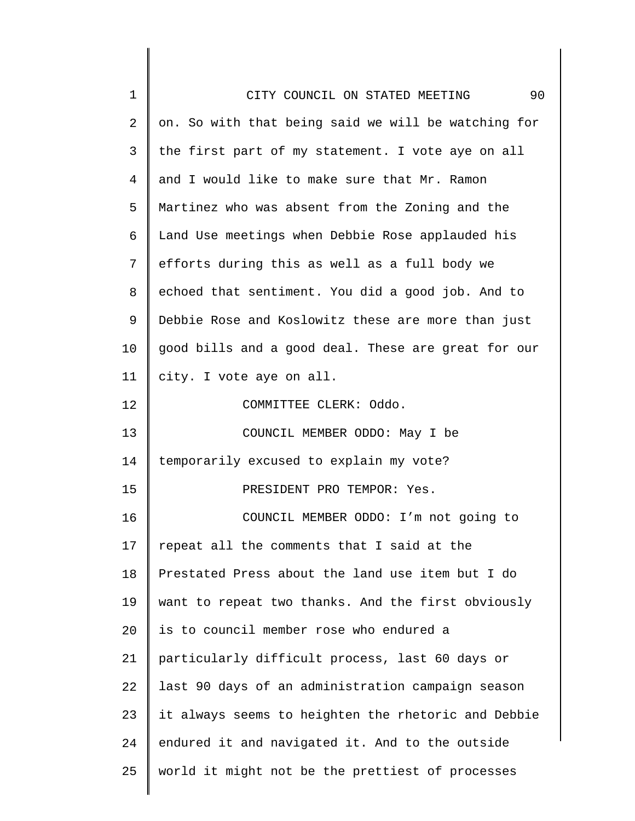| CITY COUNCIL ON STATED MEETING<br>90                |
|-----------------------------------------------------|
| on. So with that being said we will be watching for |
| the first part of my statement. I vote aye on all   |
| and I would like to make sure that Mr. Ramon        |
| Martinez who was absent from the Zoning and the     |
| Land Use meetings when Debbie Rose applauded his    |
| efforts during this as well as a full body we       |
| echoed that sentiment. You did a good job. And to   |
| Debbie Rose and Koslowitz these are more than just  |
| good bills and a good deal. These are great for our |
| city. I vote aye on all.                            |
| COMMITTEE CLERK: Oddo.                              |
| COUNCIL MEMBER ODDO: May I be                       |
| temporarily excused to explain my vote?             |
| PRESIDENT PRO TEMPOR: Yes.                          |
| COUNCIL MEMBER ODDO: I'm not going to               |
| repeat all the comments that I said at the          |
| Prestated Press about the land use item but I do    |
| want to repeat two thanks. And the first obviously  |
| is to council member rose who endured a             |
| particularly difficult process, last 60 days or     |
| last 90 days of an administration campaign season   |
| it always seems to heighten the rhetoric and Debbie |
| endured it and navigated it. And to the outside     |
| world it might not be the prettiest of processes    |
|                                                     |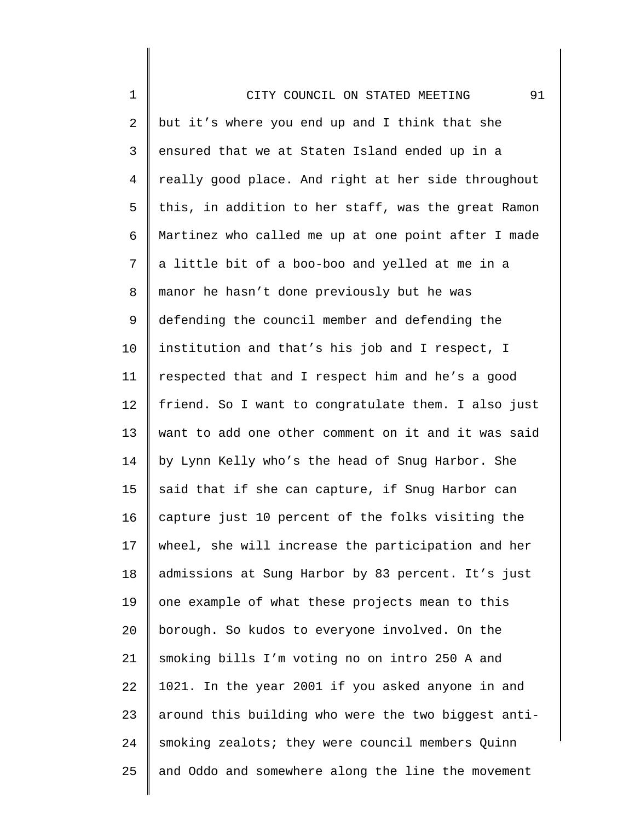| $\mathbf 1$ | 91<br>CITY COUNCIL ON STATED MEETING                |
|-------------|-----------------------------------------------------|
| 2           | but it's where you end up and I think that she      |
| 3           | ensured that we at Staten Island ended up in a      |
| 4           | really good place. And right at her side throughout |
| 5           | this, in addition to her staff, was the great Ramon |
| 6           | Martinez who called me up at one point after I made |
| 7           | a little bit of a boo-boo and yelled at me in a     |
| 8           | manor he hasn't done previously but he was          |
| 9           | defending the council member and defending the      |
| 10          | institution and that's his job and I respect, I     |
| 11          | respected that and I respect him and he's a good    |
| 12          | friend. So I want to congratulate them. I also just |
| 13          | want to add one other comment on it and it was said |
| 14          | by Lynn Kelly who's the head of Snug Harbor. She    |
| 15          | said that if she can capture, if Snug Harbor can    |
| 16          | capture just 10 percent of the folks visiting the   |
| 17          | wheel, she will increase the participation and her  |
| 18          | admissions at Sung Harbor by 83 percent. It's just  |
| 19          | one example of what these projects mean to this     |
| 20          | borough. So kudos to everyone involved. On the      |
| 21          | smoking bills I'm voting no on intro 250 A and      |
| 22          | 1021. In the year 2001 if you asked anyone in and   |
| 23          | around this building who were the two biggest anti- |
| 24          | smoking zealots; they were council members Quinn    |
| 25          | and Oddo and somewhere along the line the movement  |
|             |                                                     |

∥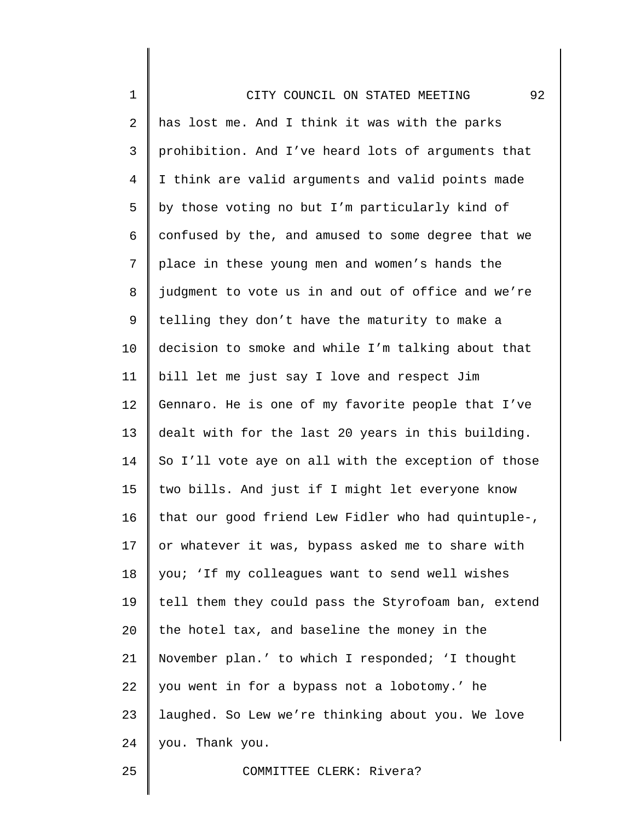| $1\,$          | 92<br>CITY COUNCIL ON STATED MEETING                |
|----------------|-----------------------------------------------------|
| 2              | has lost me. And I think it was with the parks      |
| 3              | prohibition. And I've heard lots of arguments that  |
| $\overline{4}$ | I think are valid arguments and valid points made   |
| 5              | by those voting no but I'm particularly kind of     |
| 6              | confused by the, and amused to some degree that we  |
| 7              | place in these young men and women's hands the      |
| 8              | judgment to vote us in and out of office and we're  |
| 9              | telling they don't have the maturity to make a      |
| 10             | decision to smoke and while I'm talking about that  |
| 11             | bill let me just say I love and respect Jim         |
| 12             | Gennaro. He is one of my favorite people that I've  |
| 13             | dealt with for the last 20 years in this building.  |
| 14             | So I'll vote aye on all with the exception of those |
| 15             | two bills. And just if I might let everyone know    |
| 16             | that our good friend Lew Fidler who had quintuple-, |
| 17             | or whatever it was, bypass asked me to share with   |
| 18             | you; 'If my colleagues want to send well wishes     |
| 19             | tell them they could pass the Styrofoam ban, extend |
| 20             | the hotel tax, and baseline the money in the        |
| 21             | November plan.' to which I responded; 'I thought    |
| 22             | you went in for a bypass not a lobotomy.' he        |
| 23             | laughed. So Lew we're thinking about you. We love   |
| 24             | you. Thank you.                                     |
|                |                                                     |

 $25$ 

 $\mathsf I$ 

COMMITTEE CLERK: Rivera?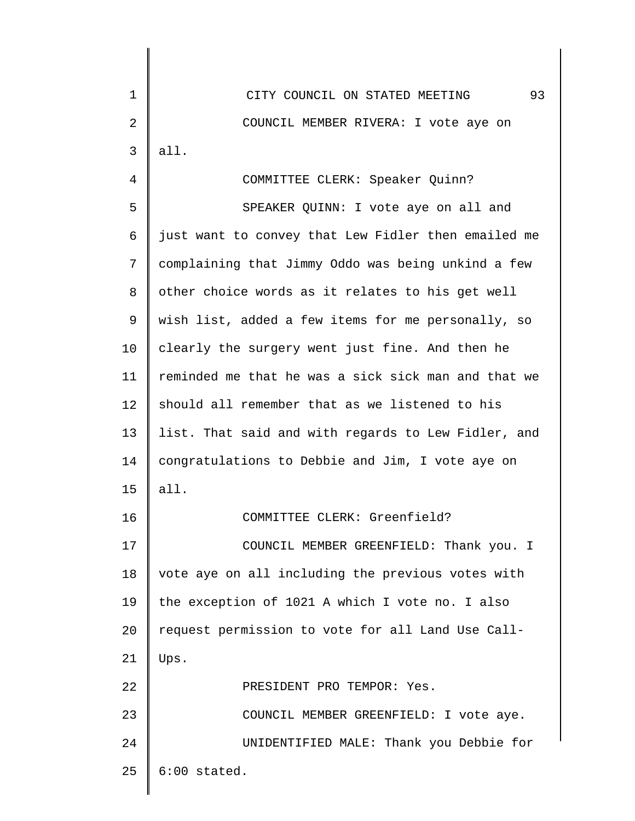| $\mathbf 1$ | 93<br>CITY COUNCIL ON STATED MEETING                |
|-------------|-----------------------------------------------------|
| 2           | COUNCIL MEMBER RIVERA: I vote aye on                |
| 3           | all.                                                |
| 4           | COMMITTEE CLERK: Speaker Quinn?                     |
| 5           | SPEAKER QUINN: I vote aye on all and                |
| 6           | just want to convey that Lew Fidler then emailed me |
| 7           | complaining that Jimmy Oddo was being unkind a few  |
| 8           | other choice words as it relates to his get well    |
| 9           | wish list, added a few items for me personally, so  |
| 10          | clearly the surgery went just fine. And then he     |
| 11          | reminded me that he was a sick sick man and that we |
| 12          | should all remember that as we listened to his      |
| 13          | list. That said and with regards to Lew Fidler, and |
| 14          | congratulations to Debbie and Jim, I vote aye on    |
| 15          | all.                                                |
| 16          | COMMITTEE CLERK: Greenfield?                        |
| 17          | COUNCIL MEMBER GREENFIELD: Thank you. I             |
| 18          | vote aye on all including the previous votes with   |
| 19          | the exception of 1021 A which I vote no. I also     |
| 20          | request permission to vote for all Land Use Call-   |
| 21          | Ups.                                                |
| 22          | PRESIDENT PRO TEMPOR: Yes.                          |
| 23          | COUNCIL MEMBER GREENFIELD: I vote aye.              |
| 24          | UNIDENTIFIED MALE: Thank you Debbie for             |
| 25          | $6:00$ stated.                                      |
|             |                                                     |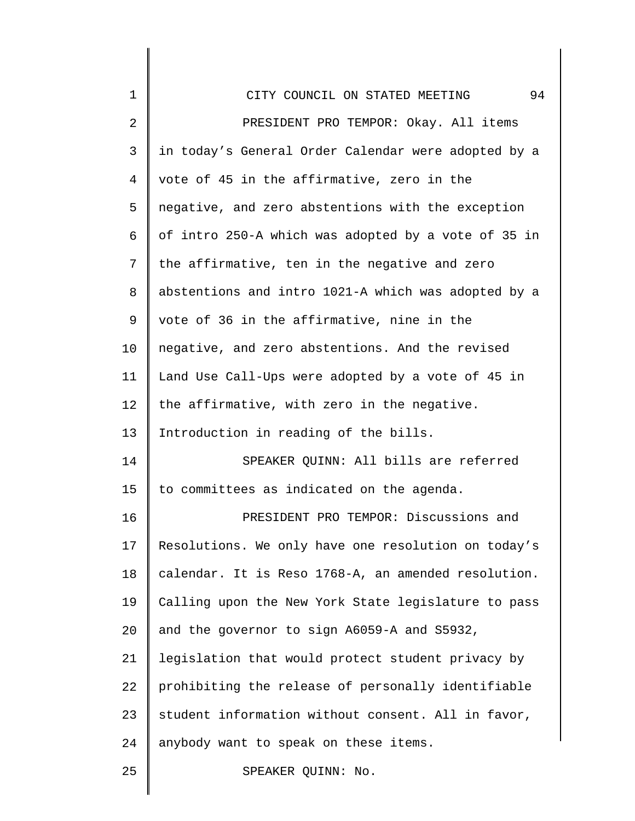| $\mathbf 1$ | 94<br>CITY COUNCIL ON STATED MEETING                |
|-------------|-----------------------------------------------------|
| 2           | PRESIDENT PRO TEMPOR: Okay. All items               |
| 3           | in today's General Order Calendar were adopted by a |
| 4           | vote of 45 in the affirmative, zero in the          |
| 5           | negative, and zero abstentions with the exception   |
| 6           | of intro 250-A which was adopted by a vote of 35 in |
| 7           | the affirmative, ten in the negative and zero       |
| 8           | abstentions and intro 1021-A which was adopted by a |
| 9           | vote of 36 in the affirmative, nine in the          |
| 10          | negative, and zero abstentions. And the revised     |
| 11          | Land Use Call-Ups were adopted by a vote of 45 in   |
| 12          | the affirmative, with zero in the negative.         |
| 13          | Introduction in reading of the bills.               |
| 14          | SPEAKER QUINN: All bills are referred               |
| 15          | to committees as indicated on the agenda.           |
| 16          | PRESIDENT PRO TEMPOR: Discussions and               |
| 17          | Resolutions. We only have one resolution on today's |
| 18          | calendar. It is Reso 1768-A, an amended resolution. |
| 19          | Calling upon the New York State legislature to pass |
| 20          | and the governor to sign A6059-A and S5932,         |
| 21          | legislation that would protect student privacy by   |
| 22          | prohibiting the release of personally identifiable  |
| 23          | student information without consent. All in favor,  |
| 24          | anybody want to speak on these items.               |
| 25          | SPEAKER QUINN: No.                                  |
|             |                                                     |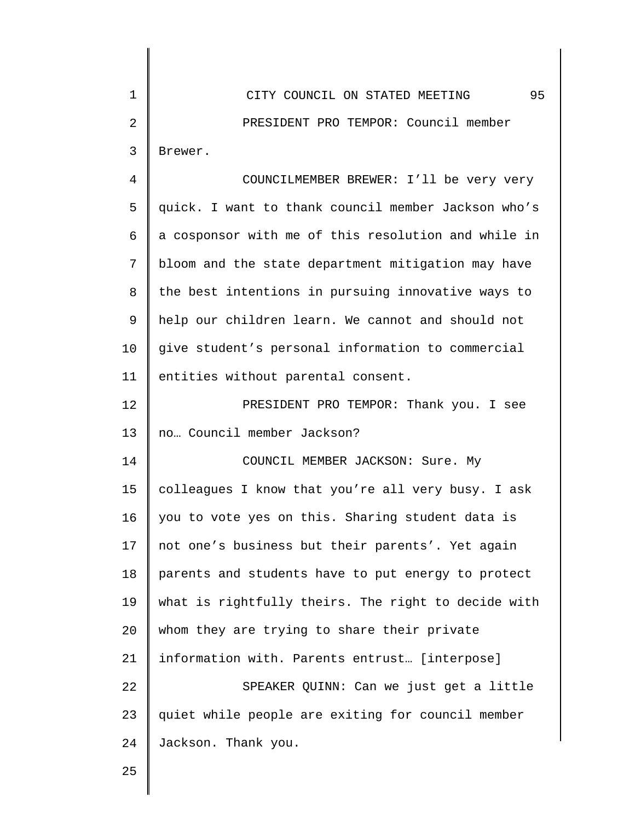| $\mathbf 1$ | 95<br>CITY COUNCIL ON STATED MEETING                |
|-------------|-----------------------------------------------------|
| 2           | PRESIDENT PRO TEMPOR: Council member                |
| 3           | Brewer.                                             |
| 4           | COUNCILMEMBER BREWER: I'll be very very             |
| 5           | quick. I want to thank council member Jackson who's |
| 6           | a cosponsor with me of this resolution and while in |
| 7           | bloom and the state department mitigation may have  |
| 8           | the best intentions in pursuing innovative ways to  |
| 9           | help our children learn. We cannot and should not   |
| 10          | give student's personal information to commercial   |
| 11          | entities without parental consent.                  |
| 12          | PRESIDENT PRO TEMPOR: Thank you. I see              |
| 13          | no Council member Jackson?                          |
| 14          | COUNCIL MEMBER JACKSON: Sure. My                    |
| 15          | colleagues I know that you're all very busy. I ask  |
| 16          | you to vote yes on this. Sharing student data is    |
| 17          | not one's business but their parents'. Yet again    |
| 18          | parents and students have to put energy to protect  |
| 19          | what is rightfully theirs. The right to decide with |
| 20          | whom they are trying to share their private         |
| 21          | information with. Parents entrust [interpose]       |
| 22          | SPEAKER QUINN: Can we just get a little             |
| 23          | quiet while people are exiting for council member   |
| 24          | Jackson. Thank you.                                 |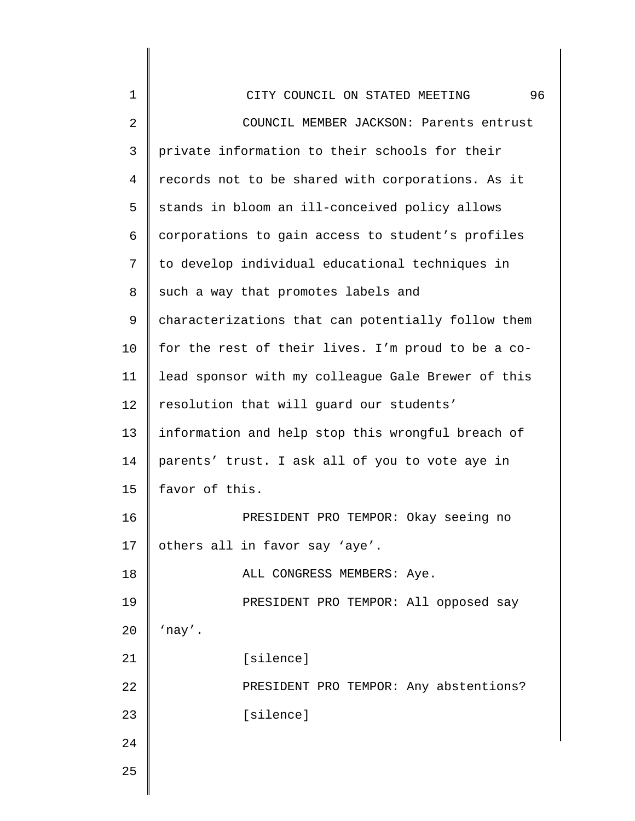| 1       | 96<br>CITY COUNCIL ON STATED MEETING               |
|---------|----------------------------------------------------|
| 2       | COUNCIL MEMBER JACKSON: Parents entrust            |
| 3       | private information to their schools for their     |
| 4       | records not to be shared with corporations. As it  |
| 5       | stands in bloom an ill-conceived policy allows     |
| 6       | corporations to gain access to student's profiles  |
| 7       | to develop individual educational techniques in    |
| 8       | such a way that promotes labels and                |
| 9       | characterizations that can potentially follow them |
| $10 \,$ | for the rest of their lives. I'm proud to be a co- |
| 11      | lead sponsor with my colleague Gale Brewer of this |
| 12      | resolution that will guard our students'           |
| 13      | information and help stop this wrongful breach of  |
| 14      | parents' trust. I ask all of you to vote aye in    |
| 15      | favor of this.                                     |
| 16      | PRESIDENT PRO TEMPOR: Okay seeing no               |
| 17      | others all in favor say 'aye'.                     |
| 18      | ALL CONGRESS MEMBERS: Aye.                         |
| 19      | PRESIDENT PRO TEMPOR: All opposed say              |
| 20      | 'nay'.                                             |
| 21      | [silence]                                          |
| 22      | PRESIDENT PRO TEMPOR: Any abstentions?             |
| 23      | [silence]                                          |
| 24      |                                                    |
| 25      |                                                    |
|         |                                                    |

∥ ∥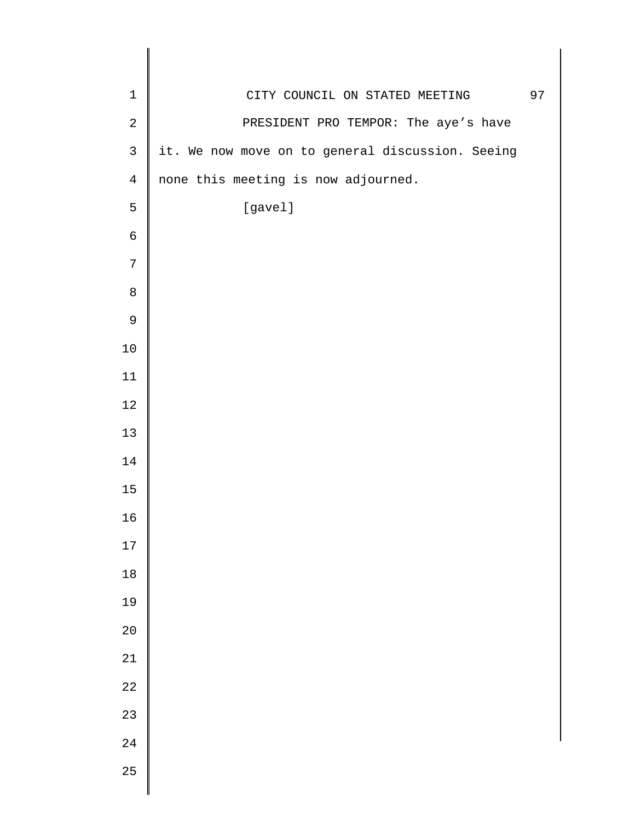| $\mathbf 1$<br>CITY COUNCIL ON STATED MEETING<br>97<br>$\sqrt{2}$<br>PRESIDENT PRO TEMPOR: The aye's have<br>it. We now move on to general discussion. Seeing<br>$\mathsf{3}$<br>$\overline{4}$<br>none this meeting is now adjourned.<br>[gavel]<br>5<br>$\epsilon$<br>$\overline{7}$<br>$\,8\,$<br>$\mathsf 9$<br>$10\,$<br>$11\,$<br>$1\,2$<br>13<br>14<br>$15$<br>16 |
|--------------------------------------------------------------------------------------------------------------------------------------------------------------------------------------------------------------------------------------------------------------------------------------------------------------------------------------------------------------------------|
|                                                                                                                                                                                                                                                                                                                                                                          |
|                                                                                                                                                                                                                                                                                                                                                                          |
|                                                                                                                                                                                                                                                                                                                                                                          |
|                                                                                                                                                                                                                                                                                                                                                                          |
|                                                                                                                                                                                                                                                                                                                                                                          |
|                                                                                                                                                                                                                                                                                                                                                                          |
|                                                                                                                                                                                                                                                                                                                                                                          |
|                                                                                                                                                                                                                                                                                                                                                                          |
|                                                                                                                                                                                                                                                                                                                                                                          |
|                                                                                                                                                                                                                                                                                                                                                                          |
|                                                                                                                                                                                                                                                                                                                                                                          |
|                                                                                                                                                                                                                                                                                                                                                                          |
|                                                                                                                                                                                                                                                                                                                                                                          |
|                                                                                                                                                                                                                                                                                                                                                                          |
|                                                                                                                                                                                                                                                                                                                                                                          |
|                                                                                                                                                                                                                                                                                                                                                                          |
| $17\,$                                                                                                                                                                                                                                                                                                                                                                   |
| $18\,$                                                                                                                                                                                                                                                                                                                                                                   |
| 19                                                                                                                                                                                                                                                                                                                                                                       |
| 20                                                                                                                                                                                                                                                                                                                                                                       |
| $21\,$                                                                                                                                                                                                                                                                                                                                                                   |
| $2\sqrt{2}$                                                                                                                                                                                                                                                                                                                                                              |
| 23                                                                                                                                                                                                                                                                                                                                                                       |
| 24                                                                                                                                                                                                                                                                                                                                                                       |
| 25                                                                                                                                                                                                                                                                                                                                                                       |